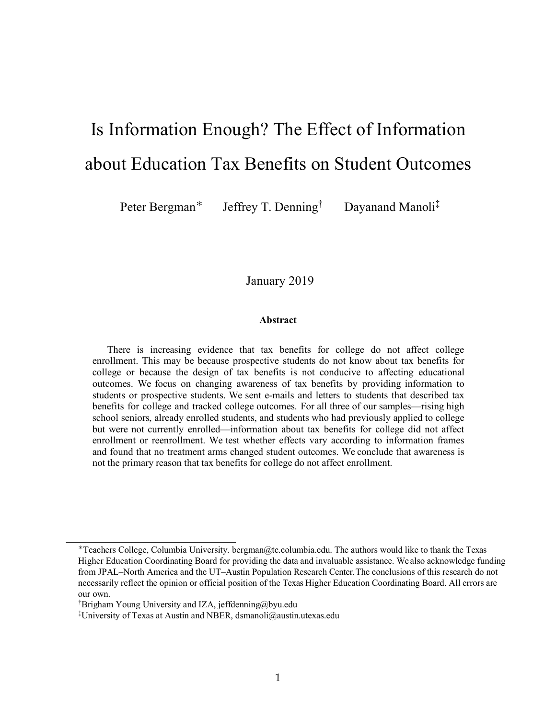# Is Information Enough? The Effect of Information about Education Tax Benefits on Student Outcomes

Peter Bergman<sup>∗</sup> Jeffrey T. Denning<sup>†</sup> Dayanand Manoli<sup>‡</sup>

# January 2019

#### **Abstract**

There is increasing evidence that tax benefits for college do not affect college enrollment. This may be because prospective students do not know about tax benefits for college or because the design of tax benefits is not conducive to affecting educational outcomes. We focus on changing awareness of tax benefits by providing information to students or prospective students. We sent e-mails and letters to students that described tax benefits for college and tracked college outcomes. For all three of our samples—rising high school seniors, already enrolled students, and students who had previously applied to college but were not currently enrolled—information about tax benefits for college did not affect enrollment or reenrollment. We test whether effects vary according to information frames and found that no treatment arms changed student outcomes. We conclude that awareness is not the primary reason that tax benefits for college do not affect enrollment.

<sup>∗</sup>Teachers College, Columbia University. bergman@tc.columbia.edu. The authors would like to thank the Texas Higher Education Coordinating Board for providing the data and invaluable assistance. We also acknowledge funding from JPAL–North America and the UT–Austin Population Research Center.The conclusions of this research do not necessarily reflect the opinion or official position of the Texas Higher Education Coordinating Board. All errors are our own.

<sup>†</sup> Brigham Young University and IZA, jeffdenning@byu.edu

<sup>‡</sup>University of Texas at Austin and NBER, dsmanoli@austin.utexas.edu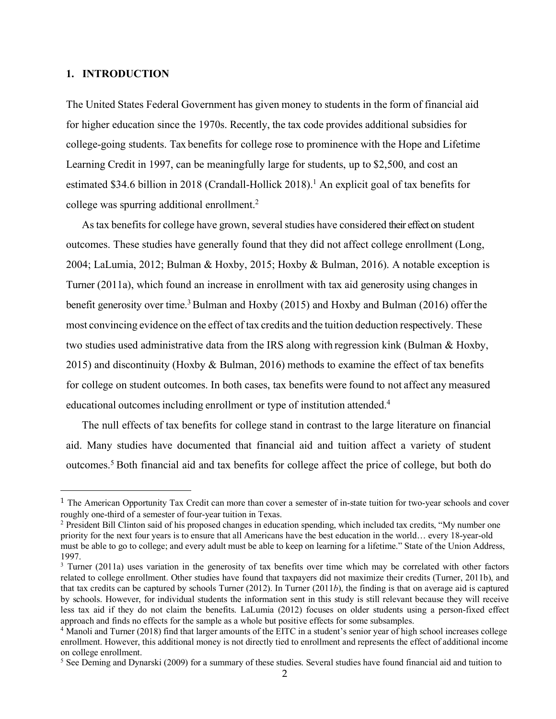#### **1. INTRODUCTION**

 $\overline{a}$ 

The United States Federal Government has given money to students in the form of financial aid for higher education since the 1970s. Recently, the tax code provides additional subsidies for college-going students. Tax benefits for college rose to prominence with the Hope and Lifetime Learning Credit in 1997, can be meaningfully large for students, up to \$2,500, and cost an estimated \$34.6 billion in 2018 (Crandall-Hollick 2018).<sup>1</sup> An explicit goal of tax benefits for college was spurring additional enrollment. 2

As tax benefits for college have grown, several studies have considered their effect on student outcomes. These studies have generally found that they did not affect college enrollment (Long, 2004; LaLumia, 2012; Bulman & Hoxby, 2015; Hoxby & Bulman, 2016). A notable exception is Turner (2011a), which found an increase in enrollment with tax aid generosity using changes in benefit generosity over time.<sup>3</sup> Bulman and Hoxby (2015) and Hoxby and Bulman (2016) offer the most convincing evidence on the effect of tax credits and the tuition deduction respectively. These two studies used administrative data from the IRS along with regression kink (Bulman & Hoxby, 2015) and discontinuity (Hoxby & Bulman, 2016) methods to examine the effect of tax benefits for college on student outcomes. In both cases, tax benefits were found to not affect any measured educational outcomes including enrollment or type of institution attended.<sup>4</sup>

The null effects of tax benefits for college stand in contrast to the large literature on financial aid. Many studies have documented that financial aid and tuition affect a variety of student outcomes. <sup>5</sup> Both financial aid and tax benefits for college affect the price of college, but both do

<sup>1</sup> The American Opportunity Tax Credit can more than cover a semester of in-state tuition for two-year schools and cover roughly one-third of a semester of four-year tuition in Texas.

<sup>&</sup>lt;sup>2</sup> President Bill Clinton said of his proposed changes in education spending, which included tax credits, "My number one priority for the next four years is to ensure that all Americans have the best education in the world… every 18-year-old must be able to go to college; and every adult must be able to keep on learning for a lifetime." State of the Union Address, 1997.

<sup>&</sup>lt;sup>3</sup> Turner (2011a) uses variation in the generosity of tax benefits over time which may be correlated with other factors related to college enrollment. Other studies have found that taxpayers did not maximize their credits (Turner, 2011b), and that tax credits can be captured by schools Turner (2012). In Turner (2011*b*), the finding is that on average aid is captured by schools. However, for individual students the information sent in this study is still relevant because they will receive less tax aid if they do not claim the benefits. LaLumia (2012) focuses on older students using a person-fixed effect approach and finds no effects for the sample as a whole but positive effects for some subsamples.

<sup>4</sup> Manoli and Turner (2018) find that larger amounts of the EITC in a student's senior year of high school increases college enrollment. However, this additional money is not directly tied to enrollment and represents the effect of additional income on college enrollment.

<sup>&</sup>lt;sup>5</sup> See Deming and Dynarski (2009) for a summary of these studies. Several studies have found financial aid and tuition to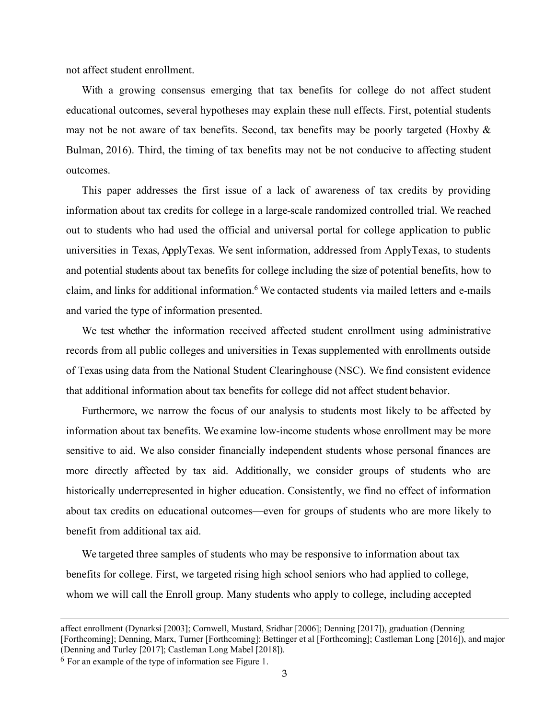not affect student enrollment.

With a growing consensus emerging that tax benefits for college do not affect student educational outcomes, several hypotheses may explain these null effects. First, potential students may not be not aware of tax benefits. Second, tax benefits may be poorly targeted (Hoxby  $\&$ Bulman, 2016). Third, the timing of tax benefits may not be not conducive to affecting student outcomes.

This paper addresses the first issue of a lack of awareness of tax credits by providing information about tax credits for college in a large-scale randomized controlled trial. We reached out to students who had used the official and universal portal for college application to public universities in Texas, ApplyTexas. We sent information, addressed from ApplyTexas, to students and potential students about tax benefits for college including the size of potential benefits, how to claim, and links for additional information.6 We contacted students via mailed letters and e-mails and varied the type of information presented.

We test whether the information received affected student enrollment using administrative records from all public colleges and universities in Texas supplemented with enrollments outside of Texas using data from the National Student Clearinghouse (NSC). We find consistent evidence that additional information about tax benefits for college did not affect student behavior.

Furthermore, we narrow the focus of our analysis to students most likely to be affected by information about tax benefits. We examine low-income students whose enrollment may be more sensitive to aid. We also consider financially independent students whose personal finances are more directly affected by tax aid. Additionally, we consider groups of students who are historically underrepresented in higher education. Consistently, we find no effect of information about tax credits on educational outcomes—even for groups of students who are more likely to benefit from additional tax aid.

We targeted three samples of students who may be responsive to information about tax benefits for college. First, we targeted rising high school seniors who had applied to college, whom we will call the Enroll group. Many students who apply to college, including accepted

 $\ddot{\phantom{a}}$ 

affect enrollment (Dynarksi [2003]; Cornwell, Mustard, Sridhar [2006]; Denning [2017]), graduation (Denning [Forthcoming]; Denning, Marx, Turner [Forthcoming]; Bettinger et al [Forthcoming]; Castleman Long [2016]), and major (Denning and Turley [2017]; Castleman Long Mabel [2018]).

<sup>6</sup> For an example of the type of information see Figure 1.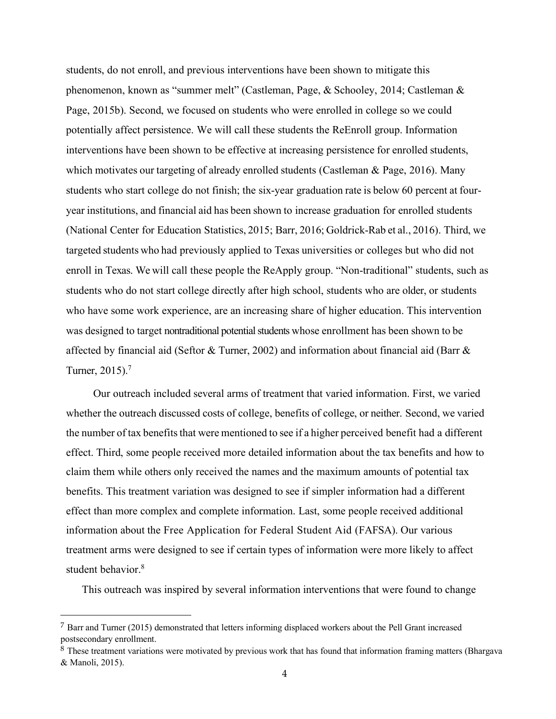students, do not enroll, and previous interventions have been shown to mitigate this phenomenon, known as "summer melt" (Castleman, Page, & Schooley, 2014; Castleman & Page, 2015b). Second, we focused on students who were enrolled in college so we could potentially affect persistence. We will call these students the ReEnroll group. Information interventions have been shown to be effective at increasing persistence for enrolled students, which motivates our targeting of already enrolled students (Castleman & Page, 2016). Many students who start college do not finish; the six-year graduation rate is below 60 percent at fouryear institutions, and financial aid has been shown to increase graduation for enrolled students (National Center for Education Statistics, 2015; Barr, 2016; Goldrick-Rab et al., 2016). Third, we targeted students who had previously applied to Texas universities or colleges but who did not enroll in Texas. We will call these people the ReApply group. "Non-traditional" students, such as students who do not start college directly after high school, students who are older, or students who have some work experience, are an increasing share of higher education. This intervention was designed to target nontraditional potential students whose enrollment has been shown to be affected by financial aid (Seftor & Turner, 2002) and information about financial aid (Barr  $\&$ Turner, 2015).7

Our outreach included several arms of treatment that varied information. First, we varied whether the outreach discussed costs of college, benefits of college, or neither. Second, we varied the number of tax benefits that were mentioned to see if a higher perceived benefit had a different effect. Third, some people received more detailed information about the tax benefits and how to claim them while others only received the names and the maximum amounts of potential tax benefits. This treatment variation was designed to see if simpler information had a different effect than more complex and complete information. Last, some people received additional information about the Free Application for Federal Student Aid (FAFSA). Our various treatment arms were designed to see if certain types of information were more likely to affect student behavior.<sup>8</sup>

This outreach was inspired by several information interventions that were found to change

 <sup>7</sup> Barr and Turner (2015) demonstrated that letters informing displaced workers about the Pell Grant increased postsecondary enrollment.

<sup>8</sup> These treatment variations were motivated by previous work that has found that information framing matters (Bhargava & Manoli, 2015).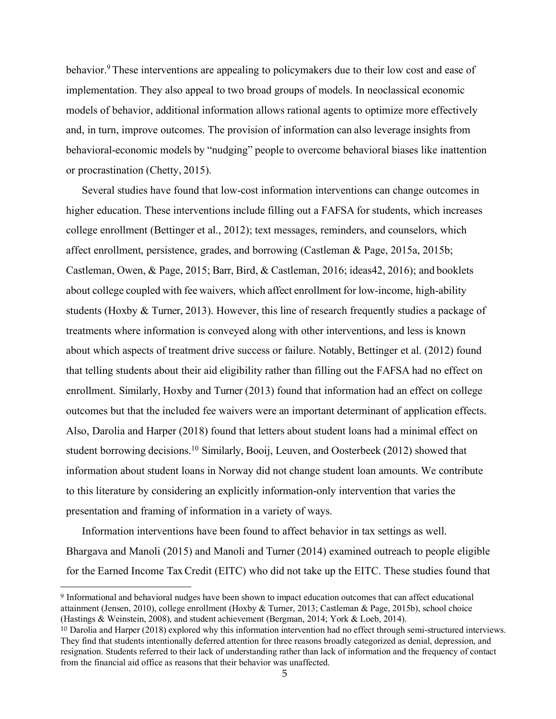behavior.<sup>9</sup> These interventions are appealing to policymakers due to their low cost and ease of implementation. They also appeal to two broad groups of models. In neoclassical economic models of behavior, additional information allows rational agents to optimize more effectively and, in turn, improve outcomes. The provision of information can also leverage insights from behavioral-economic models by "nudging" people to overcome behavioral biases like inattention or procrastination (Chetty, 2015).

Several studies have found that low-cost information interventions can change outcomes in higher education. These interventions include filling out a FAFSA for students, which increases college enrollment (Bettinger et al., 2012); text messages, reminders, and counselors, which affect enrollment, persistence, grades, and borrowing (Castleman & Page, 2015a, 2015b; Castleman, Owen, & Page, 2015; Barr, Bird, & Castleman, 2016; ideas42, 2016); and booklets about college coupled with fee waivers, which affect enrollment for low-income, high-ability students (Hoxby & Turner, 2013). However, this line of research frequently studies a package of treatments where information is conveyed along with other interventions, and less is known about which aspects of treatment drive success or failure. Notably, Bettinger et al. (2012) found that telling students about their aid eligibility rather than filling out the FAFSA had no effect on enrollment. Similarly, Hoxby and Turner (2013) found that information had an effect on college outcomes but that the included fee waivers were an important determinant of application effects. Also, Darolia and Harper (2018) found that letters about student loans had a minimal effect on student borrowing decisions.<sup>10</sup> Similarly, Booij, Leuven, and Oosterbeek (2012) showed that information about student loans in Norway did not change student loan amounts. We contribute to this literature by considering an explicitly information-only intervention that varies the presentation and framing of information in a variety of ways.

Information interventions have been found to affect behavior in tax settings as well. Bhargava and Manoli (2015) and Manoli and Turner (2014) examined outreach to people eligible for the Earned Income Tax Credit (EITC) who did not take up the EITC. These studies found that

 <sup>9</sup> Informational and behavioral nudges have been shown to impact education outcomes that can affect educational attainment (Jensen, 2010), college enrollment (Hoxby & Turner, 2013; Castleman & Page, 2015b), school choice (Hastings & Weinstein, 2008), and student achievement (Bergman, 2014; York & Loeb, 2014).

 $10$  Darolia and Harper (2018) explored why this information intervention had no effect through semi-structured interviews. They find that students intentionally deferred attention for three reasons broadly categorized as denial, depression, and resignation. Students referred to their lack of understanding rather than lack of information and the frequency of contact from the financial aid office as reasons that their behavior was unaffected.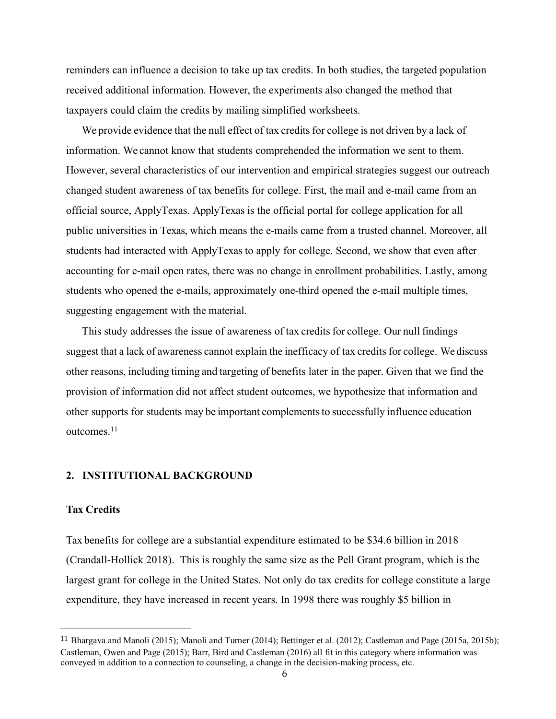reminders can influence a decision to take up tax credits. In both studies, the targeted population received additional information. However, the experiments also changed the method that taxpayers could claim the credits by mailing simplified worksheets.

We provide evidence that the null effect of tax credits for college is not driven by a lack of information. We cannot know that students comprehended the information we sent to them. However, several characteristics of our intervention and empirical strategies suggest our outreach changed student awareness of tax benefits for college. First, the mail and e-mail came from an official source, ApplyTexas. ApplyTexas is the official portal for college application for all public universities in Texas, which means the e-mails came from a trusted channel. Moreover, all students had interacted with ApplyTexas to apply for college. Second, we show that even after accounting for e-mail open rates, there was no change in enrollment probabilities. Lastly, among students who opened the e-mails, approximately one-third opened the e-mail multiple times, suggesting engagement with the material.

This study addresses the issue of awareness of tax credits for college. Our null findings suggest that a lack of awareness cannot explain the inefficacy of tax credits for college. We discuss other reasons, including timing and targeting of benefits later in the paper. Given that we find the provision of information did not affect student outcomes, we hypothesize that information and other supports for students may be important complementsto successfully influence education outcomes<sup>11</sup>

## **2. INSTITUTIONAL BACKGROUND**

## **Tax Credits**

 $\ddot{\phantom{a}}$ 

Tax benefits for college are a substantial expenditure estimated to be \$34.6 billion in 2018 (Crandall-Hollick 2018). This is roughly the same size as the Pell Grant program, which is the largest grant for college in the United States. Not only do tax credits for college constitute a large expenditure, they have increased in recent years. In 1998 there was roughly \$5 billion in

<sup>11</sup> Bhargava and Manoli (2015); Manoli and Turner (2014); Bettinger et al. (2012); Castleman and Page (2015a, 2015b); Castleman, Owen and Page (2015); Barr, Bird and Castleman (2016) all fit in this category where information was conveyed in addition to a connection to counseling, a change in the decision-making process, etc.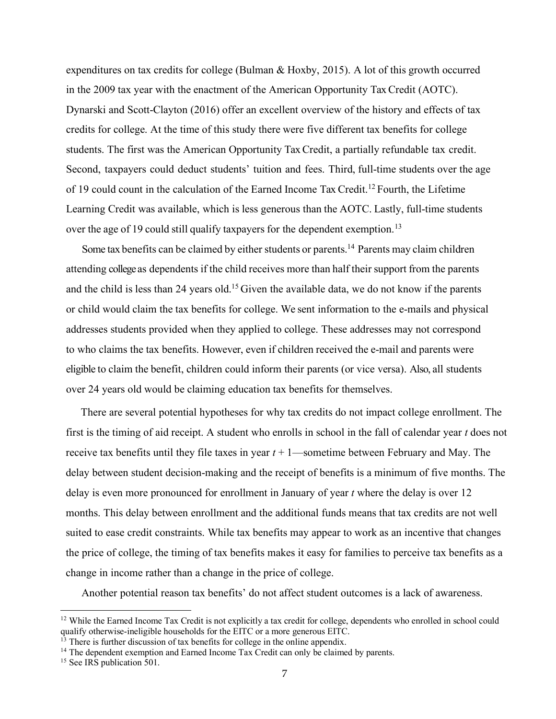expenditures on tax credits for college (Bulman & Hoxby, 2015). A lot of this growth occurred in the 2009 tax year with the enactment of the American Opportunity Tax Credit (AOTC). Dynarski and Scott-Clayton (2016) offer an excellent overview of the history and effects of tax credits for college. At the time of this study there were five different tax benefits for college students. The first was the American Opportunity Tax Credit, a partially refundable tax credit. Second, taxpayers could deduct students' tuition and fees. Third, full-time students over the age of 19 could count in the calculation of the Earned Income Tax Credit.12 Fourth, the Lifetime Learning Credit was available, which is less generous than the AOTC. Lastly, full-time students over the age of 19 could still qualify taxpayers for the dependent exemption.<sup>13</sup>

Some tax benefits can be claimed by either students or parents.<sup>14</sup> Parents may claim children attending college as dependents if the child receives more than half their support from the parents and the child is less than 24 years old.<sup>15</sup> Given the available data, we do not know if the parents or child would claim the tax benefits for college. We sent information to the e-mails and physical addresses students provided when they applied to college. These addresses may not correspond to who claims the tax benefits. However, even if children received the e-mail and parents were eligible to claim the benefit, children could inform their parents (or vice versa). Also, all students over 24 years old would be claiming education tax benefits for themselves.

There are several potential hypotheses for why tax credits do not impact college enrollment. The first is the timing of aid receipt. A student who enrolls in school in the fall of calendar year *t* does not receive tax benefits until they file taxes in year  $t + 1$ —sometime between February and May. The delay between student decision-making and the receipt of benefits is a minimum of five months. The delay is even more pronounced for enrollment in January of year *t* where the delay is over 12 months. This delay between enrollment and the additional funds means that tax credits are not well suited to ease credit constraints. While tax benefits may appear to work as an incentive that changes the price of college, the timing of tax benefits makes it easy for families to perceive tax benefits as a change in income rather than a change in the price of college.

Another potential reason tax benefits' do not affect student outcomes is a lack of awareness.

 $\ddot{\phantom{a}}$ 

 $12$  While the Earned Income Tax Credit is not explicitly a tax credit for college, dependents who enrolled in school could qualify otherwise-ineligible households for the EITC or a more generous EITC.

There is further discussion of tax benefits for college in the online appendix.

 $14$  The dependent exemption and Earned Income Tax Credit can only be claimed by parents.

<sup>&</sup>lt;sup>15</sup> See IRS publication 501.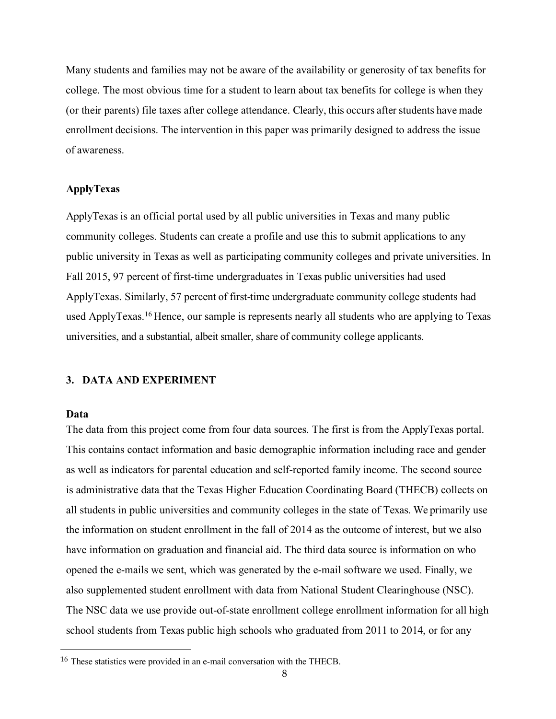Many students and families may not be aware of the availability or generosity of tax benefits for college. The most obvious time for a student to learn about tax benefits for college is when they (or their parents) file taxes after college attendance. Clearly, this occurs after students have made enrollment decisions. The intervention in this paper was primarily designed to address the issue of awareness.

#### **ApplyTexas**

ApplyTexas is an official portal used by all public universities in Texas and many public community colleges. Students can create a profile and use this to submit applications to any public university in Texas as well as participating community colleges and private universities. In Fall 2015, 97 percent of first-time undergraduates in Texas public universities had used ApplyTexas. Similarly, 57 percent of first-time undergraduate community college students had used ApplyTexas.16 Hence, our sample is represents nearly all students who are applying to Texas universities, and a substantial, albeit smaller, share of community college applicants.

## **3. DATA AND EXPERIMENT**

#### **Data**

 $\overline{a}$ 

The data from this project come from four data sources. The first is from the ApplyTexas portal. This contains contact information and basic demographic information including race and gender as well as indicators for parental education and self-reported family income. The second source is administrative data that the Texas Higher Education Coordinating Board (THECB) collects on all students in public universities and community colleges in the state of Texas. We primarily use the information on student enrollment in the fall of 2014 as the outcome of interest, but we also have information on graduation and financial aid. The third data source is information on who opened the e-mails we sent, which was generated by the e-mail software we used. Finally, we also supplemented student enrollment with data from National Student Clearinghouse (NSC). The NSC data we use provide out-of-state enrollment college enrollment information for all high school students from Texas public high schools who graduated from 2011 to 2014, or for any

<sup>16</sup> These statistics were provided in an e-mail conversation with the THECB.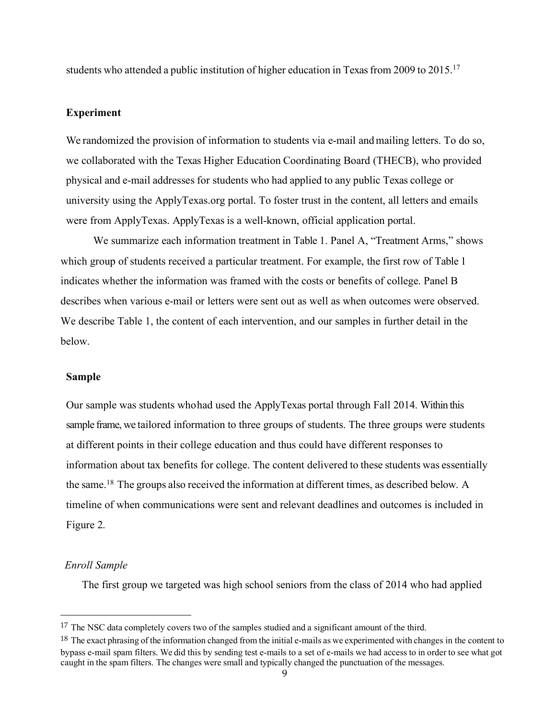students who attended a public institution of higher education in Texas from 2009 to 2015.<sup>17</sup>

#### **Experiment**

We randomized the provision of information to students via e-mail and mailing letters. To do so, we collaborated with the Texas Higher Education Coordinating Board (THECB), who provided physical and e-mail addresses for students who had applied to any public Texas college or university using the ApplyTexas.org portal. To foster trust in the content, all letters and emails were from ApplyTexas. ApplyTexas is a well-known, official application portal.

We summarize each information treatment in Table 1. Panel A, "Treatment Arms," shows which group of students received a particular treatment. For example, the first row of Table 1 indicates whether the information was framed with the costs or benefits of college. Panel B describes when various e-mail or letters were sent out as well as when outcomes were observed. We describe Table 1, the content of each intervention, and our samples in further detail in the below.

#### **Sample**

Our sample was students whohad used the ApplyTexas portal through Fall 2014. Within this sample frame, we tailored information to three groups of students. The three groups were students at different points in their college education and thus could have different responses to information about tax benefits for college. The content delivered to these students was essentially the same.18 The groups also received the information at different times, as described below. A timeline of when communications were sent and relevant deadlines and outcomes is included in Figure 2.

# *Enroll Sample*

The first group we targeted was high school seniors from the class of 2014 who had applied

<sup>&</sup>lt;sup>17</sup> The NSC data completely covers two of the samples studied and a significant amount of the third.

<sup>&</sup>lt;sup>18</sup> The exact phrasing of the information changed from the initial e-mails as we experimented with changes in the content to bypass e-mail spam filters. We did this by sending test e-mails to a set of e-mails we had access to in order to see what got caught in the spam filters. The changes were small and typically changed the punctuation of the messages.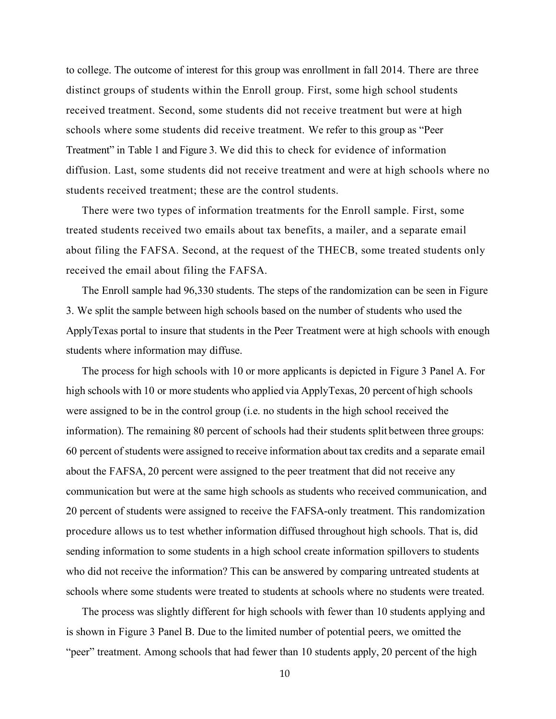to college. The outcome of interest for this group was enrollment in fall 2014. There are three distinct groups of students within the Enroll group. First, some high school students received treatment. Second, some students did not receive treatment but were at high schools where some students did receive treatment. We refer to this group as "Peer Treatment" in Table 1 and Figure 3. We did this to check for evidence of information diffusion. Last, some students did not receive treatment and were at high schools where no students received treatment; these are the control students.

There were two types of information treatments for the Enroll sample. First, some treated students received two emails about tax benefits, a mailer, and a separate email about filing the FAFSA. Second, at the request of the THECB, some treated students only received the email about filing the FAFSA.

The Enroll sample had 96,330 students. The steps of the randomization can be seen in Figure 3. We split the sample between high schools based on the number of students who used the ApplyTexas portal to insure that students in the Peer Treatment were at high schools with enough students where information may diffuse.

The process for high schools with 10 or more applicants is depicted in Figure 3 Panel A. For high schools with 10 or more students who applied via ApplyTexas, 20 percent of high schools were assigned to be in the control group (i.e. no students in the high school received the information). The remaining 80 percent of schools had their students split between three groups: 60 percent ofstudents were assigned to receive information about tax credits and a separate email about the FAFSA, 20 percent were assigned to the peer treatment that did not receive any communication but were at the same high schools as students who received communication, and 20 percent of students were assigned to receive the FAFSA-only treatment. This randomization procedure allows us to test whether information diffused throughout high schools. That is, did sending information to some students in a high school create information spillovers to students who did not receive the information? This can be answered by comparing untreated students at schools where some students were treated to students at schools where no students were treated.

The process was slightly different for high schools with fewer than 10 students applying and is shown in Figure 3 Panel B. Due to the limited number of potential peers, we omitted the "peer" treatment. Among schools that had fewer than 10 students apply, 20 percent of the high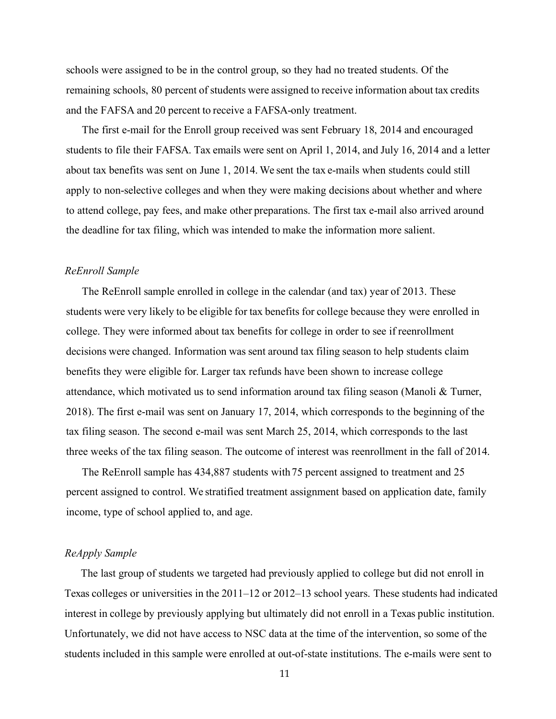schools were assigned to be in the control group, so they had no treated students. Of the remaining schools, 80 percent of students were assigned to receive information about tax credits and the FAFSA and 20 percent to receive a FAFSA-only treatment.

The first e-mail for the Enroll group received was sent February 18, 2014 and encouraged students to file their FAFSA. Tax emails were sent on April 1, 2014, and July 16, 2014 and a letter about tax benefits was sent on June 1, 2014. We sent the tax e-mails when students could still apply to non-selective colleges and when they were making decisions about whether and where to attend college, pay fees, and make other preparations. The first tax e-mail also arrived around the deadline for tax filing, which was intended to make the information more salient.

#### *ReEnroll Sample*

The ReEnroll sample enrolled in college in the calendar (and tax) year of 2013. These students were very likely to be eligible for tax benefits for college because they were enrolled in college. They were informed about tax benefits for college in order to see if reenrollment decisions were changed. Information was sent around tax filing season to help students claim benefits they were eligible for. Larger tax refunds have been shown to increase college attendance, which motivated us to send information around tax filing season (Manoli & Turner, 2018). The first e-mail was sent on January 17, 2014, which corresponds to the beginning of the tax filing season. The second e-mail was sent March 25, 2014, which corresponds to the last three weeks of the tax filing season. The outcome of interest was reenrollment in the fall of 2014.

The ReEnroll sample has 434,887 students with75 percent assigned to treatment and 25 percent assigned to control. We stratified treatment assignment based on application date, family income, type of school applied to, and age.

#### *ReApply Sample*

The last group of students we targeted had previously applied to college but did not enroll in Texas colleges or universities in the 2011–12 or 2012–13 school years. These students had indicated interest in college by previously applying but ultimately did not enroll in a Texas public institution. Unfortunately, we did not have access to NSC data at the time of the intervention, so some of the students included in this sample were enrolled at out-of-state institutions. The e-mails were sent to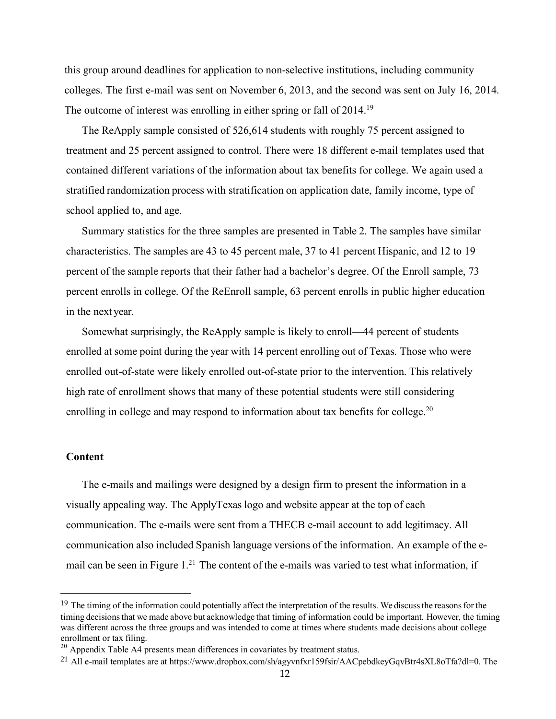this group around deadlines for application to non-selective institutions, including community colleges. The first e-mail was sent on November 6, 2013, and the second was sent on July 16, 2014. The outcome of interest was enrolling in either spring or fall of 2014.<sup>19</sup>

The ReApply sample consisted of 526,614 students with roughly 75 percent assigned to treatment and 25 percent assigned to control. There were 18 different e-mail templates used that contained different variations of the information about tax benefits for college. We again used a stratified randomization process with stratification on application date, family income, type of school applied to, and age.

Summary statistics for the three samples are presented in Table 2. The samples have similar characteristics. The samples are 43 to 45 percent male, 37 to 41 percent Hispanic, and 12 to 19 percent of the sample reports that their father had a bachelor's degree. Of the Enroll sample, 73 percent enrolls in college. Of the ReEnroll sample, 63 percent enrolls in public higher education in the next year.

Somewhat surprisingly, the ReApply sample is likely to enroll—44 percent of students enrolled at some point during the year with 14 percent enrolling out of Texas. Those who were enrolled out-of-state were likely enrolled out-of-state prior to the intervention. This relatively high rate of enrollment shows that many of these potential students were still considering enrolling in college and may respond to information about tax benefits for college.<sup>20</sup>

#### **Content**

The e-mails and mailings were designed by a design firm to present the information in a visually appealing way. The ApplyTexas logo and website appear at the top of each communication. The e-mails were sent from a THECB e-mail account to add legitimacy. All communication also included Spanish language versions of the information. An example of the email can be seen in Figure 1.<sup>21</sup> The content of the e-mails was varied to test what information, if

<sup>&</sup>lt;sup>19</sup> The timing of the information could potentially affect the interpretation of the results. We discuss the reasons for the timing decisionsthat we made above but acknowledge that timing of information could be important. However, the timing was different across the three groups and was intended to come at times where students made decisions about college enrollment or tax filing.

 $20$  Appendix Table A4 presents mean differences in covariates by treatment status.

<sup>21</sup> All e-mail templates are at https://www.dropbox.com/sh/agyvnfxr159fsir/AACpebdkeyGqvBtr4sXL8oTfa?dl=0. The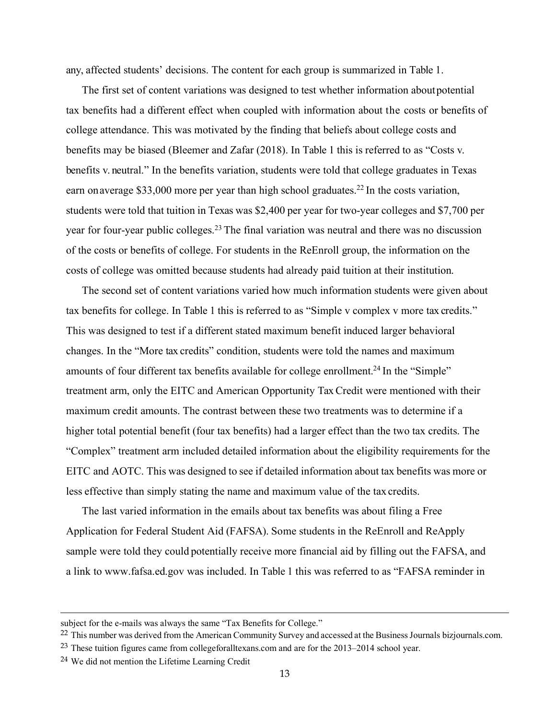any, affected students' decisions. The content for each group is summarized in Table 1.

The first set of content variations was designed to test whether information aboutpotential tax benefits had a different effect when coupled with information about the costs or benefits of college attendance. This was motivated by the finding that beliefs about college costs and benefits may be biased (Bleemer and Zafar (2018). In Table 1 this is referred to as "Costs v. benefits v. neutral." In the benefits variation, students were told that college graduates in Texas earn on average \$33,000 more per year than high school graduates.<sup>22</sup> In the costs variation, students were told that tuition in Texas was \$2,400 per year for two-year colleges and \$7,700 per year for four-year public colleges.23 The final variation was neutral and there was no discussion of the costs or benefits of college. For students in the ReEnroll group, the information on the costs of college was omitted because students had already paid tuition at their institution.

The second set of content variations varied how much information students were given about tax benefits for college. In Table 1 this is referred to as "Simple v complex v more tax credits." This was designed to test if a different stated maximum benefit induced larger behavioral changes. In the "More tax credits" condition, students were told the names and maximum amounts of four different tax benefits available for college enrollment.<sup>24</sup> In the "Simple" treatment arm, only the EITC and American Opportunity Tax Credit were mentioned with their maximum credit amounts. The contrast between these two treatments was to determine if a higher total potential benefit (four tax benefits) had a larger effect than the two tax credits. The "Complex" treatment arm included detailed information about the eligibility requirements for the EITC and AOTC. This was designed to see if detailed information about tax benefits was more or less effective than simply stating the name and maximum value of the tax credits.

The last varied information in the emails about tax benefits was about filing a Free Application for Federal Student Aid (FAFSA). Some students in the ReEnroll and ReApply sample were told they could potentially receive more financial aid by filling out the FAFSA, and a link to www.fafsa.ed.gov was included. In Table 1 this was referred to as "FAFSA reminder in

 $\ddot{\phantom{a}}$ 

subject for the e-mails was always the same "Tax Benefits for College."

<sup>&</sup>lt;sup>22</sup> This number was derived from the American Community Survey and accessed at the Business Journals bizjournals.com.

<sup>&</sup>lt;sup>23</sup> These tuition figures came from collegeforalltexans.com and are for the 2013–2014 school year.

<sup>24</sup> We did not mention the Lifetime Learning Credit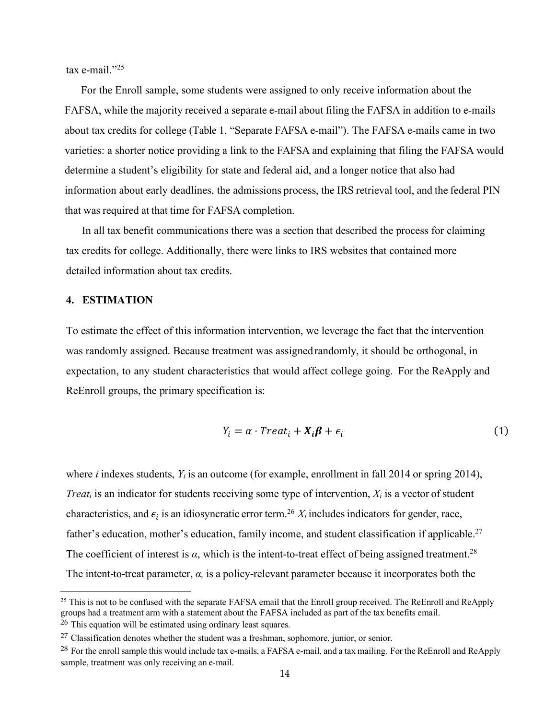tax e-mail $"^{25}$ 

For the Enroll sample, some students were assigned to only receive information about the FAFSA, while the majority received a separate e-mail about filing the FAFSA in addition to e-mails about tax credits for college (Table 1, "Separate FAFSA e-mail"). The FAFSA e-mails came in two varieties: a shorter notice providing a link to the FAFSA and explaining that filing the FAFSA would determine a student's eligibility for state and federal aid, and a longer notice that also had information about early deadlines, the admissions process, the IRS retrieval tool, and the federal PIN that was required at that time for FAFSA completion.

In all tax benefit communications there was a section that described the process for claiming tax credits for college. Additionally, there were links to IRS websites that contained more detailed information about tax credits.

## **4. ESTIMATION**

 $\overline{a}$ 

To estimate the effect of this information intervention, we leverage the fact that the intervention was randomly assigned. Because treatment was assignedrandomly, it should be orthogonal, in expectation, to any student characteristics that would affect college going. For the ReApply and ReEnroll groups, the primary specification is:

$$
Y_i = \alpha \cdot Treat_i + X_i \beta + \epsilon_i \tag{1}
$$

where *i* indexes students,  $Y_i$  is an outcome (for example, enrollment in fall 2014 or spring 2014), *Treat<sub>i</sub>* is an indicator for students receiving some type of intervention,  $X_i$  is a vector of student characteristics, and  $\epsilon_i$  is an idiosyncratic error term.<sup>26</sup>  $X_i$  includes indicators for gender, race, father's education, mother's education, family income, and student classification if applicable.<sup>27</sup> The coefficient of interest is  $\alpha$ , which is the intent-to-treat effect of being assigned treatment.<sup>28</sup> The intent-to-treat parameter, *α,* is a policy-relevant parameter because it incorporates both the

<sup>&</sup>lt;sup>25</sup> This is not to be confused with the separate FAFSA email that the Enroll group received. The ReEnroll and ReApply groups had a treatment arm with a statement about the FAFSA included as part of the tax benefits email.

<sup>&</sup>lt;sup>26</sup> This equation will be estimated using ordinary least squares.

 $27$  Classification denotes whether the student was a freshman, sophomore, junior, or senior.

<sup>&</sup>lt;sup>28</sup> For the enroll sample this would include tax e-mails, a FAFSA e-mail, and a tax mailing. For the ReEnroll and ReApply sample, treatment was only receiving an e-mail.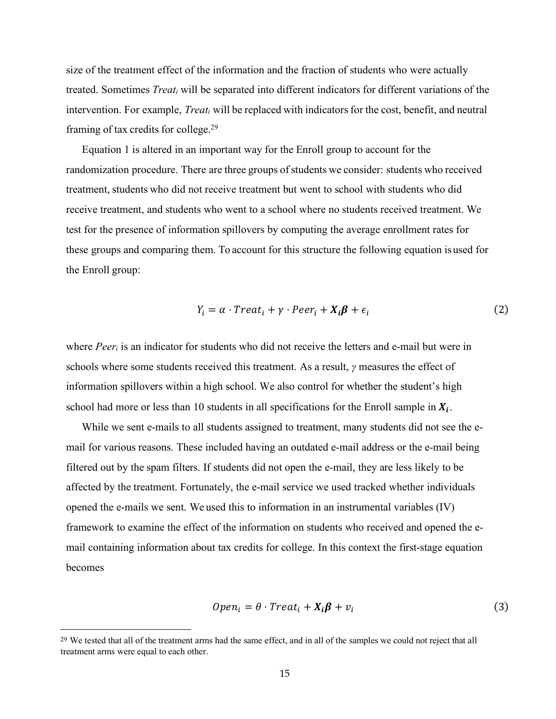size of the treatment effect of the information and the fraction of students who were actually treated. Sometimes *Treati* will be separated into different indicators for different variations of the intervention. For example, *Treat<sub>i</sub>* will be replaced with indicators for the cost, benefit, and neutral framing of tax credits for college.29

Equation 1 is altered in an important way for the Enroll group to account for the randomization procedure. There are three groups of students we consider: students who received treatment, students who did not receive treatment but went to school with students who did receive treatment, and students who went to a school where no students received treatment. We test for the presence of information spillovers by computing the average enrollment rates for these groups and comparing them. To account for this structure the following equation isused for the Enroll group:

$$
Y_i = \alpha \cdot Treat_i + \gamma \cdot peer_i + X_i \beta + \epsilon_i \tag{2}
$$

where *Peeri* is an indicator for students who did not receive the letters and e-mail but were in schools where some students received this treatment. As a result, *γ* measures the effect of information spillovers within a high school. We also control for whether the student's high school had more or less than 10 students in all specifications for the Enroll sample in  $X_i$ .

While we sent e-mails to all students assigned to treatment, many students did not see the email for various reasons. These included having an outdated e-mail address or the e-mail being filtered out by the spam filters. If students did not open the e-mail, they are less likely to be affected by the treatment. Fortunately, the e-mail service we used tracked whether individuals opened the e-mails we sent. We used this to information in an instrumental variables (IV) framework to examine the effect of the information on students who received and opened the email containing information about tax credits for college. In this context the first-stage equation becomes

$$
Open_i = \theta \cdot Treat_i + X_i \beta + v_i \tag{3}
$$

<sup>&</sup>lt;sup>29</sup> We tested that all of the treatment arms had the same effect, and in all of the samples we could not reject that all treatment arms were equal to each other.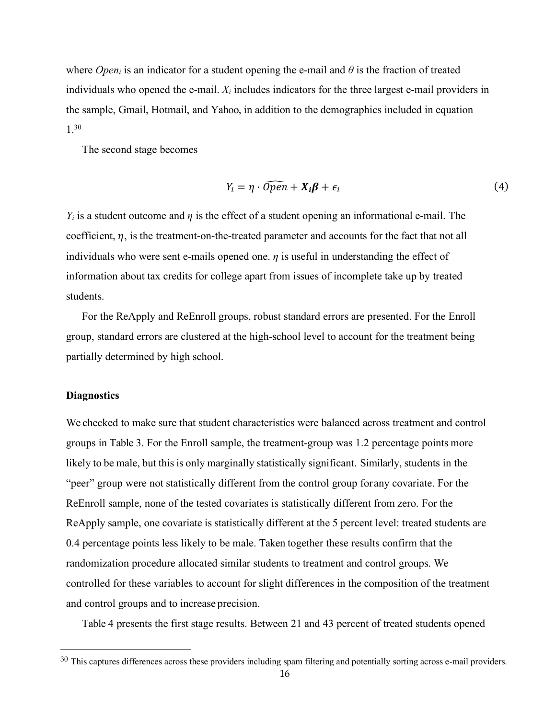where *Open<sub>i</sub>* is an indicator for a student opening the e-mail and  $\theta$  is the fraction of treated individuals who opened the e-mail. *Xi* includes indicators for the three largest e-mail providers in the sample, Gmail, Hotmail, and Yahoo, in addition to the demographics included in equation 1.30

The second stage becomes

$$
Y_i = \eta \cdot \widehat{Open} + X_i \beta + \epsilon_i \tag{4}
$$

*Y<sub>i</sub>* is a student outcome and *η* is the effect of a student opening an informational e-mail. The coefficient,  $\eta$ , is the treatment-on-the-treated parameter and accounts for the fact that not all individuals who were sent e-mails opened one.  $\eta$  is useful in understanding the effect of information about tax credits for college apart from issues of incomplete take up by treated students.

For the ReApply and ReEnroll groups, robust standard errors are presented. For the Enroll group, standard errors are clustered at the high-school level to account for the treatment being partially determined by high school.

#### **Diagnostics**

 $\overline{a}$ 

We checked to make sure that student characteristics were balanced across treatment and control groups in Table 3. For the Enroll sample, the treatment-group was 1.2 percentage points more likely to be male, but this is only marginally statistically significant. Similarly, students in the "peer" group were not statistically different from the control group forany covariate. For the ReEnroll sample, none of the tested covariates is statistically different from zero. For the ReApply sample, one covariate is statistically different at the 5 percent level: treated students are 0.4 percentage points less likely to be male. Taken together these results confirm that the randomization procedure allocated similar students to treatment and control groups. We controlled for these variables to account for slight differences in the composition of the treatment and control groups and to increase precision.

Table 4 presents the first stage results. Between 21 and 43 percent of treated students opened

<sup>&</sup>lt;sup>30</sup> This captures differences across these providers including spam filtering and potentially sorting across e-mail providers.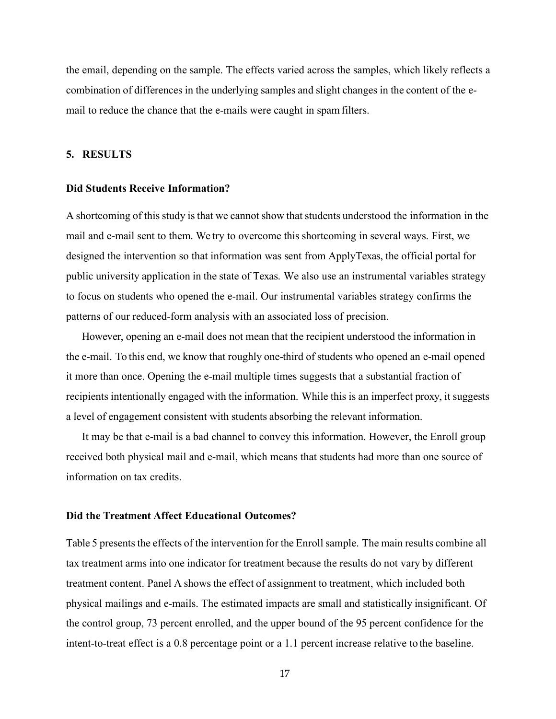the email, depending on the sample. The effects varied across the samples, which likely reflects a combination of differences in the underlying samples and slight changes in the content of the email to reduce the chance that the e-mails were caught in spamfilters.

#### **5. RESULTS**

#### **Did Students Receive Information?**

A shortcoming of thisstudy isthat we cannot show that students understood the information in the mail and e-mail sent to them. We try to overcome this shortcoming in several ways. First, we designed the intervention so that information was sent from ApplyTexas, the official portal for public university application in the state of Texas. We also use an instrumental variables strategy to focus on students who opened the e-mail. Our instrumental variables strategy confirms the patterns of our reduced-form analysis with an associated loss of precision.

However, opening an e-mail does not mean that the recipient understood the information in the e-mail. To this end, we know that roughly one-third of students who opened an e-mail opened it more than once. Opening the e-mail multiple times suggests that a substantial fraction of recipients intentionally engaged with the information. While this is an imperfect proxy, it suggests a level of engagement consistent with students absorbing the relevant information.

It may be that e-mail is a bad channel to convey this information. However, the Enroll group received both physical mail and e-mail, which means that students had more than one source of information on tax credits.

#### **Did the Treatment Affect Educational Outcomes?**

Table 5 presents the effects of the intervention for the Enroll sample. The main results combine all tax treatment arms into one indicator for treatment because the results do not vary by different treatment content. Panel A shows the effect of assignment to treatment, which included both physical mailings and e-mails. The estimated impacts are small and statistically insignificant. Of the control group, 73 percent enrolled, and the upper bound of the 95 percent confidence for the intent-to-treat effect is a 0.8 percentage point or a 1.1 percent increase relative to the baseline.

17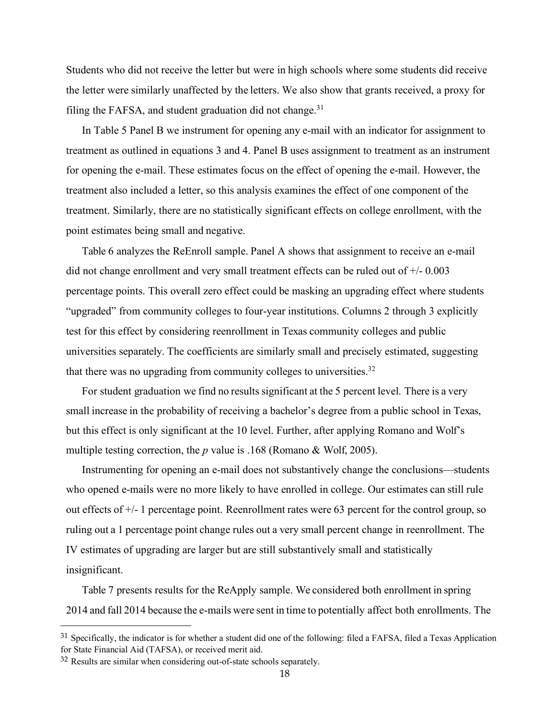Students who did not receive the letter but were in high schools where some students did receive the letter were similarly unaffected by the letters. We also show that grants received, a proxy for filing the FAFSA, and student graduation did not change. $31$ 

In Table 5 Panel B we instrument for opening any e-mail with an indicator for assignment to treatment as outlined in equations 3 and 4. Panel B uses assignment to treatment as an instrument for opening the e-mail. These estimates focus on the effect of opening the e-mail. However, the treatment also included a letter, so this analysis examines the effect of one component of the treatment. Similarly, there are no statistically significant effects on college enrollment, with the point estimates being small and negative.

Table 6 analyzes the ReEnroll sample. Panel A shows that assignment to receive an e-mail did not change enrollment and very small treatment effects can be ruled out of +/- 0.003 percentage points. This overall zero effect could be masking an upgrading effect where students "upgraded" from community colleges to four-year institutions. Columns 2 through 3 explicitly test for this effect by considering reenrollment in Texas community colleges and public universities separately. The coefficients are similarly small and precisely estimated, suggesting that there was no upgrading from community colleges to universities.<sup>32</sup>

For student graduation we find no results significant at the 5 percent level. There is a very small increase in the probability of receiving a bachelor's degree from a public school in Texas, but this effect is only significant at the 10 level. Further, after applying Romano and Wolf's multiple testing correction, the *p* value is .168 (Romano & Wolf, 2005).

Instrumenting for opening an e-mail does not substantively change the conclusions—students who opened e-mails were no more likely to have enrolled in college. Our estimates can still rule out effects of  $+/-1$  percentage point. Reenrollment rates were 63 percent for the control group, so ruling out a 1 percentage point change rules out a very small percent change in reenrollment. The IV estimates of upgrading are larger but are still substantively small and statistically insignificant.

Table 7 presents results for the ReApply sample. We considered both enrollment in spring 2014 and fall 2014 because the e-mails were sent in time to potentially affect both enrollments. The

 $\overline{a}$ 

<sup>&</sup>lt;sup>31</sup> Specifically, the indicator is for whether a student did one of the following: filed a FAFSA, filed a Texas Application for State Financial Aid (TAFSA), or received merit aid.

<sup>32</sup> Results are similar when considering out-of-state schools separately.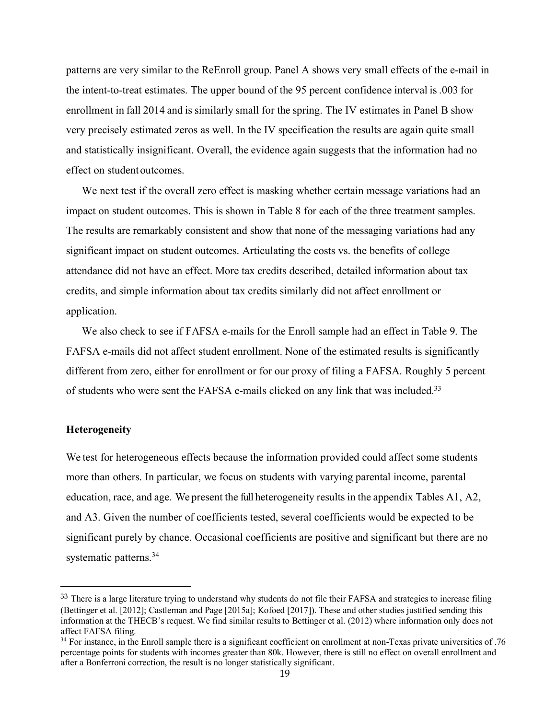patterns are very similar to the ReEnroll group. Panel A shows very small effects of the e-mail in the intent-to-treat estimates. The upper bound of the 95 percent confidence interval is.003 for enrollment in fall 2014 and is similarly small for the spring. The IV estimates in Panel B show very precisely estimated zeros as well. In the IV specification the results are again quite small and statistically insignificant. Overall, the evidence again suggests that the information had no effect on student outcomes.

We next test if the overall zero effect is masking whether certain message variations had an impact on student outcomes. This is shown in Table 8 for each of the three treatment samples. The results are remarkably consistent and show that none of the messaging variations had any significant impact on student outcomes. Articulating the costs vs. the benefits of college attendance did not have an effect. More tax credits described, detailed information about tax credits, and simple information about tax credits similarly did not affect enrollment or application.

We also check to see if FAFSA e-mails for the Enroll sample had an effect in Table 9. The FAFSA e-mails did not affect student enrollment. None of the estimated results is significantly different from zero, either for enrollment or for our proxy of filing a FAFSA. Roughly 5 percent of students who were sent the FAFSA e-mails clicked on any link that was included.33

#### **Heterogeneity**

 $\overline{a}$ 

We test for heterogeneous effects because the information provided could affect some students more than others. In particular, we focus on students with varying parental income, parental education, race, and age. We present the full heterogeneity resultsin the appendix Tables A1, A2, and A3. Given the number of coefficients tested, several coefficients would be expected to be significant purely by chance. Occasional coefficients are positive and significant but there are no systematic patterns.<sup>34</sup>

<sup>&</sup>lt;sup>33</sup> There is a large literature trying to understand why students do not file their FAFSA and strategies to increase filing (Bettinger et al. [2012]; Castleman and Page [2015a]; Kofoed [2017]). These and other studies justified sending this information at the THECB's request. We find similar results to Bettinger et al. (2012) where information only does not affect FAFSA filing.

<sup>34</sup> For instance, in the Enroll sample there is a significant coefficient on enrollment at non-Texas private universities of .76 percentage points for students with incomes greater than 80k. However, there is still no effect on overall enrollment and after a Bonferroni correction, the result is no longer statistically significant.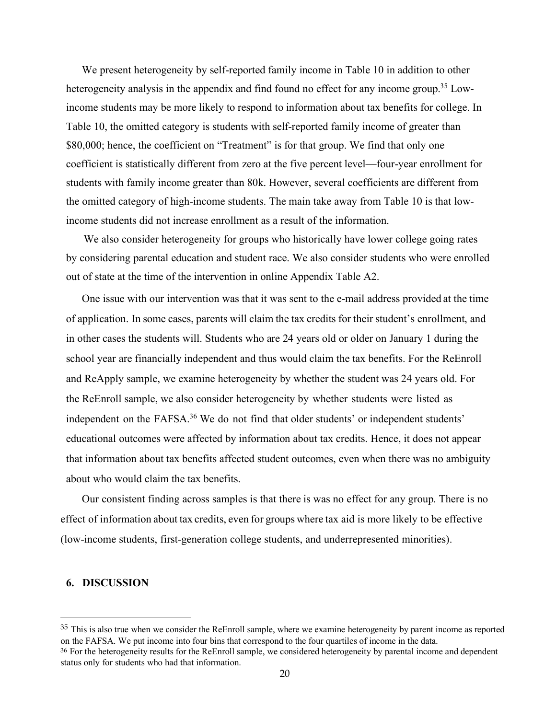We present heterogeneity by self-reported family income in Table 10 in addition to other heterogeneity analysis in the appendix and find found no effect for any income group.<sup>35</sup> Lowincome students may be more likely to respond to information about tax benefits for college. In Table 10, the omitted category is students with self-reported family income of greater than \$80,000; hence, the coefficient on "Treatment" is for that group. We find that only one coefficient is statistically different from zero at the five percent level—four-year enrollment for students with family income greater than 80k. However, several coefficients are different from the omitted category of high-income students. The main take away from Table 10 is that lowincome students did not increase enrollment as a result of the information.

We also consider heterogeneity for groups who historically have lower college going rates by considering parental education and student race. We also consider students who were enrolled out of state at the time of the intervention in online Appendix Table A2.

One issue with our intervention was that it was sent to the e-mail address provided at the time of application. In some cases, parents will claim the tax credits for their student's enrollment, and in other cases the students will. Students who are 24 years old or older on January 1 during the school year are financially independent and thus would claim the tax benefits. For the ReEnroll and ReApply sample, we examine heterogeneity by whether the student was 24 years old. For the ReEnroll sample, we also consider heterogeneity by whether students were listed as independent on the FAFSA.<sup>36</sup> We do not find that older students' or independent students' educational outcomes were affected by information about tax credits. Hence, it does not appear that information about tax benefits affected student outcomes, even when there was no ambiguity about who would claim the tax benefits.

Our consistent finding across samples is that there is was no effect for any group. There is no effect of information about tax credits, even for groups where tax aid is more likely to be effective (low-income students, first-generation college students, and underrepresented minorities).

#### **6. DISCUSSION**

<sup>&</sup>lt;sup>35</sup> This is also true when we consider the ReEnroll sample, where we examine heterogeneity by parent income as reported on the FAFSA. We put income into four bins that correspond to the four quartiles of income in the data.

<sup>36</sup> For the heterogeneity results for the ReEnroll sample, we considered heterogeneity by parental income and dependent status only for students who had that information.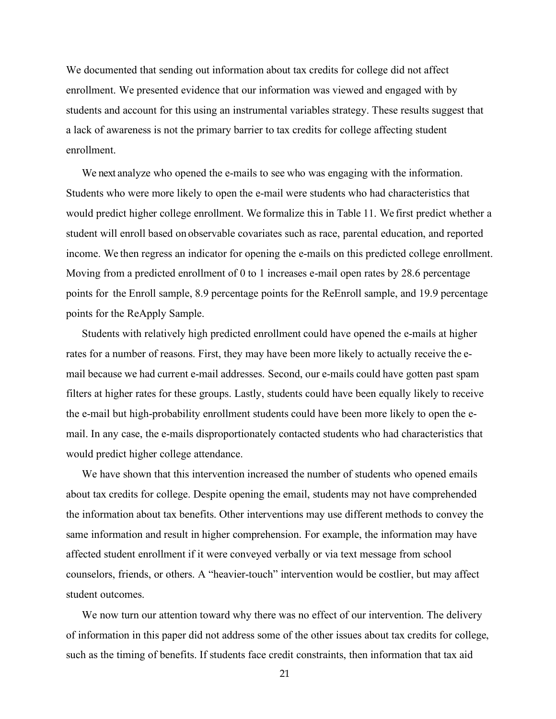We documented that sending out information about tax credits for college did not affect enrollment. We presented evidence that our information was viewed and engaged with by students and account for this using an instrumental variables strategy. These results suggest that a lack of awareness is not the primary barrier to tax credits for college affecting student enrollment.

We next analyze who opened the e-mails to see who was engaging with the information. Students who were more likely to open the e-mail were students who had characteristics that would predict higher college enrollment. We formalize this in Table 11. We first predict whether a student will enroll based on observable covariates such as race, parental education, and reported income. We then regress an indicator for opening the e-mails on this predicted college enrollment. Moving from a predicted enrollment of 0 to 1 increases e-mail open rates by 28.6 percentage points for the Enroll sample, 8.9 percentage points for the ReEnroll sample, and 19.9 percentage points for the ReApply Sample.

Students with relatively high predicted enrollment could have opened the e-mails at higher rates for a number of reasons. First, they may have been more likely to actually receive the email because we had current e-mail addresses. Second, our e-mails could have gotten past spam filters at higher rates for these groups. Lastly, students could have been equally likely to receive the e-mail but high-probability enrollment students could have been more likely to open the email. In any case, the e-mails disproportionately contacted students who had characteristics that would predict higher college attendance.

We have shown that this intervention increased the number of students who opened emails about tax credits for college. Despite opening the email, students may not have comprehended the information about tax benefits. Other interventions may use different methods to convey the same information and result in higher comprehension. For example, the information may have affected student enrollment if it were conveyed verbally or via text message from school counselors, friends, or others. A "heavier-touch" intervention would be costlier, but may affect student outcomes.

We now turn our attention toward why there was no effect of our intervention. The delivery of information in this paper did not address some of the other issues about tax credits for college, such as the timing of benefits. If students face credit constraints, then information that tax aid

21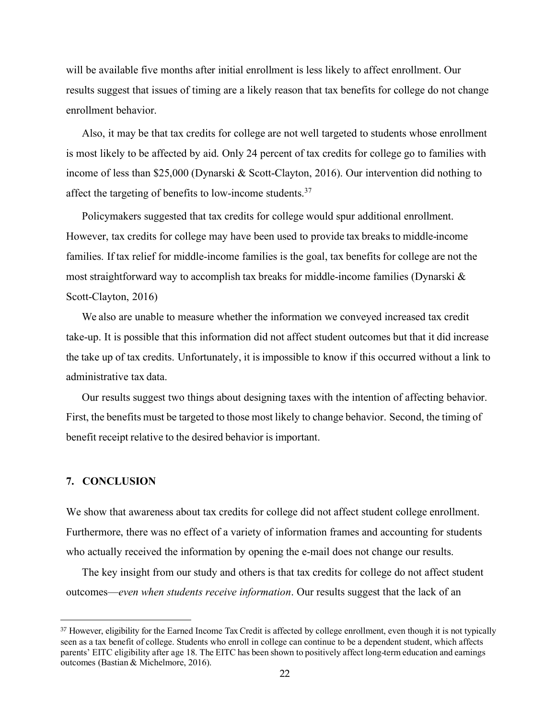will be available five months after initial enrollment is less likely to affect enrollment. Our results suggest that issues of timing are a likely reason that tax benefits for college do not change enrollment behavior.

Also, it may be that tax credits for college are not well targeted to students whose enrollment is most likely to be affected by aid. Only 24 percent of tax credits for college go to families with income of less than \$25,000 (Dynarski & Scott-Clayton, 2016). Our intervention did nothing to affect the targeting of benefits to low-income students.37

Policymakers suggested that tax credits for college would spur additional enrollment. However, tax credits for college may have been used to provide tax breaks to middle-income families. If tax relief for middle-income families is the goal, tax benefits for college are not the most straightforward way to accomplish tax breaks for middle-income families (Dynarski & Scott-Clayton, 2016)

We also are unable to measure whether the information we conveyed increased tax credit take-up. It is possible that this information did not affect student outcomes but that it did increase the take up of tax credits. Unfortunately, it is impossible to know if this occurred without a link to administrative tax data.

Our results suggest two things about designing taxes with the intention of affecting behavior. First, the benefits must be targeted to those most likely to change behavior. Second, the timing of benefit receipt relative to the desired behavior is important.

#### **7. CONCLUSION**

We show that awareness about tax credits for college did not affect student college enrollment. Furthermore, there was no effect of a variety of information frames and accounting for students who actually received the information by opening the e-mail does not change our results.

The key insight from our study and others is that tax credits for college do not affect student outcomes—*even when students receive information*. Our results suggest that the lack of an

 <sup>37</sup> However, eligibility for the Earned Income Tax Credit is affected by college enrollment, even though it is not typically seen as a tax benefit of college. Students who enroll in college can continue to be a dependent student, which affects parents' EITC eligibility after age 18. The EITC has been shown to positively affect long-term education and earnings outcomes (Bastian & Michelmore, 2016).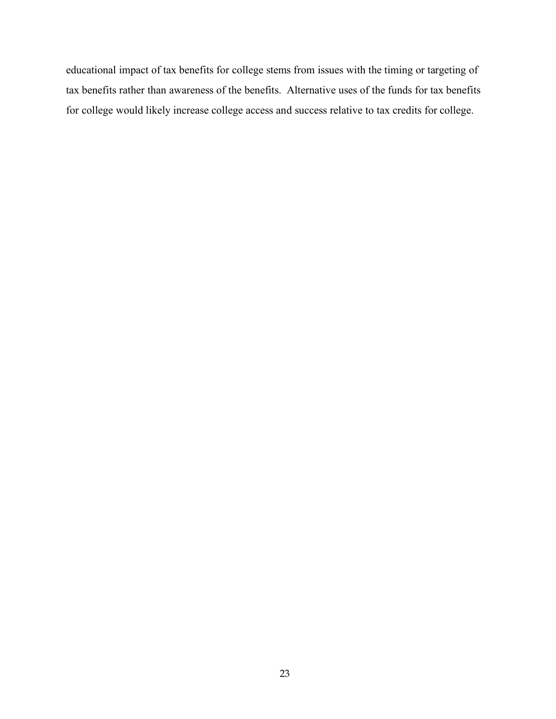educational impact of tax benefits for college stems from issues with the timing or targeting of tax benefits rather than awareness of the benefits. Alternative uses of the funds for tax benefits for college would likely increase college access and success relative to tax credits for college.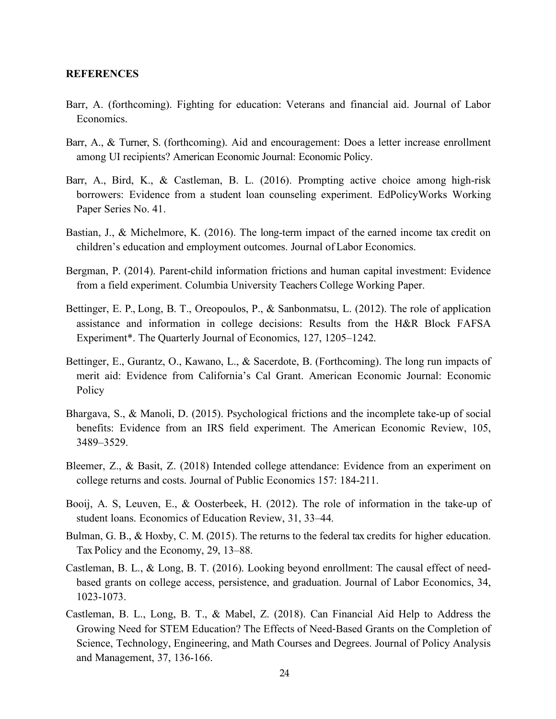#### **REFERENCES**

- Barr, A. (forthcoming). Fighting for education: Veterans and financial aid. Journal of Labor Economics.
- Barr, A., & Turner, S. (forthcoming). Aid and encouragement: Does a letter increase enrollment among UI recipients? American Economic Journal: Economic Policy.
- Barr, A., Bird, K., & Castleman, B. L. (2016). Prompting active choice among high-risk borrowers: Evidence from a student loan counseling experiment. EdPolicyWorks Working Paper Series No. 41.
- Bastian, J., & Michelmore, K. (2016). The long-term impact of the earned income tax credit on children's education and employment outcomes. Journal of Labor Economics.
- Bergman, P. (2014). Parent-child information frictions and human capital investment: Evidence from a field experiment. Columbia University Teachers College Working Paper.
- Bettinger, E. P., Long, B. T., Oreopoulos, P., & Sanbonmatsu, L. (2012). The role of application assistance and information in college decisions: Results from the H&R Block FAFSA Experiment\*. The Quarterly Journal of Economics, 127, 1205–1242.
- Bettinger, E., Gurantz, O., Kawano, L., & Sacerdote, B. (Forthcoming). The long run impacts of merit aid: Evidence from California's Cal Grant. American Economic Journal: Economic Policy
- Bhargava, S., & Manoli, D. (2015). Psychological frictions and the incomplete take-up of social benefits: Evidence from an IRS field experiment. The American Economic Review, 105, 3489–3529.
- Bleemer, Z., & Basit, Z. (2018) Intended college attendance: Evidence from an experiment on college returns and costs. Journal of Public Economics 157: 184-211.
- Booij, A. S, Leuven, E., & Oosterbeek, H. (2012). The role of information in the take-up of student loans. Economics of Education Review, 31, 33–44.
- Bulman, G. B., & Hoxby, C. M. (2015). The returns to the federal tax credits for higher education. Tax Policy and the Economy, 29, 13–88.
- Castleman, B. L., & Long, B. T. (2016). Looking beyond enrollment: The causal effect of needbased grants on college access, persistence, and graduation. Journal of Labor Economics, 34, 1023-1073.
- Castleman, B. L., Long, B. T., & Mabel, Z. (2018). Can Financial Aid Help to Address the Growing Need for STEM Education? The Effects of Need-Based Grants on the Completion of Science, Technology, Engineering, and Math Courses and Degrees. Journal of Policy Analysis and Management, 37, 136-166.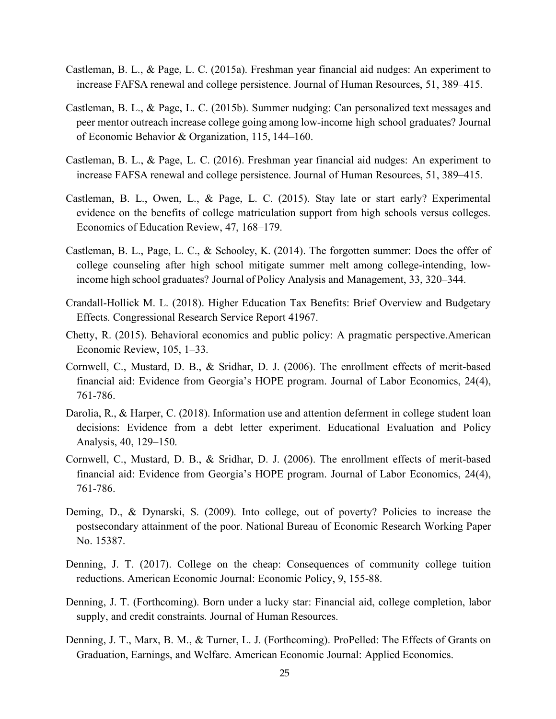- Castleman, B. L., & Page, L. C. (2015a). Freshman year financial aid nudges: An experiment to increase FAFSA renewal and college persistence. Journal of Human Resources, 51, 389–415.
- Castleman, B. L., & Page, L. C. (2015b). Summer nudging: Can personalized text messages and peer mentor outreach increase college going among low-income high school graduates? Journal of Economic Behavior & Organization, 115, 144–160.
- Castleman, B. L., & Page, L. C. (2016). Freshman year financial aid nudges: An experiment to increase FAFSA renewal and college persistence. Journal of Human Resources, 51, 389–415.
- Castleman, B. L., Owen, L., & Page, L. C. (2015). Stay late or start early? Experimental evidence on the benefits of college matriculation support from high schools versus colleges. Economics of Education Review, 47, 168–179.
- Castleman, B. L., Page, L. C., & Schooley, K. (2014). The forgotten summer: Does the offer of college counseling after high school mitigate summer melt among college-intending, lowincome high school graduates? Journal of Policy Analysis and Management, 33, 320–344.
- Crandall-Hollick M. L. (2018). Higher Education Tax Benefits: Brief Overview and Budgetary Effects. Congressional Research Service Report 41967.
- Chetty, R. (2015). Behavioral economics and public policy: A pragmatic perspective.American Economic Review, 105, 1–33.
- Cornwell, C., Mustard, D. B., & Sridhar, D. J. (2006). The enrollment effects of merit-based financial aid: Evidence from Georgia's HOPE program. Journal of Labor Economics, 24(4), 761-786.
- Darolia, R., & Harper, C. (2018). Information use and attention deferment in college student loan decisions: Evidence from a debt letter experiment. Educational Evaluation and Policy Analysis, 40, 129–150.
- Cornwell, C., Mustard, D. B., & Sridhar, D. J. (2006). The enrollment effects of merit-based financial aid: Evidence from Georgia's HOPE program. Journal of Labor Economics, 24(4), 761-786.
- Deming, D., & Dynarski, S. (2009). Into college, out of poverty? Policies to increase the postsecondary attainment of the poor. National Bureau of Economic Research Working Paper No. 15387.
- Denning, J. T. (2017). College on the cheap: Consequences of community college tuition reductions. American Economic Journal: Economic Policy, 9, 155-88.
- Denning, J. T. (Forthcoming). Born under a lucky star: Financial aid, college completion, labor supply, and credit constraints. Journal of Human Resources.
- Denning, J. T., Marx, B. M., & Turner, L. J. (Forthcoming). ProPelled: The Effects of Grants on Graduation, Earnings, and Welfare. American Economic Journal: Applied Economics.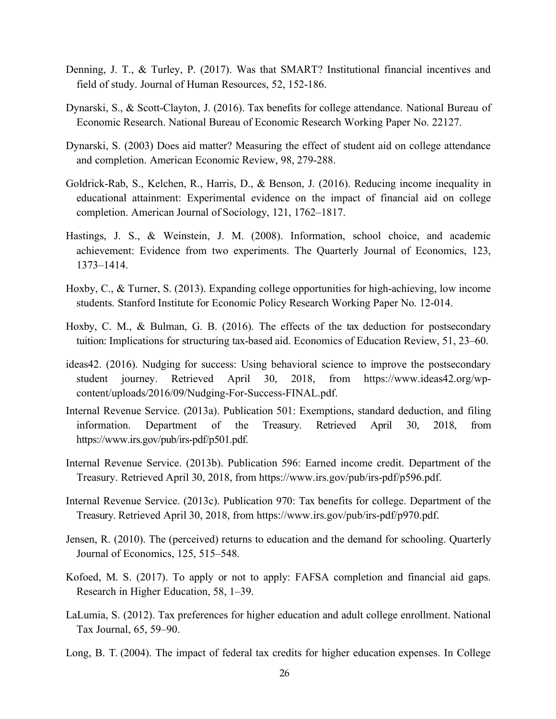- Denning, J. T., & Turley, P. (2017). Was that SMART? Institutional financial incentives and field of study. Journal of Human Resources, 52, 152-186.
- Dynarski, S., & Scott-Clayton, J. (2016). Tax benefits for college attendance. National Bureau of Economic Research. National Bureau of Economic Research Working Paper No. 22127.
- Dynarski, S. (2003) Does aid matter? Measuring the effect of student aid on college attendance and completion. American Economic Review, 98, 279-288.
- Goldrick-Rab, S., Kelchen, R., Harris, D., & Benson, J. (2016). Reducing income inequality in educational attainment: Experimental evidence on the impact of financial aid on college completion. American Journal of Sociology, 121, 1762–1817.
- Hastings, J. S., & Weinstein, J. M. (2008). Information, school choice, and academic achievement: Evidence from two experiments. The Quarterly Journal of Economics, 123, 1373–1414.
- Hoxby, C., & Turner, S. (2013). Expanding college opportunities for high-achieving, low income students. Stanford Institute for Economic Policy Research Working Paper No. 12-014.
- Hoxby, C. M., & Bulman, G. B. (2016). The effects of the tax deduction for postsecondary tuition: Implications for structuring tax-based aid. Economics of Education Review, 51, 23–60.
- ideas42. (2016). Nudging for success: Using behavioral science to improve the postsecondary student journey. Retrieved April 30, 2018, from https://www.ideas42.org/wpcontent/uploads/2016/09/Nudging-For-Success-FINAL.pdf.
- Internal Revenue Service. (2013a). Publication 501: Exemptions, standard deduction, and filing information. Department of the Treasury. Retrieved April 30, 2018, from https://www.irs.gov/pub/irs-pdf/p501.pdf.
- Internal Revenue Service. (2013b). Publication 596: Earned income credit. Department of the Treasury. Retrieved April 30, 2018, from https://www.irs.gov/pub/irs-pdf/p596.pdf.
- Internal Revenue Service. (2013c). Publication 970: Tax benefits for college. Department of the Treasury. Retrieved April 30, 2018, from https://www.irs.gov/pub/irs-pdf/p970.pdf.
- Jensen, R. (2010). The (perceived) returns to education and the demand for schooling. Quarterly Journal of Economics, 125, 515–548.
- Kofoed, M. S. (2017). To apply or not to apply: FAFSA completion and financial aid gaps. Research in Higher Education, 58, 1–39.
- LaLumia, S. (2012). Tax preferences for higher education and adult college enrollment. National Tax Journal, 65, 59–90.
- Long, B. T. (2004). The impact of federal tax credits for higher education expenses. In College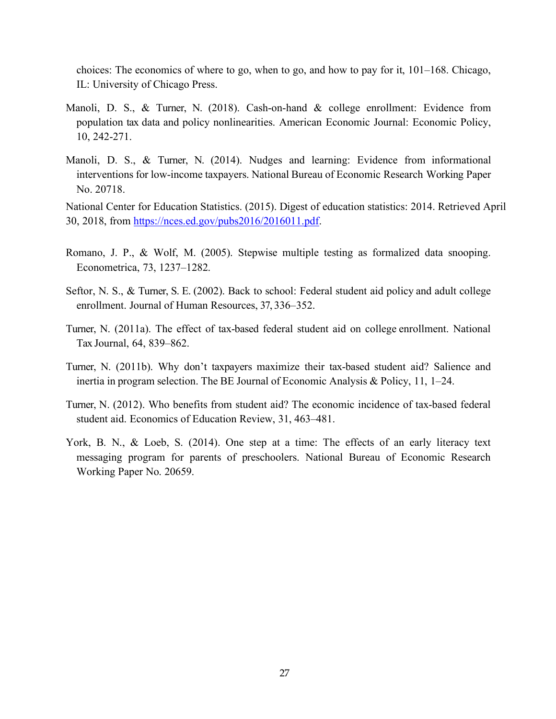choices: The economics of where to go, when to go, and how to pay for it, 101–168. Chicago, IL: University of Chicago Press.

- Manoli, D. S., & Turner, N. (2018). Cash-on-hand & college enrollment: Evidence from population tax data and policy nonlinearities. American Economic Journal: Economic Policy, 10, 242-271.
- Manoli, D. S., & Turner, N. (2014). Nudges and learning: Evidence from informational interventions for low-income taxpayers. National Bureau of Economic Research Working Paper No. 20718.

National Center for Education Statistics. (2015). Digest of education statistics: 2014. Retrieved April 30, 2018, from https://nces.ed.gov/pubs2016/2016011.pdf.

- Romano, J. P., & Wolf, M. (2005). Stepwise multiple testing as formalized data snooping. Econometrica, 73, 1237–1282.
- Seftor, N. S., & Turner, S. E. (2002). Back to school: Federal student aid policy and adult college enrollment. Journal of Human Resources, 37, 336–352.
- Turner, N. (2011a). The effect of tax-based federal student aid on college enrollment. National Tax Journal, 64, 839–862.
- Turner, N. (2011b). Why don't taxpayers maximize their tax-based student aid? Salience and inertia in program selection. The BE Journal of Economic Analysis & Policy, 11, 1–24.
- Turner, N. (2012). Who benefits from student aid? The economic incidence of tax-based federal student aid. Economics of Education Review, 31, 463–481.
- York, B. N., & Loeb, S. (2014). One step at a time: The effects of an early literacy text messaging program for parents of preschoolers. National Bureau of Economic Research Working Paper No. 20659.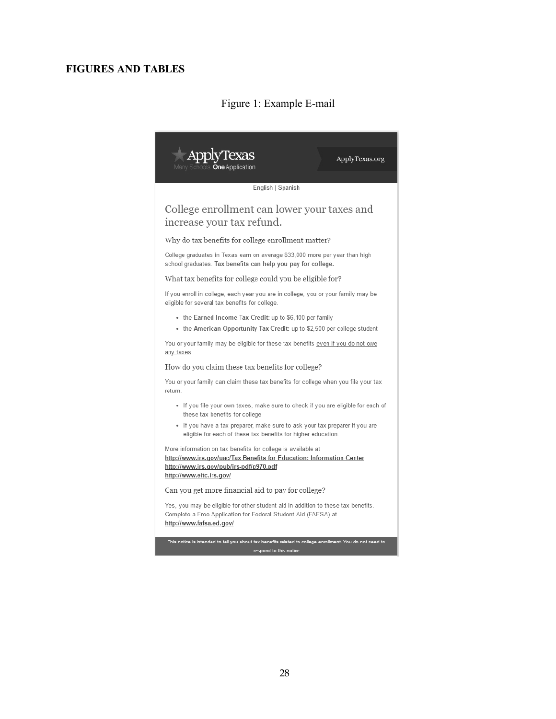# **FIGURES AND TABLES**

# Figure 1: Example E-mail

I.

| olvTexas<br>ApplyTexas.org                                                                                                                                                                                   |
|--------------------------------------------------------------------------------------------------------------------------------------------------------------------------------------------------------------|
| Viany Schools <b>One Application</b>                                                                                                                                                                         |
| English   Spanish                                                                                                                                                                                            |
| College enrollment can lower your taxes and<br>increase your tax refund.                                                                                                                                     |
| Why do tax benefits for college enrollment matter?                                                                                                                                                           |
| College graduates in Texas earn on average \$33,000 more per year than high<br>school graduates. Tax benefits can help you pay for college.                                                                  |
| What tax benefits for college could you be eligible for?                                                                                                                                                     |
| If you enroll in college, each year you are in college, you or your family may be<br>eligible for several tax benefits for college.                                                                          |
| • the Earned Income Tax Credit: up to \$6,100 per family<br>• the American Opportunity Tax Credit: up to \$2,500 per college student                                                                         |
| You or your family may be eligible for these tax benefits even if you do not owe<br>any taxes.                                                                                                               |
| How do you claim these tax benefits for college?                                                                                                                                                             |
| You or your family can claim these tax benefits for college when you file your tax<br>return.                                                                                                                |
| • If you file your own taxes, make sure to check if you are eligible for each of<br>these tax benefits for college                                                                                           |
| • If you have a tax preparer, make sure to ask your tax preparer if you are<br>eligible for each of these tax benefits for higher education.                                                                 |
| More information on tax benefits for college is available at<br>http://www.irs.gov/uac/Tax-Benefits-for-Education:-Information-Center<br>http://www.irs.gov/pub/irs-pdf/p970.pdf<br>http://www.eitc.irs.gov/ |
| Can you get more financial aid to pay for college?                                                                                                                                                           |
| Yes, you may be eligible for other student aid in addition to these tax benefits.<br>Complete a Free Application for Federal Student Aid (FAFSA) at<br>http://www.fafsa.ed.gov/                              |
| This notice is intended to tell you about tax benefits related to college enrollment. You do not need to<br>respond to this notice                                                                           |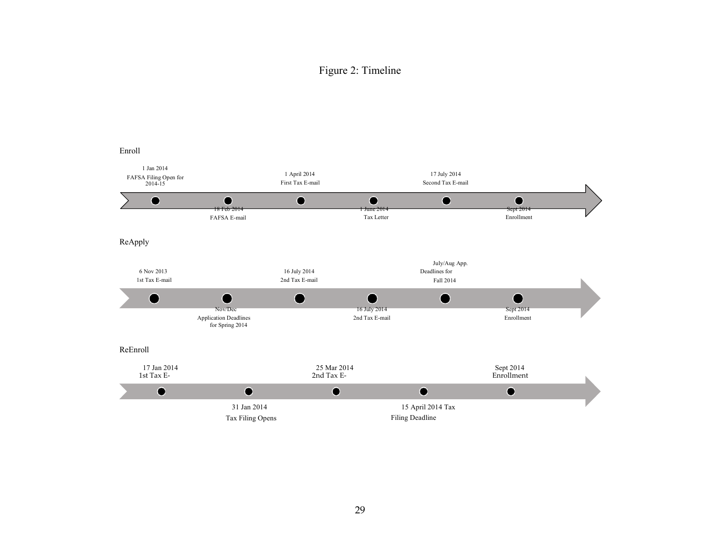# Figure 2: Timeline

#### Enroll

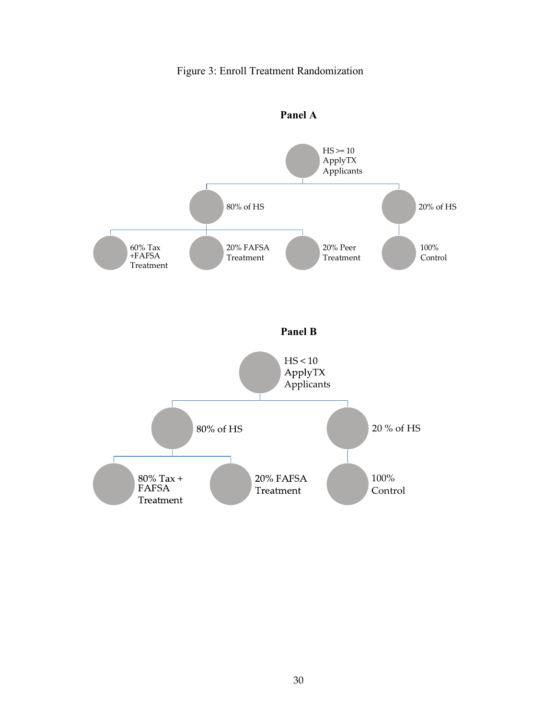# Figure 3: Enroll Treatment Randomization



**Panel A**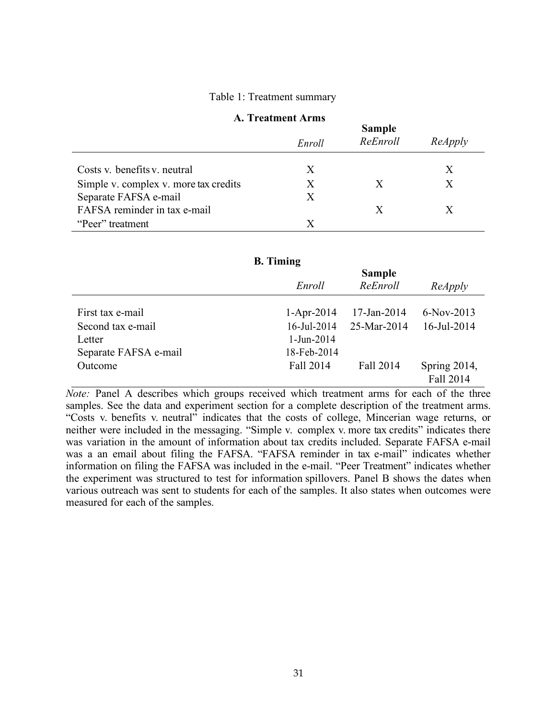#### Table 1: Treatment summary

#### **A. Treatment Arms**

|                                       | <b>Sample</b> |          |         |  |  |
|---------------------------------------|---------------|----------|---------|--|--|
|                                       | Enroll        | ReEnroll | ReApply |  |  |
|                                       |               |          |         |  |  |
| Costs v. benefits v. neutral          | X             |          |         |  |  |
| Simple v. complex v. more tax credits | X             | X        | X       |  |  |
| Separate FAFSA e-mail                 | X             |          |         |  |  |
| FAFSA reminder in tax e-mail          |               |          |         |  |  |
| "Peer" treatment                      | X             |          |         |  |  |

#### **B. Timing**

|                       | <b>Sample</b>  |             |              |  |  |
|-----------------------|----------------|-------------|--------------|--|--|
|                       | Enroll         | ReEnroll    | ReApply      |  |  |
|                       |                |             |              |  |  |
| First tax e-mail      | $1-Apr-2014$   | 17-Jan-2014 | $6-Nov-2013$ |  |  |
| Second tax e-mail     | $16$ -Jul-2014 | 25-Mar-2014 | 16-Jul-2014  |  |  |
| Letter                | $1-Jun-2014$   |             |              |  |  |
| Separate FAFSA e-mail | 18-Feb-2014    |             |              |  |  |
| Outcome               | Fall 2014      | Fall 2014   | Spring 2014, |  |  |
|                       |                |             | Fall 2014    |  |  |

*Note:* Panel A describes which groups received which treatment arms for each of the three samples. See the data and experiment section for a complete description of the treatment arms. "Costs v. benefits v. neutral" indicates that the costs of college, Mincerian wage returns, or neither were included in the messaging. "Simple v. complex v. more tax credits" indicates there was variation in the amount of information about tax credits included. Separate FAFSA e-mail was a an email about filing the FAFSA. "FAFSA reminder in tax e-mail" indicates whether information on filing the FAFSA was included in the e-mail. "Peer Treatment" indicates whether the experiment was structured to test for information spillovers. Panel B shows the dates when various outreach was sent to students for each of the samples. It also states when outcomes were measured for each of the samples.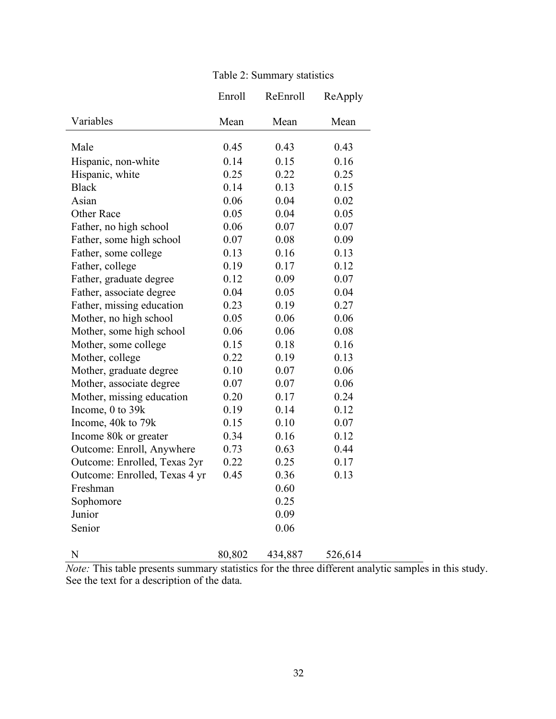| Table 2: Summary statistics |  |
|-----------------------------|--|
|-----------------------------|--|

|                               | Enroll       | ReEnroll | ReApply |
|-------------------------------|--------------|----------|---------|
| Variables                     | Mean         | Mean     | Mean    |
| Male                          | 0.45         | 0.43     | 0.43    |
| Hispanic, non-white           | 0.14         | 0.15     | 0.16    |
| Hispanic, white               | 0.25         | 0.22     | 0.25    |
| <b>Black</b>                  | 0.14         | 0.13     | 0.15    |
| Asian                         | 0.06         | 0.04     | 0.02    |
| Other Race                    | 0.05         | 0.04     | 0.05    |
| Father, no high school        | 0.06         | 0.07     | 0.07    |
| Father, some high school      | 0.07         | 0.08     | 0.09    |
| Father, some college          | 0.13         | 0.16     | 0.13    |
| Father, college               | 0.19         | 0.17     | 0.12    |
| Father, graduate degree       | 0.12         | 0.09     | 0.07    |
| Father, associate degree      | 0.04         | 0.05     | 0.04    |
| Father, missing education     | 0.23         | 0.19     | 0.27    |
| Mother, no high school        | 0.05         | 0.06     | 0.06    |
| Mother, some high school      | 0.06         | 0.06     | 0.08    |
| Mother, some college          | 0.15         | 0.18     | 0.16    |
| Mother, college               | 0.22         | 0.19     | 0.13    |
| Mother, graduate degree       | 0.10         | 0.07     | 0.06    |
| Mother, associate degree      | 0.07         | 0.07     | 0.06    |
| Mother, missing education     | 0.20         | 0.17     | 0.24    |
| Income, 0 to 39k              | 0.19         | 0.14     | 0.12    |
| Income, 40k to 79k            | 0.15         | 0.10     | 0.07    |
|                               | 0.34         | 0.16     | 0.12    |
| Income 80k or greater         |              |          |         |
| Outcome: Enroll, Anywhere     | 0.73<br>0.22 | 0.63     | 0.44    |
| Outcome: Enrolled, Texas 2yr  |              | 0.25     | 0.17    |
| Outcome: Enrolled, Texas 4 yr | 0.45         | 0.36     | 0.13    |
| Freshman                      |              | 0.60     |         |
| Sophomore                     |              | 0.25     |         |
| Junior                        |              | 0.09     |         |
| Senior                        |              | 0.06     |         |
| N                             | 80,802       | 434,887  | 526,614 |

*Note:* This table presents summary statistics for the three different analytic samples in this study. See the text for a description of the data.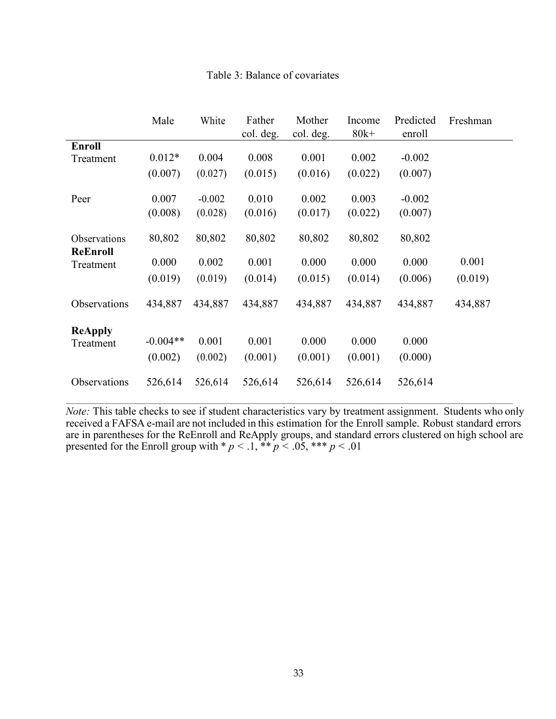|                              | Male       | White    | Father    | Mother    | Income  | Predicted | Freshman |
|------------------------------|------------|----------|-----------|-----------|---------|-----------|----------|
|                              |            |          | col. deg. | col. deg. | $80k+$  | enroll    |          |
| <b>Enroll</b><br>Treatment   | $0.012*$   | 0.004    | 0.008     | 0.001     | 0.002   | $-0.002$  |          |
|                              | (0.007)    | (0.027)  | (0.015)   | (0.016)   | (0.022) | (0.007)   |          |
| Peer                         | 0.007      | $-0.002$ | 0.010     | 0.002     | 0.003   | $-0.002$  |          |
|                              | (0.008)    | (0.028)  | (0.016)   | (0.017)   | (0.022) | (0.007)   |          |
| Observations                 | 80,802     | 80,802   | 80,802    | 80,802    | 80,802  | 80,802    |          |
| <b>ReEnroll</b><br>Treatment | 0.000      | 0.002    | 0.001     | 0.000     | 0.000   | 0.000     | 0.001    |
|                              | (0.019)    | (0.019)  | (0.014)   | (0.015)   | (0.014) | (0.006)   | (0.019)  |
| Observations                 | 434,887    | 434,887  | 434,887   | 434,887   | 434,887 | 434,887   | 434,887  |
| <b>ReApply</b>               |            |          |           |           |         |           |          |
| Treatment                    | $-0.004**$ | 0.001    | 0.001     | 0.000     | 0.000   | 0.000     |          |
|                              | (0.002)    | (0.002)  | (0.001)   | (0.001)   | (0.001) | (0.000)   |          |
| Observations                 | 526,614    | 526,614  | 526,614   | 526,614   | 526,614 | 526,614   |          |

# Table 3: Balance of covariates

*Note:* This table checks to see if student characteristics vary by treatment assignment. Students who only received a FAFSA e-mail are not included in this estimation for the Enroll sample. Robust standard errors are in parentheses for the ReEnroll and ReApply groups, and standard errors clustered on high school are presented for the Enroll group with  $p < 0.1$ ,  $\ast p < 0.05$ ,  $\ast \ast p < 0.01$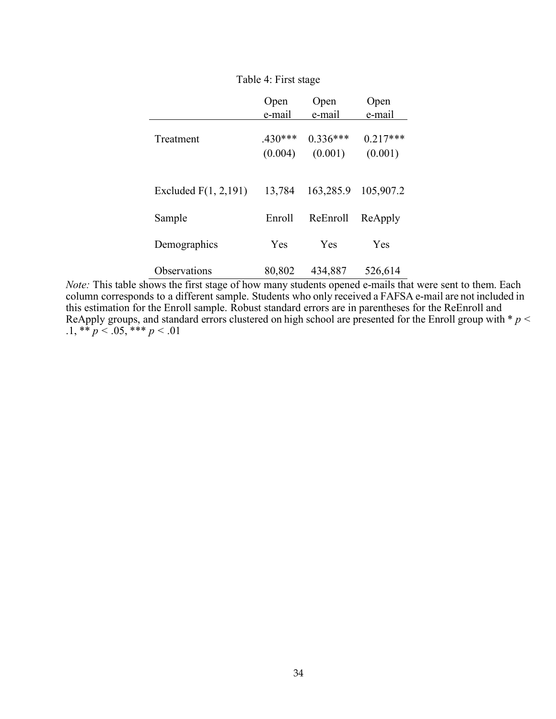|                         | Open<br>e-mail       | Open<br>e-mail        | Open<br>e-mail        |
|-------------------------|----------------------|-----------------------|-----------------------|
| Treatment               | $.430***$<br>(0.004) | $0.336***$<br>(0.001) | $0.217***$<br>(0.001) |
| Excluded $F(1, 2, 191)$ | 13,784               | 163,285.9             | 105,907.2             |
| Sample                  | Enroll               | ReEnroll              | ReApply               |
| Demographics            | <b>Yes</b>           | Yes                   | Yes                   |
| Observations            | 80,802               | 434,887               | 526,614               |

## Table 4: First stage

*Note:* This table shows the first stage of how many students opened e-mails that were sent to them. Each column corresponds to a different sample. Students who only received a FAFSA e-mail are not included in this estimation for the Enroll sample. Robust standard errors are in parentheses for the ReEnroll and ReApply groups, and standard errors clustered on high school are presented for the Enroll group with \* *p <* .1, \*\*  $p < .05$ , \*\*\*  $p < .01$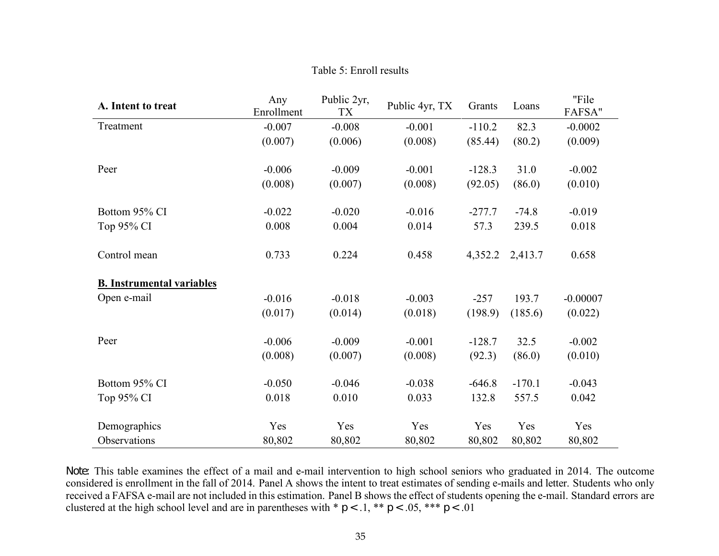| A. Intent to treat               | Any<br>Enrollment | Public 2yr,<br>TX | Public 4yr, TX | Grants   | Loans    | "File<br>FAFSA" |
|----------------------------------|-------------------|-------------------|----------------|----------|----------|-----------------|
| Treatment                        | $-0.007$          | $-0.008$          | $-0.001$       | $-110.2$ | 82.3     | $-0.0002$       |
|                                  | (0.007)           | (0.006)           | (0.008)        | (85.44)  | (80.2)   | (0.009)         |
| Peer                             | $-0.006$          | $-0.009$          | $-0.001$       | $-128.3$ | 31.0     | $-0.002$        |
|                                  | (0.008)           | (0.007)           | (0.008)        | (92.05)  | (86.0)   | (0.010)         |
| Bottom 95% CI                    | $-0.022$          | $-0.020$          | $-0.016$       | $-277.7$ | $-74.8$  | $-0.019$        |
| Top 95% CI                       | 0.008             | 0.004             | 0.014          | 57.3     | 239.5    | 0.018           |
| Control mean                     | 0.733             | 0.224             | 0.458          | 4,352.2  | 2,413.7  | 0.658           |
| <b>B. Instrumental variables</b> |                   |                   |                |          |          |                 |
| Open e-mail                      | $-0.016$          | $-0.018$          | $-0.003$       | $-257$   | 193.7    | $-0.00007$      |
|                                  | (0.017)           | (0.014)           | (0.018)        | (198.9)  | (185.6)  | (0.022)         |
| Peer                             | $-0.006$          | $-0.009$          | $-0.001$       | $-128.7$ | 32.5     | $-0.002$        |
|                                  | (0.008)           | (0.007)           | (0.008)        | (92.3)   | (86.0)   | (0.010)         |
| Bottom 95% CI                    | $-0.050$          | $-0.046$          | $-0.038$       | $-646.8$ | $-170.1$ | $-0.043$        |
| Top 95% CI                       | 0.018             | 0.010             | 0.033          | 132.8    | 557.5    | 0.042           |
| Demographics                     | Yes               | Yes               | Yes            | Yes      | Yes      | Yes             |
| Observations                     | 80,802            | 80,802            | 80,802         | 80,802   | 80,802   | 80,802          |

Table 5: Enroll results

*Note:* This table examines the effect of a mail and e-mail intervention to high school seniors who graduated in 2014. The outcome considered is enrollment in the fall of 2014. Panel A shows the intent to treat estimates of sending e-mails and letter. Students who only received a FAFSA e-mail are not included in this estimation. Panel B shows the effect of students opening the e-mail. Standard errors are clustered at the high school level and are in parentheses with  $p < 0.1$ ,  $p < 0.05$ ,  $p < 0.01$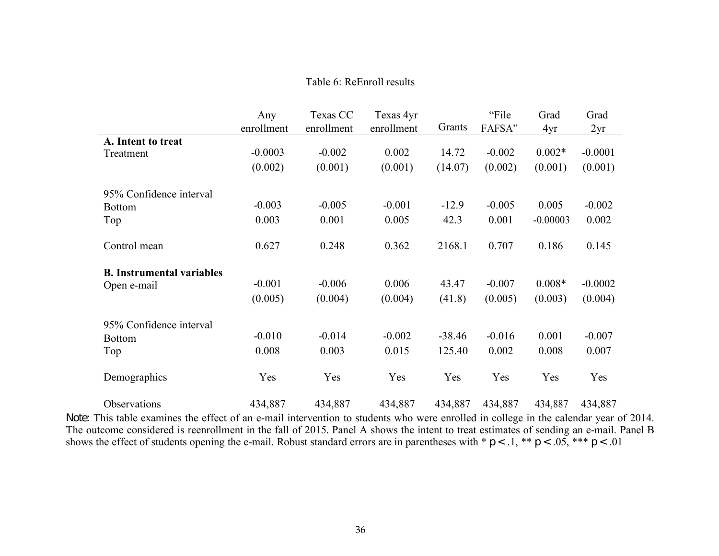# Table 6: ReEnroll results

|                                  | Any<br>enrollment | Texas CC<br>enrollment | Texas 4yr<br>enrollment | Grants   | "File<br>FAFSA" | Grad<br>4yr | Grad<br>2yr |
|----------------------------------|-------------------|------------------------|-------------------------|----------|-----------------|-------------|-------------|
| A. Intent to treat               |                   |                        |                         |          |                 |             |             |
| Treatment                        | $-0.0003$         | $-0.002$               | 0.002                   | 14.72    | $-0.002$        | $0.002*$    | $-0.0001$   |
|                                  | (0.002)           | (0.001)                | (0.001)                 | (14.07)  | (0.002)         | (0.001)     | (0.001)     |
| 95% Confidence interval          |                   |                        |                         |          |                 |             |             |
| <b>Bottom</b>                    | $-0.003$          | $-0.005$               | $-0.001$                | $-12.9$  | $-0.005$        | 0.005       | $-0.002$    |
| Top                              | 0.003             | 0.001                  | 0.005                   | 42.3     | 0.001           | $-0.00003$  | 0.002       |
| Control mean                     | 0.627             | 0.248                  | 0.362                   | 2168.1   | 0.707           | 0.186       | 0.145       |
| <b>B.</b> Instrumental variables |                   |                        |                         |          |                 |             |             |
| Open e-mail                      | $-0.001$          | $-0.006$               | 0.006                   | 43.47    | $-0.007$        | $0.008*$    | $-0.0002$   |
|                                  | (0.005)           | (0.004)                | (0.004)                 | (41.8)   | (0.005)         | (0.003)     | (0.004)     |
| 95% Confidence interval          |                   |                        |                         |          |                 |             |             |
| <b>Bottom</b>                    | $-0.010$          | $-0.014$               | $-0.002$                | $-38.46$ | $-0.016$        | 0.001       | $-0.007$    |
| Top                              | 0.008             | 0.003                  | 0.015                   | 125.40   | 0.002           | 0.008       | 0.007       |
| Demographics                     | Yes               | Yes                    | Yes                     | Yes      | Yes             | Yes         | Yes         |
| Observations                     | 434,887           | 434,887                | 434,887                 | 434,887  | 434,887         | 434,887     | 434,887     |

*Note:* This table examines the effect of an e-mail intervention to students who were enrolled in college in the calendar year of 2014. The outcome considered is reenrollment in the fall of 2015. Panel A shows the intent to treat estimates of sending an e-mail. Panel B shows the effect of students opening the e-mail. Robust standard errors are in parentheses with  $p < 0.1$ ,  $\ast p < 0.05$ ,  $\ast \ast p < 0.01$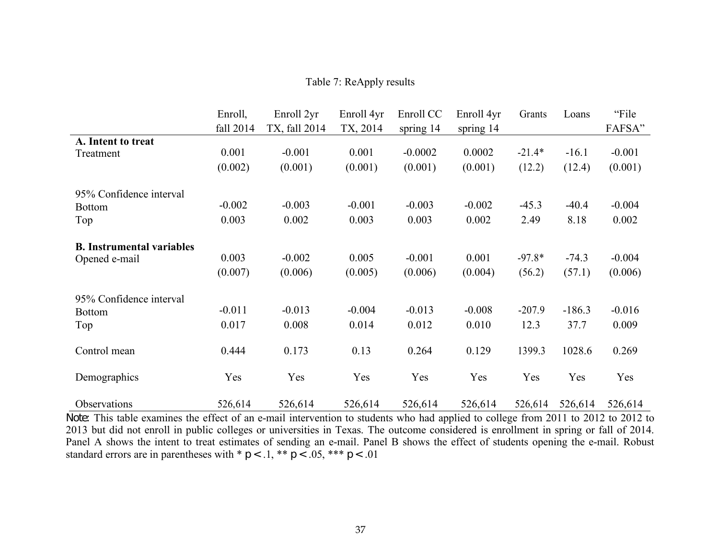|  |  |  | Table 7: ReApply results |
|--|--|--|--------------------------|
|--|--|--|--------------------------|

|                                  | Enroll,<br>fall 2014 | Enroll 2yr<br>TX, fall 2014 | Enroll 4yr<br>TX, 2014 | Enroll CC<br>spring 14 | Enroll 4yr<br>spring $14$ | Grants   | Loans    | "File<br>FAFSA" |
|----------------------------------|----------------------|-----------------------------|------------------------|------------------------|---------------------------|----------|----------|-----------------|
| A. Intent to treat<br>Treatment  | 0.001                | $-0.001$                    | 0.001                  | $-0.0002$              | 0.0002                    | $-21.4*$ | $-16.1$  | $-0.001$        |
| 95% Confidence interval          | (0.002)              | (0.001)                     | (0.001)                | (0.001)                | (0.001)                   | (12.2)   | (12.4)   | (0.001)         |
| <b>Bottom</b>                    | $-0.002$             | $-0.003$                    | $-0.001$               | $-0.003$               | $-0.002$                  | $-45.3$  | $-40.4$  | $-0.004$        |
| Top                              | 0.003                | 0.002                       | 0.003                  | 0.003                  | 0.002                     | 2.49     | 8.18     | 0.002           |
| <b>B.</b> Instrumental variables |                      |                             |                        |                        |                           |          |          |                 |
| Opened e-mail                    | 0.003                | $-0.002$                    | 0.005                  | $-0.001$               | 0.001                     | $-97.8*$ | $-74.3$  | $-0.004$        |
|                                  | (0.007)              | (0.006)                     | (0.005)                | (0.006)                | (0.004)                   | (56.2)   | (57.1)   | (0.006)         |
| 95% Confidence interval          |                      |                             |                        |                        |                           |          |          |                 |
| <b>Bottom</b>                    | $-0.011$             | $-0.013$                    | $-0.004$               | $-0.013$               | $-0.008$                  | $-207.9$ | $-186.3$ | $-0.016$        |
| Top                              | 0.017                | 0.008                       | 0.014                  | 0.012                  | 0.010                     | 12.3     | 37.7     | 0.009           |
| Control mean                     | 0.444                | 0.173                       | 0.13                   | 0.264                  | 0.129                     | 1399.3   | 1028.6   | 0.269           |
| Demographics                     | Yes                  | Yes                         | Yes                    | Yes                    | Yes                       | Yes      | Yes      | Yes             |
| Observations                     | 526,614              | 526,614                     | 526,614                | 526,614                | 526,614                   | 526,614  | 526,614  | 526,614         |

*Note:* This table examines the effect of an e-mail intervention to students who had applied to college from 2011 to 2012 to 2012 to 2013 but did not enroll in public colleges or universities in Texas. The outcome considered is enrollment in spring or fall of 2014. Panel A shows the intent to treat estimates of sending an e-mail. Panel B shows the effect of students opening the e-mail. Robust standard errors are in parentheses with  $p < 0.1$ ,  $\ast p < 0.05$ ,  $\ast \ast p < 0.01$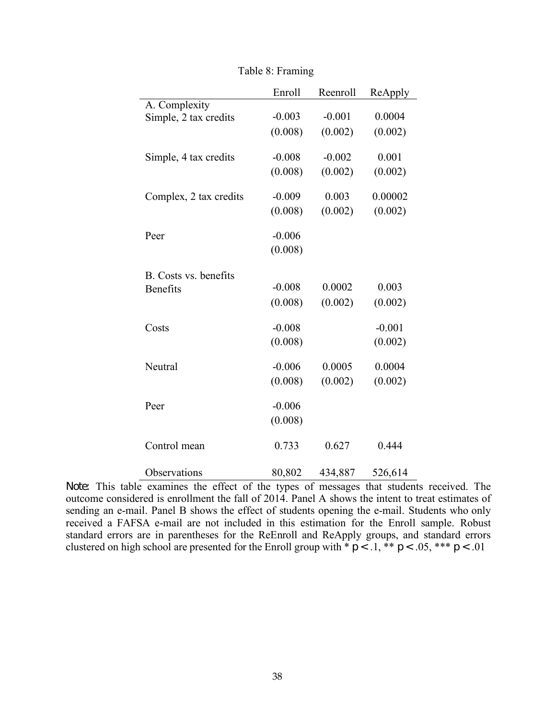|                        | Enroll   | Reenroll | ReApply  |
|------------------------|----------|----------|----------|
| A. Complexity          |          |          |          |
| Simple, 2 tax credits  | $-0.003$ | $-0.001$ | 0.0004   |
|                        | (0.008)  | (0.002)  | (0.002)  |
|                        |          |          |          |
| Simple, 4 tax credits  | $-0.008$ | $-0.002$ | 0.001    |
|                        | (0.008)  | (0.002)  | (0.002)  |
|                        |          |          |          |
| Complex, 2 tax credits | $-0.009$ | 0.003    | 0.00002  |
|                        | (0.008)  | (0.002)  | (0.002)  |
|                        |          |          |          |
| Peer                   | $-0.006$ |          |          |
|                        | (0.008)  |          |          |
| B. Costs vs. benefits  |          |          |          |
| <b>Benefits</b>        | $-0.008$ | 0.0002   | 0.003    |
|                        | (0.008)  | (0.002)  | (0.002)  |
|                        |          |          |          |
| Costs                  | $-0.008$ |          | $-0.001$ |
|                        | (0.008)  |          | (0.002)  |
|                        |          |          |          |
| Neutral                | $-0.006$ | 0.0005   | 0.0004   |
|                        | (0.008)  | (0.002)  | (0.002)  |
|                        |          |          |          |
| Peer                   | $-0.006$ |          |          |
|                        | (0.008)  |          |          |
|                        |          |          |          |
| Control mean           | 0.733    | 0.627    | 0.444    |
|                        |          |          |          |
| Observations           | 80,802   | 434,887  | 526,614  |

|  |  | Table 8: Framing |
|--|--|------------------|
|  |  |                  |

*Note:* This table examines the effect of the types of messages that students received. The outcome considered is enrollment the fall of 2014. Panel A shows the intent to treat estimates of sending an e-mail. Panel B shows the effect of students opening the e-mail. Students who only received a FAFSA e-mail are not included in this estimation for the Enroll sample. Robust standard errors are in parentheses for the ReEnroll and ReApply groups, and standard errors clustered on high school are presented for the Enroll group with  $*\, p < 0.1$ ,  $*\, * \, p < 0.05$ ,  $**\, * \, p < 0.01$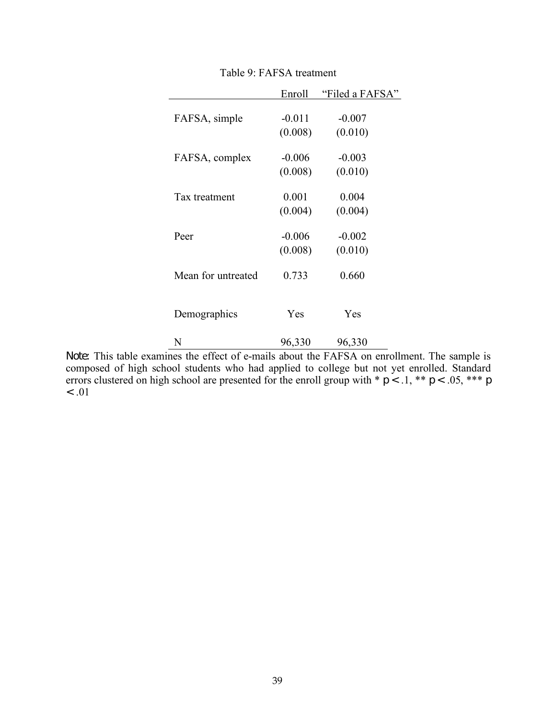|                    | Enroll              | "Filed a FAFSA"     |
|--------------------|---------------------|---------------------|
| FAFSA, simple      | $-0.011$            | $-0.007$            |
| FAFSA, complex     | (0.008)<br>$-0.006$ | (0.010)<br>$-0.003$ |
|                    | (0.008)             | (0.010)             |
| Tax treatment      | 0.001<br>(0.004)    | 0.004<br>(0.004)    |
| Peer               | $-0.006$            | $-0.002$            |
|                    | (0.008)             | (0.010)             |
| Mean for untreated | 0.733               | 0.660               |
| Demographics       | Yes                 | Yes                 |
| N                  | 96,330              | 96,330              |

Table 9: FAFSA treatment

*Note:* This table examines the effect of e-mails about the FAFSA on enrollment. The sample is composed of high school students who had applied to college but not yet enrolled. Standard errors clustered on high school are presented for the enroll group with  $* p < 0.1$ ,  $** p < 0.05$ ,  $*** p$ *<* .01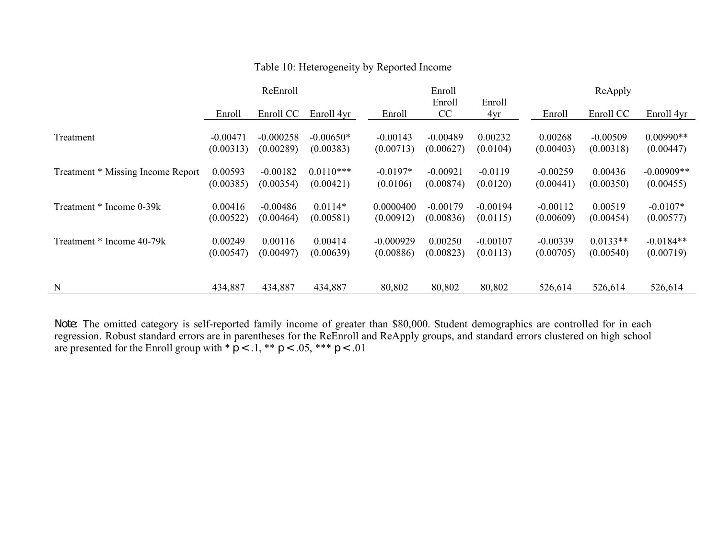|                                   | ReEnroll   |             |             |             | Enroll     |            | ReApply    |            |              |  |
|-----------------------------------|------------|-------------|-------------|-------------|------------|------------|------------|------------|--------------|--|
|                                   |            |             |             |             | Enroll     | Enroll     |            |            |              |  |
|                                   | Enroll     | Enroll CC   | Enroll 4yr  | Enroll      | CC         | 4yr        | Enroll     | Enroll CC  | Enroll 4yr   |  |
|                                   |            |             |             |             |            |            |            |            |              |  |
| Treatment                         | $-0.00471$ | $-0.000258$ | $-0.00650*$ | $-0.00143$  | $-0.00489$ | 0.00232    | 0.00268    | $-0.00509$ | $0.00990**$  |  |
|                                   | (0.00313)  | (0.00289)   | (0.00383)   | (0.00713)   | (0.00627)  | (0.0104)   | (0.00403)  | (0.00318)  | (0.00447)    |  |
|                                   |            |             |             |             |            |            |            |            |              |  |
| Treatment * Missing Income Report | 0.00593    | $-0.00182$  | $0.0110***$ | $-0.0197*$  | $-0.00921$ | $-0.0119$  | $-0.00259$ | 0.00436    | $-0.00909**$ |  |
|                                   | (0.00385)  | (0.00354)   | (0.00421)   | (0.0106)    | (0.00874)  | (0.0120)   | (0.00441)  | (0.00350)  | (0.00455)    |  |
|                                   |            |             |             |             |            |            |            |            |              |  |
| Treatment * Income 0-39k          | 0.00416    | $-0.00486$  | $0.0114*$   | 0.0000400   | $-0.00179$ | $-0.00194$ | $-0.00112$ | 0.00519    | $-0.0107*$   |  |
|                                   | (0.00522)  | (0.00464)   | (0.00581)   | (0.00912)   | (0.00836)  | (0.0115)   | (0.00609)  | (0.00454)  | (0.00577)    |  |
|                                   |            |             |             |             |            |            |            |            |              |  |
| Treatment * Income 40-79k         | 0.00249    | 0.00116     | 0.00414     | $-0.000929$ | 0.00250    | $-0.00107$ | $-0.00339$ | $0.0133**$ | $-0.0184**$  |  |
|                                   | (0.00547)  | (0.00497)   | (0.00639)   | (0.00886)   | (0.00823)  | (0.0113)   | (0.00705)  | (0.00540)  | (0.00719)    |  |
|                                   |            |             |             |             |            |            |            |            |              |  |
| N                                 | 434,887    | 434,887     | 434,887     | 80,802      | 80,802     | 80,802     |            |            |              |  |
|                                   |            |             |             |             |            |            | 526,614    | 526,614    | 526,614      |  |

# Table 10: Heterogeneity by Reported Income

*Note:* The omitted category is self-reported family income of greater than \$80,000. Student demographics are controlled for in each regression. Robust standard errors are in parentheses for the ReEnroll and ReApply groups, and standard errors clustered on high school are presented for the Enroll group with  $p < 0.1$ ,  $\ast p < 0.05$ ,  $\ast \ast p < 0.01$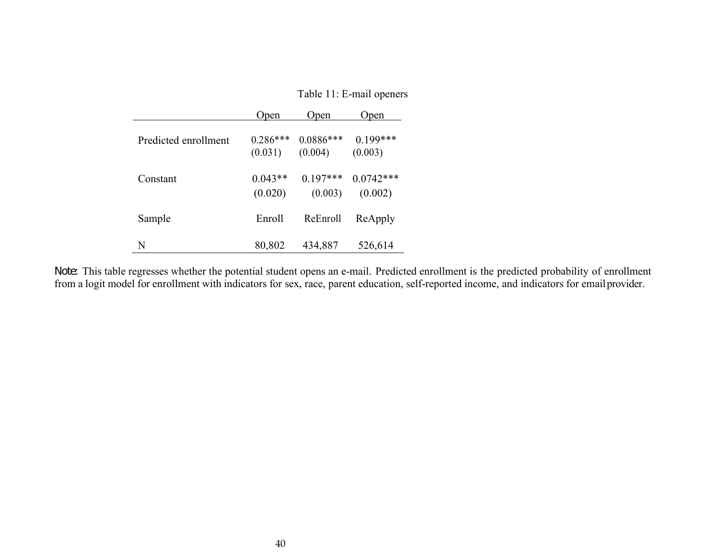|                      | Open                  | Open                   | Open                   |
|----------------------|-----------------------|------------------------|------------------------|
| Predicted enrollment | $0.286***$<br>(0.031) | $0.0886***$<br>(0.004) | $0.199***$<br>(0.003)  |
| Constant             | $0.043**$<br>(0.020)  | $0.197***$<br>(0.003)  | $0.0742***$<br>(0.002) |
| Sample               | Enroll                | ReEnroll               | ReApply                |
| N                    | 80,802                | 434,887                | 526,614                |

 $\overline{\phantom{0}}$ 

Table 11: E-mail openers

*Note:* This table regresses whether the potential student opens an e-mail. Predicted enrollment is the predicted probability of enrollment from a logit model for enrollment with indicators for sex, race, parent education, self-reported income, and indicators for emailprovider.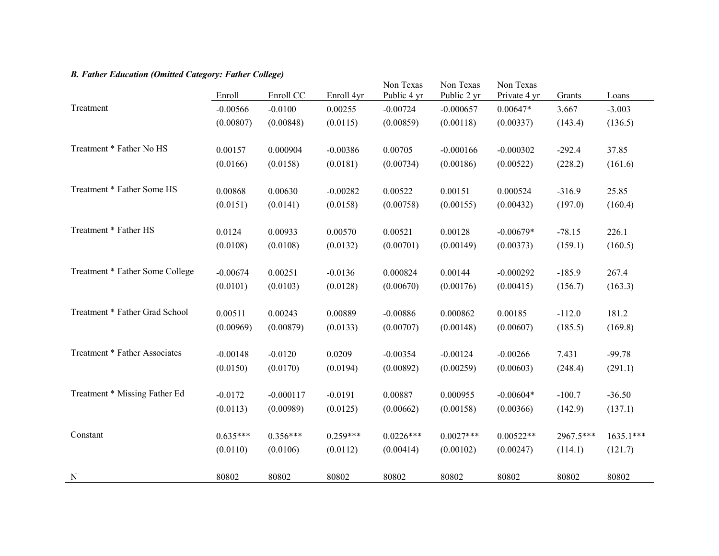## *B. Father Education (Omitted Category: Father College)*

|                                 | Enroll     | Enroll CC   | Enroll 4yr | Non Texas<br>Public 4 yr | Non Texas<br>Public 2 yr | Non Texas<br>Private 4 yr | Grants    | Loans       |
|---------------------------------|------------|-------------|------------|--------------------------|--------------------------|---------------------------|-----------|-------------|
| Treatment                       | $-0.00566$ | $-0.0100$   | 0.00255    | $-0.00724$               | $-0.000657$              | $0.00647*$                | 3.667     | $-3.003$    |
|                                 | (0.00807)  | (0.00848)   | (0.0115)   | (0.00859)                | (0.00118)                | (0.00337)                 | (143.4)   | (136.5)     |
| Treatment * Father No HS        | 0.00157    | 0.000904    | $-0.00386$ | 0.00705                  | $-0.000166$              | $-0.000302$               | $-292.4$  | 37.85       |
|                                 | (0.0166)   | (0.0158)    | (0.0181)   | (0.00734)                | (0.00186)                | (0.00522)                 | (228.2)   | (161.6)     |
| Treatment * Father Some HS      | 0.00868    | 0.00630     | $-0.00282$ | 0.00522                  | 0.00151                  | 0.000524                  | $-316.9$  | 25.85       |
|                                 | (0.0151)   | (0.0141)    | (0.0158)   | (0.00758)                | (0.00155)                | (0.00432)                 | (197.0)   | (160.4)     |
| Treatment * Father HS           | 0.0124     | 0.00933     | 0.00570    | 0.00521                  | 0.00128                  | $-0.00679*$               | $-78.15$  | 226.1       |
|                                 | (0.0108)   | (0.0108)    | (0.0132)   | (0.00701)                | (0.00149)                | (0.00373)                 | (159.1)   | (160.5)     |
| Treatment * Father Some College | $-0.00674$ | 0.00251     | $-0.0136$  | 0.000824                 | 0.00144                  | $-0.000292$               | $-185.9$  | 267.4       |
|                                 | (0.0101)   | (0.0103)    | (0.0128)   | (0.00670)                | (0.00176)                | (0.00415)                 | (156.7)   | (163.3)     |
| Treatment * Father Grad School  | 0.00511    | 0.00243     | 0.00889    | $-0.00886$               | 0.000862                 | 0.00185                   | $-112.0$  | 181.2       |
|                                 | (0.00969)  | (0.00879)   | (0.0133)   | (0.00707)                | (0.00148)                | (0.00607)                 | (185.5)   | (169.8)     |
| Treatment * Father Associates   | $-0.00148$ | $-0.0120$   | 0.0209     | $-0.00354$               | $-0.00124$               | $-0.00266$                | 7.431     | $-99.78$    |
|                                 | (0.0150)   | (0.0170)    | (0.0194)   | (0.00892)                | (0.00259)                | (0.00603)                 | (248.4)   | (291.1)     |
| Treatment * Missing Father Ed   | $-0.0172$  | $-0.000117$ | $-0.0191$  | 0.00887                  | 0.000955                 | $-0.00604*$               | $-100.7$  | $-36.50$    |
|                                 | (0.0113)   | (0.00989)   | (0.0125)   | (0.00662)                | (0.00158)                | (0.00366)                 | (142.9)   | (137.1)     |
| Constant                        | $0.635***$ | $0.356***$  | $0.259***$ | $0.0226***$              | $0.0027***$              | $0.00522**$               | 2967.5*** | $1635.1***$ |
|                                 | (0.0110)   | (0.0106)    | (0.0112)   | (0.00414)                | (0.00102)                | (0.00247)                 | (114.1)   | (121.7)     |
| N                               | 80802      | 80802       | 80802      | 80802                    | 80802                    | 80802                     | 80802     | 80802       |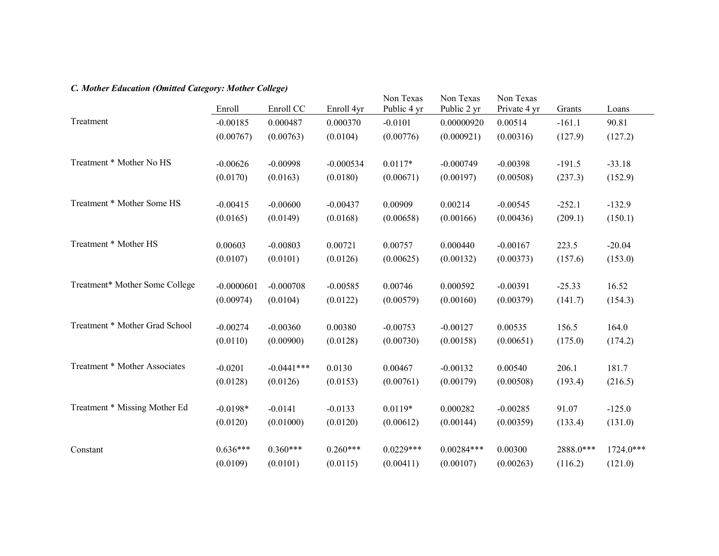# *C. Mother Education (Omitted Category: Mother College)*

|                                | Enroll       | Enroll CC    | Enroll 4yr  | Non Texas<br>Public 4 yr | Non Texas<br>Public 2 yr | Non Texas<br>Private 4 yr | Grants    | Loans       |
|--------------------------------|--------------|--------------|-------------|--------------------------|--------------------------|---------------------------|-----------|-------------|
| Treatment                      | $-0.00185$   | 0.000487     | 0.000370    | $-0.0101$                | 0.00000920               | 0.00514                   | $-161.1$  | 90.81       |
|                                | (0.00767)    | (0.00763)    | (0.0104)    | (0.00776)                | (0.000921)               | (0.00316)                 | (127.9)   | (127.2)     |
| Treatment * Mother No HS       | $-0.00626$   | $-0.00998$   | $-0.000534$ | $0.0117*$                | $-0.000749$              | $-0.00398$                | $-191.5$  | $-33.18$    |
|                                | (0.0170)     | (0.0163)     | (0.0180)    | (0.00671)                | (0.00197)                | (0.00508)                 | (237.3)   | (152.9)     |
| Treatment * Mother Some HS     | $-0.00415$   | $-0.00600$   | $-0.00437$  | 0.00909                  | 0.00214                  | $-0.00545$                | $-252.1$  | $-132.9$    |
|                                | (0.0165)     | (0.0149)     | (0.0168)    | (0.00658)                | (0.00166)                | (0.00436)                 | (209.1)   | (150.1)     |
| Treatment * Mother HS          | 0.00603      | $-0.00803$   | 0.00721     | 0.00757                  | 0.000440                 | $-0.00167$                | 223.5     | $-20.04$    |
|                                | (0.0107)     | (0.0101)     | (0.0126)    | (0.00625)                | (0.00132)                | (0.00373)                 | (157.6)   | (153.0)     |
| Treatment* Mother Some College | $-0.0000601$ | $-0.000708$  | $-0.00585$  | 0.00746                  | 0.000592                 | $-0.00391$                | $-25.33$  | 16.52       |
|                                | (0.00974)    | (0.0104)     | (0.0122)    | (0.00579)                | (0.00160)                | (0.00379)                 | (141.7)   | (154.3)     |
| Treatment * Mother Grad School | $-0.00274$   | $-0.00360$   | 0.00380     | $-0.00753$               | $-0.00127$               | 0.00535                   | 156.5     | 164.0       |
|                                | (0.0110)     | (0.00900)    | (0.0128)    | (0.00730)                | (0.00158)                | (0.00651)                 | (175.0)   | (174.2)     |
| Treatment * Mother Associates  | $-0.0201$    | $-0.0441***$ | 0.0130      | 0.00467                  | $-0.00132$               | 0.00540                   | 206.1     | 181.7       |
|                                | (0.0128)     | (0.0126)     | (0.0153)    | (0.00761)                | (0.00179)                | (0.00508)                 | (193.4)   | (216.5)     |
| Treatment * Missing Mother Ed  | $-0.0198*$   | $-0.0141$    | $-0.0133$   | $0.0119*$                | 0.000282                 | $-0.00285$                | 91.07     | $-125.0$    |
|                                | (0.0120)     | (0.01000)    | (0.0120)    | (0.00612)                | (0.00144)                | (0.00359)                 | (133.4)   | (131.0)     |
| Constant                       | $0.636***$   | $0.360***$   | $0.260***$  | $0.0229***$              | $0.00284***$             | 0.00300                   | 2888.0*** | $1724.0***$ |
|                                | (0.0109)     | (0.0101)     | (0.0115)    | (0.00411)                | (0.00107)                | (0.00263)                 | (116.2)   | (121.0)     |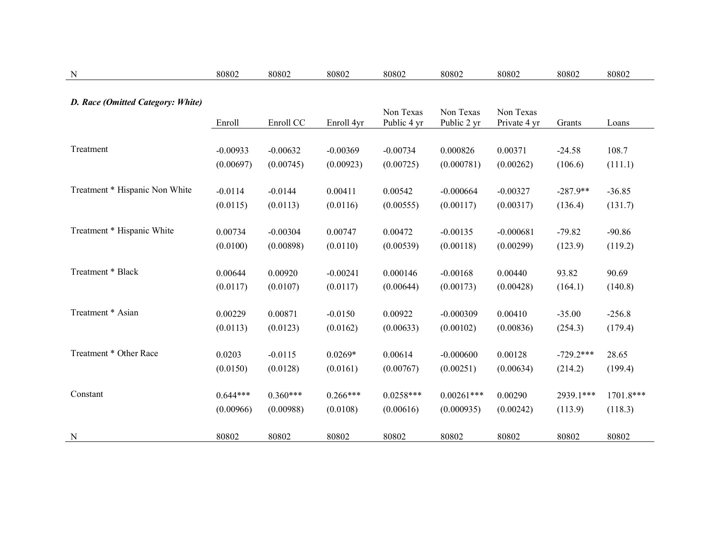| $\mathbf N$                       | 80802      | 80802      | 80802      | 80802                    | 80802                    | 80802                     | 80802       | 80802     |
|-----------------------------------|------------|------------|------------|--------------------------|--------------------------|---------------------------|-------------|-----------|
| D. Race (Omitted Category: White) | Enroll     | Enroll CC  | Enroll 4yr | Non Texas<br>Public 4 yr | Non Texas<br>Public 2 yr | Non Texas<br>Private 4 yr | Grants      | Loans     |
| Treatment                         | $-0.00933$ | $-0.00632$ | $-0.00369$ | $-0.00734$               | 0.000826                 | 0.00371                   | $-24.58$    | 108.7     |
|                                   | (0.00697)  | (0.00745)  | (0.00923)  | (0.00725)                | (0.000781)               | (0.00262)                 | (106.6)     | (111.1)   |
| Treatment * Hispanic Non White    | $-0.0114$  | $-0.0144$  | 0.00411    | 0.00542                  | $-0.000664$              | $-0.00327$                | $-287.9**$  | $-36.85$  |
|                                   | (0.0115)   | (0.0113)   | (0.0116)   | (0.00555)                | (0.00117)                | (0.00317)                 | (136.4)     | (131.7)   |
| Treatment * Hispanic White        | 0.00734    | $-0.00304$ | 0.00747    | 0.00472                  | $-0.00135$               | $-0.000681$               | $-79.82$    | $-90.86$  |
|                                   | (0.0100)   | (0.00898)  | (0.0110)   | (0.00539)                | (0.00118)                | (0.00299)                 | (123.9)     | (119.2)   |
| Treatment * Black                 | 0.00644    | 0.00920    | $-0.00241$ | 0.000146                 | $-0.00168$               | 0.00440                   | 93.82       | 90.69     |
|                                   | (0.0117)   | (0.0107)   | (0.0117)   | (0.00644)                | (0.00173)                | (0.00428)                 | (164.1)     | (140.8)   |
| Treatment * Asian                 | 0.00229    | 0.00871    | $-0.0150$  | 0.00922                  | $-0.000309$              | 0.00410                   | $-35.00$    | $-256.8$  |
|                                   | (0.0113)   | (0.0123)   | (0.0162)   | (0.00633)                | (0.00102)                | (0.00836)                 | (254.3)     | (179.4)   |
| Treatment * Other Race            | 0.0203     | $-0.0115$  | $0.0269*$  | 0.00614                  | $-0.000600$              | 0.00128                   | $-729.2***$ | 28.65     |
|                                   | (0.0150)   | (0.0128)   | (0.0161)   | (0.00767)                | (0.00251)                | (0.00634)                 | (214.2)     | (199.4)   |
| Constant                          | $0.644***$ | $0.360***$ | $0.266***$ | $0.0258***$              | $0.00261***$             | 0.00290                   | 2939.1***   | 1701.8*** |
|                                   | (0.00966)  | (0.00988)  | (0.0108)   | (0.00616)                | (0.000935)               | (0.00242)                 | (113.9)     | (118.3)   |
| N                                 | 80802      | 80802      | 80802      | 80802                    | 80802                    | 80802                     | 80802       | 80802     |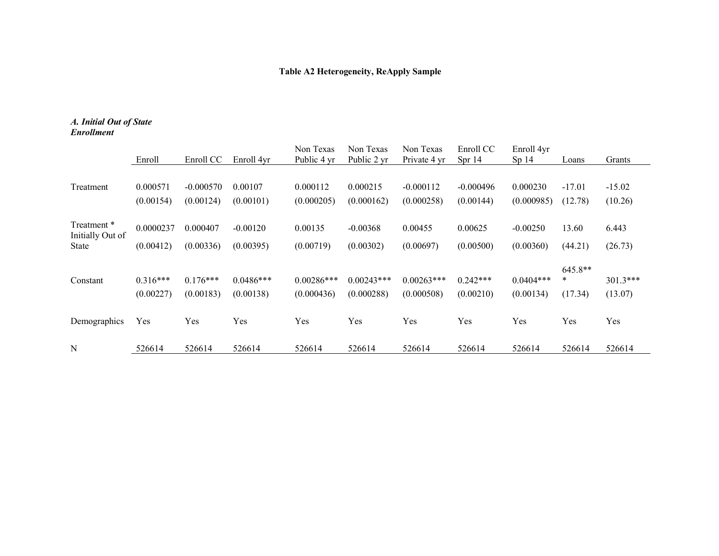# **Table A2 Heterogeneity, ReApply Sample**

#### *A. Initial Out of State Enrollment*

|                                 | Enroll                  | Enroll CC               | Enroll 4yr               | Non Texas<br>Public 4 yr   | Non Texas<br>Public 2 yr   | Non Texas<br>Private 4 yr   | Enroll CC<br>Spr 14     | Enroll 4yr<br>Sp <sub>14</sub> | Loans                     | Grants                |
|---------------------------------|-------------------------|-------------------------|--------------------------|----------------------------|----------------------------|-----------------------------|-------------------------|--------------------------------|---------------------------|-----------------------|
| Treatment                       | 0.000571                | $-0.000570$             | 0.00107                  | 0.000112                   | 0.000215                   | $-0.000112$                 | $-0.000496$             | 0.000230                       | $-17.01$                  | $-15.02$              |
|                                 | (0.00154)               | (0.00124)               | (0.00101)                | (0.000205)                 | (0.000162)                 | (0.000258)                  | (0.00144)               | (0.000985)                     | (12.78)                   | (10.26)               |
| Treatment *<br>Initially Out of | 0.0000237               | 0.000407                | $-0.00120$               | 0.00135                    | $-0.00368$                 | 0.00455                     | 0.00625                 | $-0.00250$                     | 13.60                     | 6.443                 |
| <b>State</b>                    | (0.00412)               | (0.00336)               | (0.00395)                | (0.00719)                  | (0.00302)                  | (0.00697)                   | (0.00500)               | (0.00360)                      | (44.21)                   | (26.73)               |
| Constant                        | $0.316***$<br>(0.00227) | $0.176***$<br>(0.00183) | $0.0486***$<br>(0.00138) | $0.00286***$<br>(0.000436) | $0.00243***$<br>(0.000288) | $0.00263$ ***<br>(0.000508) | $0.242***$<br>(0.00210) | $0.0404***$<br>(0.00134)       | $645.8**$<br>∗<br>(17.34) | $301.3***$<br>(13.07) |
| Demographics                    | Yes                     | Yes                     | Yes                      | Yes                        | Yes                        | Yes                         | Yes                     | Yes                            | Yes                       | Yes                   |
| N                               | 526614                  | 526614                  | 526614                   | 526614                     | 526614                     | 526614                      | 526614                  | 526614                         | 526614                    | 526614                |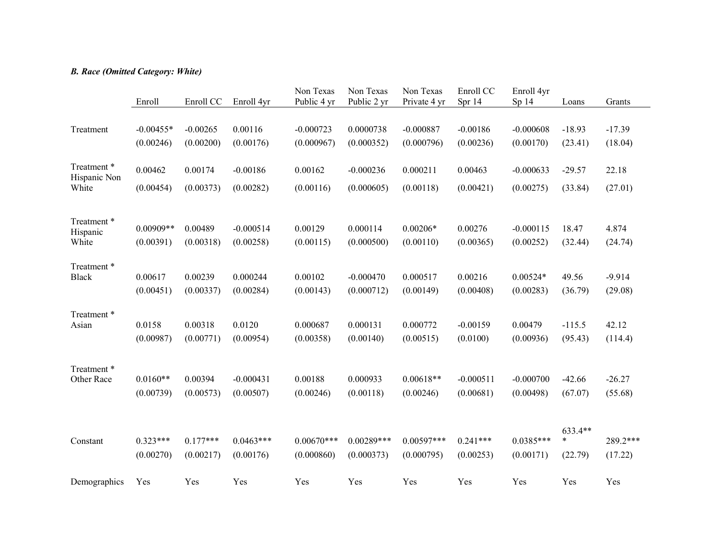# *B. Race (Omitted Category: White)*

|                             | Enroll      | Enroll CC  | Enroll 4yr  | Non Texas<br>Public 4 yr | Non Texas<br>Public 2 yr | Non Texas<br>Private 4 yr | Enroll CC<br>Spr 14 | Enroll 4yr<br>Sp 14 | Loans        | Grants   |
|-----------------------------|-------------|------------|-------------|--------------------------|--------------------------|---------------------------|---------------------|---------------------|--------------|----------|
|                             |             |            |             |                          |                          |                           |                     |                     |              |          |
| Treatment                   | $-0.00455*$ | $-0.00265$ | 0.00116     | $-0.000723$              | 0.0000738                | $-0.000887$               | $-0.00186$          | $-0.000608$         | $-18.93$     | $-17.39$ |
|                             | (0.00246)   | (0.00200)  | (0.00176)   | (0.000967)               | (0.000352)               | (0.000796)                | (0.00236)           | (0.00170)           | (23.41)      | (18.04)  |
| Treatment *<br>Hispanic Non | 0.00462     | 0.00174    | $-0.00186$  | 0.00162                  | $-0.000236$              | 0.000211                  | 0.00463             | $-0.000633$         | $-29.57$     | 22.18    |
| White                       | (0.00454)   | (0.00373)  | (0.00282)   | (0.00116)                | (0.000605)               | (0.00118)                 | (0.00421)           | (0.00275)           | (33.84)      | (27.01)  |
|                             |             |            |             |                          |                          |                           |                     |                     |              |          |
| Treatment *<br>Hispanic     | $0.00909**$ | 0.00489    | $-0.000514$ | 0.00129                  | 0.000114                 | $0.00206*$                | 0.00276             | $-0.000115$         | 18.47        | 4.874    |
| White                       | (0.00391)   | (0.00318)  | (0.00258)   | (0.00115)                | (0.000500)               | (0.00110)                 | (0.00365)           | (0.00252)           | (32.44)      | (24.74)  |
| Treatment*                  |             |            |             |                          |                          |                           |                     |                     |              |          |
| <b>Black</b>                | 0.00617     | 0.00239    | 0.000244    | 0.00102                  | $-0.000470$              | 0.000517                  | 0.00216             | $0.00524*$          | 49.56        | $-9.914$ |
|                             | (0.00451)   | (0.00337)  | (0.00284)   | (0.00143)                | (0.000712)               | (0.00149)                 | (0.00408)           | (0.00283)           | (36.79)      | (29.08)  |
| Treatment*                  |             |            |             |                          |                          |                           |                     |                     |              |          |
| Asian                       | 0.0158      | 0.00318    | 0.0120      | 0.000687                 | 0.000131                 | 0.000772                  | $-0.00159$          | 0.00479             | $-115.5$     | 42.12    |
|                             | (0.00987)   | (0.00771)  | (0.00954)   | (0.00358)                | (0.00140)                | (0.00515)                 | (0.0100)            | (0.00936)           | (95.43)      | (114.4)  |
| Treatment *                 |             |            |             |                          |                          |                           |                     |                     |              |          |
| Other Race                  | $0.0160**$  | 0.00394    | $-0.000431$ | 0.00188                  | 0.000933                 | $0.00618**$               | $-0.000511$         | $-0.000700$         | $-42.66$     | $-26.27$ |
|                             | (0.00739)   | (0.00573)  | (0.00507)   | (0.00246)                | (0.00118)                | (0.00246)                 | (0.00681)           | (0.00498)           | (67.07)      | (55.68)  |
|                             |             |            |             |                          |                          |                           |                     |                     |              |          |
|                             | $0.323***$  | $0.177***$ | $0.0463***$ | $0.00670***$             | $0.00289***$             | $0.00597***$              | $0.241***$          | $0.0385***$         | 633.4**<br>* | 289.2*** |
| Constant                    | (0.00270)   | (0.00217)  | (0.00176)   | (0.000860)               | (0.000373)               | (0.000795)                | (0.00253)           | (0.00171)           | (22.79)      | (17.22)  |
|                             |             |            |             |                          |                          |                           |                     |                     |              |          |
| Demographics                | Yes         | Yes        | Yes         | Yes                      | Yes                      | Yes                       | Yes                 | Yes                 | Yes          | Yes      |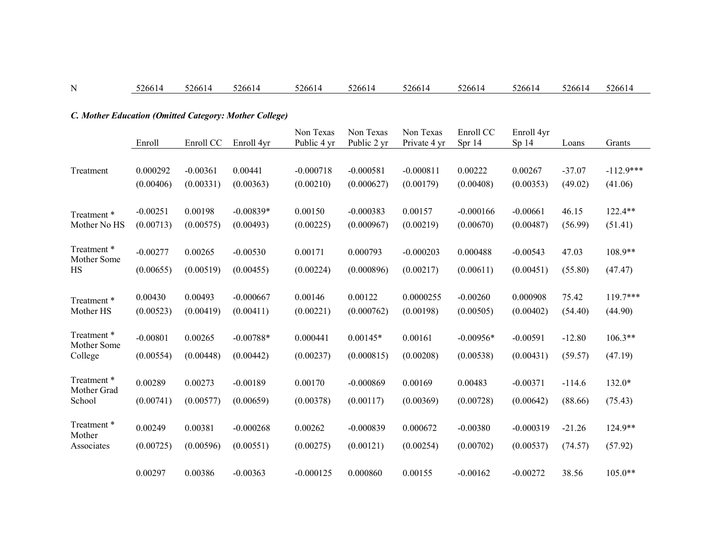#### N 526614 526614 526614 526614 526614 526614 526614 526614 526614 526614

## *C. Mother Education (Omitted Category: Mother College)*

|                       | Enroll     | Enroll CC  | Enroll 4yr  | Non Texas<br>Public 4 yr | Non Texas<br>Public 2 yr | Non Texas<br>Private 4 yr | Enroll CC<br>Spr 14 | Enroll 4yr<br>Sp <sub>14</sub> | Loans    | Grants      |
|-----------------------|------------|------------|-------------|--------------------------|--------------------------|---------------------------|---------------------|--------------------------------|----------|-------------|
|                       |            |            |             |                          |                          |                           |                     |                                |          |             |
| Treatment             | 0.000292   | $-0.00361$ | 0.00441     | $-0.000718$              | $-0.000581$              | $-0.000811$               | 0.00222             | 0.00267                        | $-37.07$ | $-112.9***$ |
|                       | (0.00406)  | (0.00331)  | (0.00363)   | (0.00210)                | (0.000627)               | (0.00179)                 | (0.00408)           | (0.00353)                      | (49.02)  | (41.06)     |
|                       |            |            |             |                          |                          |                           |                     |                                |          |             |
| Treatment *           | $-0.00251$ | 0.00198    | $-0.00839*$ | 0.00150                  | $-0.000383$              | 0.00157                   | $-0.000166$         | $-0.00661$                     | 46.15    | 122.4**     |
| Mother No HS          | (0.00713)  | (0.00575)  | (0.00493)   | (0.00225)                | (0.000967)               | (0.00219)                 | (0.00670)           | (0.00487)                      | (56.99)  | (51.41)     |
| Treatment *           | $-0.00277$ | 0.00265    | $-0.00530$  | 0.00171                  | 0.000793                 | $-0.000203$               | 0.000488            | $-0.00543$                     | 47.03    | $108.9**$   |
| Mother Some           |            |            |             |                          |                          |                           |                     |                                |          |             |
| <b>HS</b>             | (0.00655)  | (0.00519)  | (0.00455)   | (0.00224)                | (0.000896)               | (0.00217)                 | (0.00611)           | (0.00451)                      | (55.80)  | (47.47)     |
|                       |            |            |             |                          |                          |                           |                     |                                |          |             |
| Treatment *           | 0.00430    | 0.00493    | $-0.000667$ | 0.00146                  | 0.00122                  | 0.0000255                 | $-0.00260$          | 0.000908                       | 75.42    | $119.7***$  |
| Mother HS             | (0.00523)  | (0.00419)  | (0.00411)   | (0.00221)                | (0.000762)               | (0.00198)                 | (0.00505)           | (0.00402)                      | (54.40)  | (44.90)     |
| Treatment *           |            |            |             |                          |                          | 0.00161                   |                     |                                |          |             |
| Mother Some           | $-0.00801$ | 0.00265    | $-0.00788*$ | 0.000441                 | $0.00145*$               |                           | $-0.00956*$         | $-0.00591$                     | $-12.80$ | $106.3**$   |
| College               | (0.00554)  | (0.00448)  | (0.00442)   | (0.00237)                | (0.000815)               | (0.00208)                 | (0.00538)           | (0.00431)                      | (59.57)  | (47.19)     |
| Treatment*            |            |            |             |                          |                          |                           |                     |                                |          |             |
| Mother Grad           | 0.00289    | 0.00273    | $-0.00189$  | 0.00170                  | $-0.000869$              | 0.00169                   | 0.00483             | $-0.00371$                     | $-114.6$ | $132.0*$    |
| School                | (0.00741)  | (0.00577)  | (0.00659)   | (0.00378)                | (0.00117)                | (0.00369)                 | (0.00728)           | (0.00642)                      | (88.66)  | (75.43)     |
|                       |            |            |             |                          |                          |                           |                     |                                |          |             |
| Treatment *<br>Mother | 0.00249    | 0.00381    | $-0.000268$ | 0.00262                  | $-0.000839$              | 0.000672                  | $-0.00380$          | $-0.000319$                    | $-21.26$ | $124.9**$   |
| Associates            | (0.00725)  | (0.00596)  | (0.00551)   | (0.00275)                | (0.00121)                | (0.00254)                 | (0.00702)           | (0.00537)                      | (74.57)  | (57.92)     |
|                       |            |            |             |                          |                          |                           |                     |                                |          |             |
|                       | 0.00297    | 0.00386    | $-0.00363$  | $-0.000125$              | 0.000860                 | 0.00155                   | $-0.00162$          | $-0.00272$                     | 38.56    | $105.0**$   |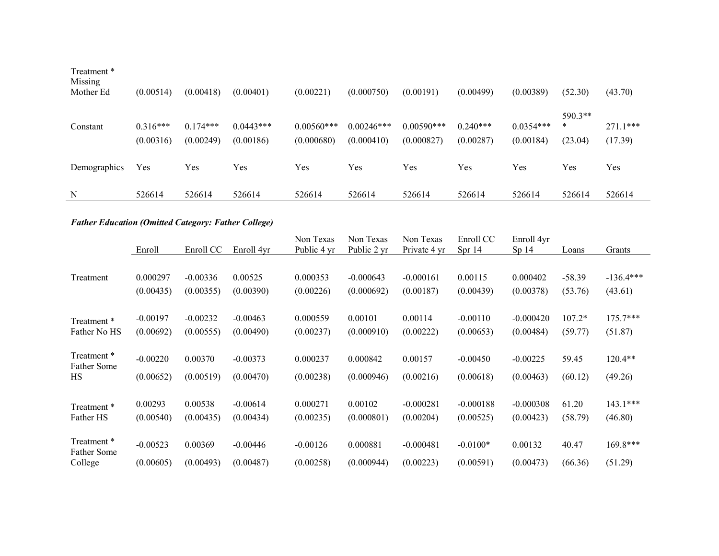| Treatment *<br>Missing<br>Mother Ed | (0.00514)               | (0.00418)               | (0.00401)                | (0.00221)                   | (0.000750)                 | (0.00191)                   | (0.00499)               | (0.00389)                | (52.30)                 | (43.70)               |
|-------------------------------------|-------------------------|-------------------------|--------------------------|-----------------------------|----------------------------|-----------------------------|-------------------------|--------------------------|-------------------------|-----------------------|
| Constant                            | $0.316***$<br>(0.00316) | $0.174***$<br>(0.00249) | $0.0443***$<br>(0.00186) | $0.00560$ ***<br>(0.000680) | $0.00246***$<br>(0.000410) | $0.00590$ ***<br>(0.000827) | $0.240***$<br>(0.00287) | $0.0354***$<br>(0.00184) | 590.3**<br>*<br>(23.04) | $271.1***$<br>(17.39) |
| Demographics                        | Yes                     | Yes                     | Yes                      | Yes                         | Yes                        | Yes                         | Yes                     | Yes                      | Yes                     | Yes                   |
| N                                   | 526614                  | 526614                  | 526614                   | 526614                      | 526614                     | 526614                      | 526614                  | 526614                   | 526614                  | 526614                |

# *Father Education (Omitted Category: Father College)*

|                            | Enroll     | Enroll CC  | Enroll 4yr | Non Texas<br>Public 4 yr | Non Texas<br>Public 2 yr | Non Texas<br>Private 4 yr | Enroll CC<br>Spr 14 | Enroll 4yr<br>Sp <sub>14</sub> | Loans    | Grants      |
|----------------------------|------------|------------|------------|--------------------------|--------------------------|---------------------------|---------------------|--------------------------------|----------|-------------|
|                            |            |            |            |                          |                          |                           |                     |                                |          |             |
| Treatment                  | 0.000297   | $-0.00336$ | 0.00525    | 0.000353                 | $-0.000643$              | $-0.000161$               | 0.00115             | 0.000402                       | $-58.39$ | $-136.4***$ |
|                            | (0.00435)  | (0.00355)  | (0.00390)  | (0.00226)                | (0.000692)               | (0.00187)                 | (0.00439)           | (0.00378)                      | (53.76)  | (43.61)     |
|                            |            |            |            |                          |                          |                           |                     |                                |          |             |
| Treatment *                | $-0.00197$ | $-0.00232$ | $-0.00463$ | 0.000559                 | 0.00101                  | 0.00114                   | $-0.00110$          | $-0.000420$                    | $107.2*$ | $175.7***$  |
| Father No HS               | (0.00692)  | (0.00555)  | (0.00490)  | (0.00237)                | (0.000910)               | (0.00222)                 | (0.00653)           | (0.00484)                      | (59.77)  | (51.87)     |
|                            |            |            |            |                          |                          |                           |                     |                                |          |             |
| Treatment *<br>Father Some | $-0.00220$ | 0.00370    | $-0.00373$ | 0.000237                 | 0.000842                 | 0.00157                   | $-0.00450$          | $-0.00225$                     | 59.45    | $120.4**$   |
| HS                         | (0.00652)  | (0.00519)  | (0.00470)  | (0.00238)                | (0.000946)               | (0.00216)                 | (0.00618)           | (0.00463)                      | (60.12)  | (49.26)     |
|                            |            |            |            |                          |                          |                           |                     |                                |          |             |
| Treatment *                | 0.00293    | 0.00538    | $-0.00614$ | 0.000271                 | 0.00102                  | $-0.000281$               | $-0.000188$         | $-0.000308$                    | 61.20    | $143.1***$  |
| Father HS                  | (0.00540)  | (0.00435)  | (0.00434)  | (0.00235)                | (0.000801)               | (0.00204)                 | (0.00525)           | (0.00423)                      | (58.79)  | (46.80)     |
|                            |            |            |            |                          |                          |                           |                     |                                |          |             |
| Treatment *<br>Father Some | $-0.00523$ | 0.00369    | $-0.00446$ | $-0.00126$               | 0.000881                 | $-0.000481$               | $-0.0100*$          | 0.00132                        | 40.47    | 169.8***    |
| College                    | (0.00605)  | (0.00493)  | (0.00487)  | (0.00258)                | (0.000944)               | (0.00223)                 | (0.00591)           | (0.00473)                      | (66.36)  | (51.29)     |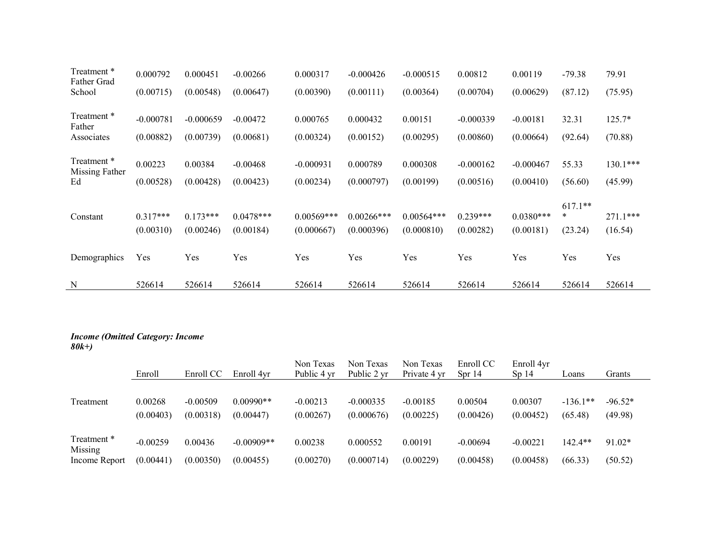| Treatment *<br>Father Grad    | 0.000792    | 0.000451    | $-0.00266$  | 0.000317     | $-0.000426$   | $-0.000515$  | 0.00812     | 0.00119     | $-79.38$  | 79.91      |
|-------------------------------|-------------|-------------|-------------|--------------|---------------|--------------|-------------|-------------|-----------|------------|
| School                        | (0.00715)   | (0.00548)   | (0.00647)   | (0.00390)    | (0.00111)     | (0.00364)    | (0.00704)   | (0.00629)   | (87.12)   | (75.95)    |
|                               |             |             |             |              |               |              |             |             |           |            |
| Treatment *<br>Father         | $-0.000781$ | $-0.000659$ | $-0.00472$  | 0.000765     | 0.000432      | 0.00151      | $-0.000339$ | $-0.00181$  | 32.31     | 125.7*     |
| Associates                    | (0.00882)   | (0.00739)   | (0.00681)   | (0.00324)    | (0.00152)     | (0.00295)    | (0.00860)   | (0.00664)   | (92.64)   | (70.88)    |
|                               |             |             |             |              |               |              |             |             |           |            |
| Treatment *<br>Missing Father | 0.00223     | 0.00384     | $-0.00468$  | $-0.000931$  | 0.000789      | 0.000308     | $-0.000162$ | $-0.000467$ | 55.33     | 130.1***   |
| Ed                            | (0.00528)   | (0.00428)   | (0.00423)   | (0.00234)    | (0.000797)    | (0.00199)    | (0.00516)   | (0.00410)   | (56.60)   | (45.99)    |
|                               |             |             |             |              |               |              |             |             | $617.1**$ |            |
| Constant                      | $0.317***$  | $0.173***$  | $0.0478***$ | $0.00569***$ | $0.00266$ *** | $0.00564***$ | $0.239***$  | $0.0380***$ | $\ast$    | $271.1***$ |
|                               | (0.00310)   | (0.00246)   | (0.00184)   | (0.000667)   | (0.000396)    | (0.000810)   | (0.00282)   | (0.00181)   | (23.24)   | (16.54)    |
|                               |             |             |             |              |               |              |             |             |           |            |
| Demographics                  | Yes         | Yes         | Yes         | Yes          | Yes           | Yes          | Yes         | Yes         | Yes       | Yes        |
| N                             | 526614      | 526614      | 526614      | 526614       | 526614        | 526614       | 526614      | 526614      | 526614    | 526614     |
|                               |             |             |             |              |               |              |             |             |           |            |

#### *Income (Omitted Category: Income 80k+)*

|                                         | Enroll                  | Enroll CC               | Enroll 4vr                | Non Texas<br>Public 4 yr | Non Texas<br>Public 2 yr  | Non Texas<br>Private 4 yr | Enroll CC<br>Spr14      | Enroll 4yr<br>Sp <sub>14</sub> | Loans                 | Grants               |
|-----------------------------------------|-------------------------|-------------------------|---------------------------|--------------------------|---------------------------|---------------------------|-------------------------|--------------------------------|-----------------------|----------------------|
| Treatment                               | 0.00268<br>(0.00403)    | $-0.00509$<br>(0.00318) | $0.00990**$<br>(0.00447)  | $-0.00213$<br>(0.00267)  | $-0.000335$<br>(0.000676) | $-0.00185$<br>(0.00225)   | 0.00504<br>(0.00426)    | 0.00307<br>(0.00452)           | $-136.1**$<br>(65.48) | $-96.52*$<br>(49.98) |
| Treatment *<br>Missing<br>Income Report | $-0.00259$<br>(0.00441) | 0.00436<br>(0.00350)    | $-0.00909**$<br>(0.00455) | 0.00238<br>(0.00270)     | 0.000552<br>(0.000714)    | 0.00191<br>(0.00229)      | $-0.00694$<br>(0.00458) | $-0.00221$<br>(0.00458)        | 142.4**<br>(66.33)    | $91.02*$<br>(50.52)  |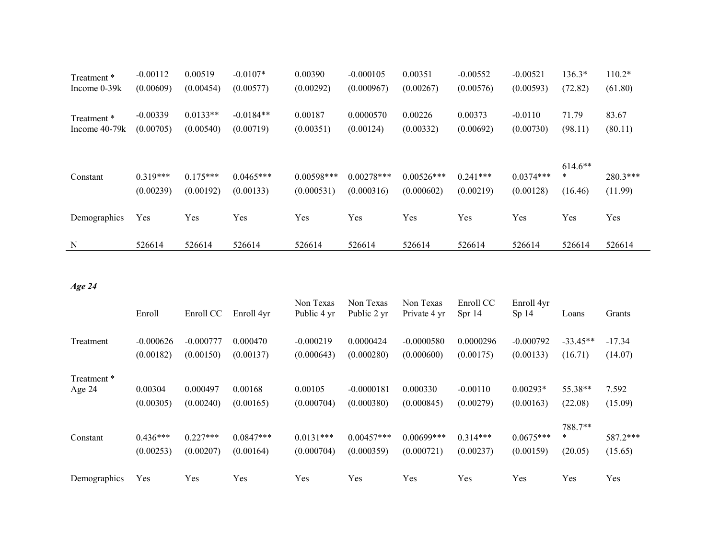| Treatment *<br>Income $0-39k$ | $-0.00112$<br>(0.00609) | 0.00519<br>(0.00454)    | $-0.0107*$<br>(0.00577)  | 0.00390<br>(0.00292)       | $-0.000105$<br>(0.000967)  | 0.00351<br>(0.00267)       | $-0.00552$<br>(0.00576) | $-0.00521$<br>(0.00593)  | 136.3*<br>(72.82)              | $110.2*$<br>(61.80)   |
|-------------------------------|-------------------------|-------------------------|--------------------------|----------------------------|----------------------------|----------------------------|-------------------------|--------------------------|--------------------------------|-----------------------|
| Treatment *<br>Income 40-79k  | $-0.00339$<br>(0.00705) | $0.0133**$<br>(0.00540) | $-0.0184**$<br>(0.00719) | 0.00187<br>(0.00351)       | 0.0000570<br>(0.00124)     | 0.00226<br>(0.00332)       | 0.00373<br>(0.00692)    | $-0.0110$<br>(0.00730)   | 71.79<br>(98.11)               | 83.67<br>(80.11)      |
| Constant                      | $0.319***$<br>(0.00239) | $0.175***$<br>(0.00192) | $0.0465***$<br>(0.00133) | $0.00598***$<br>(0.000531) | $0.00278***$<br>(0.000316) | $0.00526***$<br>(0.000602) | $0.241***$<br>(0.00219) | $0.0374***$<br>(0.00128) | $614.6**$<br>$\ast$<br>(16.46) | $280.3***$<br>(11.99) |
| Demographics                  | Yes                     | Yes                     | Yes                      | Yes                        | Yes                        | Yes                        | Yes                     | Yes                      | Yes                            | Yes                   |
| N                             | 526614                  | 526614                  | 526614                   | 526614                     | 526614                     | 526614                     | 526614                  | 526614                   | 526614                         | 526614                |

# *Age 24*

|              | Enroll      | Enroll CC   | Enroll 4yr  | Non Texas<br>Public 4 yr | Non Texas<br>Public 2 vr | Non Texas<br>Private 4 yr | Enroll CC<br>Spr $14$ | Enroll 4yr<br>Sp <sub>14</sub> | Loans      | Grants   |
|--------------|-------------|-------------|-------------|--------------------------|--------------------------|---------------------------|-----------------------|--------------------------------|------------|----------|
|              |             |             |             |                          |                          |                           |                       |                                |            |          |
| Treatment    | $-0.000626$ | $-0.000777$ | 0.000470    | $-0.000219$              | 0.0000424                | $-0.0000580$              | 0.0000296             | $-0.000792$                    | $-33.45**$ | $-17.34$ |
|              | (0.00182)   | (0.00150)   | (0.00137)   | (0.000643)               | (0.000280)               | (0.000600)                | (0.00175)             | (0.00133)                      | (16.71)    | (14.07)  |
| Treatment *  |             |             |             |                          |                          |                           |                       |                                |            |          |
| Age 24       | 0.00304     | 0.000497    | 0.00168     | 0.00105                  | $-0.0000181$             | 0.000330                  | $-0.00110$            | $0.00293*$                     | 55.38**    | 7.592    |
|              | (0.00305)   | (0.00240)   | (0.00165)   | (0.000704)               | (0.000380)               | (0.000845)                | (0.00279)             | (0.00163)                      | (22.08)    | (15.09)  |
|              |             |             |             |                          |                          |                           |                       |                                | 788.7**    |          |
| Constant     | $0.436***$  | $0.227***$  | $0.0847***$ | $0.0131***$              | $0.00457***$             | $0.00699***$              | $0.314***$            | $0.0675***$                    | $\ast$     | 587.2*** |
|              | (0.00253)   | (0.00207)   | (0.00164)   | (0.000704)               | (0.000359)               | (0.000721)                | (0.00237)             | (0.00159)                      | (20.05)    | (15.65)  |
| Demographics | Yes         | Yes         | Yes         | Yes                      | Yes                      | Yes                       | Yes                   | Yes                            | Yes        | Yes      |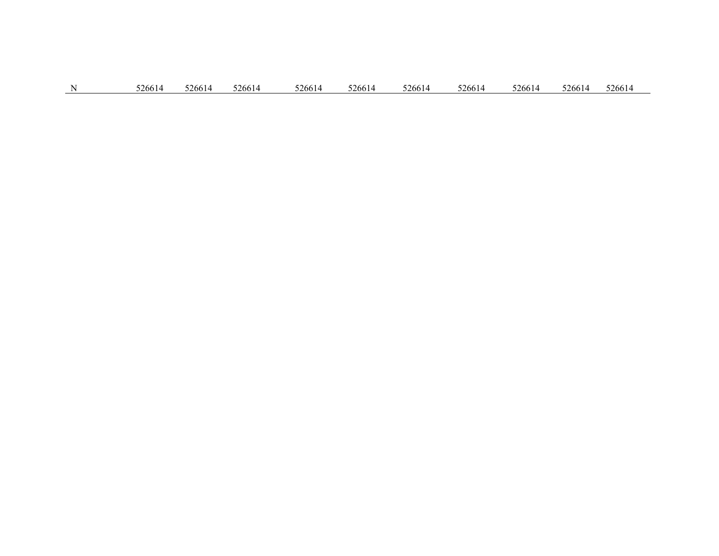|  | N | 526614 | 526614 | 526614 | 526614 | 526614 | 526614 | 526614 | 526614 | 526614 526614 |  |
|--|---|--------|--------|--------|--------|--------|--------|--------|--------|---------------|--|
|--|---|--------|--------|--------|--------|--------|--------|--------|--------|---------------|--|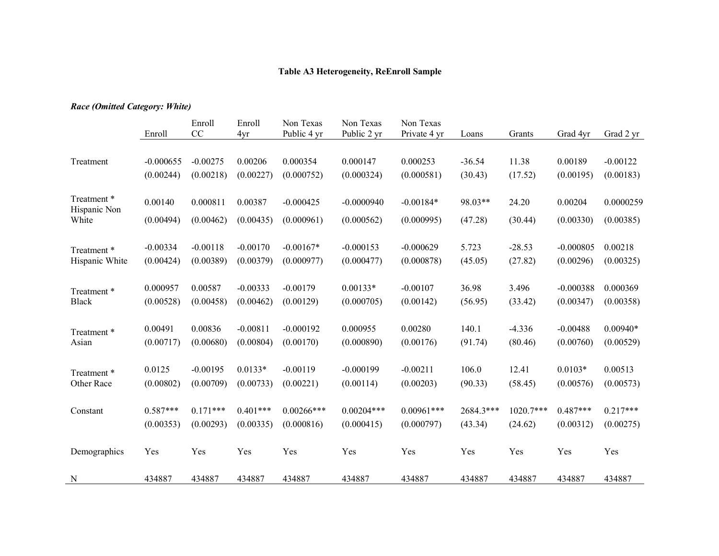## **Table A3 Heterogeneity, ReEnroll Sample**

## *Race (Omitted Category: White)*

|                            | Enroll      | Enroll<br>CC | Enroll<br>4yr | Non Texas<br>Public 4 yr | Non Texas<br>Public 2 yr | Non Texas<br>Private 4 yr | Loans     | Grants    | Grad 4yr    | Grad 2 yr  |
|----------------------------|-------------|--------------|---------------|--------------------------|--------------------------|---------------------------|-----------|-----------|-------------|------------|
|                            |             |              |               |                          |                          |                           |           |           |             |            |
| Treatment                  | $-0.000655$ | $-0.00275$   | 0.00206       | 0.000354                 | 0.000147                 | 0.000253                  | $-36.54$  | 11.38     | 0.00189     | $-0.00122$ |
|                            | (0.00244)   | (0.00218)    | (0.00227)     | (0.000752)               | (0.000324)               | (0.000581)                | (30.43)   | (17.52)   | (0.00195)   | (0.00183)  |
| Treatment*<br>Hispanic Non | 0.00140     | 0.000811     | 0.00387       | $-0.000425$              | $-0.0000940$             | $-0.00184*$               | 98.03**   | 24.20     | 0.00204     | 0.0000259  |
| White                      | (0.00494)   | (0.00462)    | (0.00435)     | (0.000961)               | (0.000562)               | (0.000995)                | (47.28)   | (30.44)   | (0.00330)   | (0.00385)  |
|                            |             |              |               |                          |                          |                           |           |           |             |            |
| Treatment*                 | $-0.00334$  | $-0.00118$   | $-0.00170$    | $-0.00167*$              | $-0.000153$              | $-0.000629$               | 5.723     | $-28.53$  | $-0.000805$ | 0.00218    |
| Hispanic White             | (0.00424)   | (0.00389)    | (0.00379)     | (0.000977)               | (0.000477)               | (0.000878)                | (45.05)   | (27.82)   | (0.00296)   | (0.00325)  |
| Treatment *                | 0.000957    | 0.00587      | $-0.00333$    | $-0.00179$               | $0.00133*$               | $-0.00107$                | 36.98     | 3.496     | $-0.000388$ | 0.000369   |
| <b>Black</b>               | (0.00528)   | (0.00458)    | (0.00462)     | (0.00129)                | (0.000705)               | (0.00142)                 | (56.95)   | (33.42)   | (0.00347)   | (0.00358)  |
|                            |             |              |               |                          |                          |                           |           |           |             |            |
| Treatment *                | 0.00491     | 0.00836      | $-0.00811$    | $-0.000192$              | 0.000955                 | 0.00280                   | 140.1     | $-4.336$  | $-0.00488$  | $0.00940*$ |
| Asian                      | (0.00717)   | (0.00680)    | (0.00804)     | (0.00170)                | (0.000890)               | (0.00176)                 | (91.74)   | (80.46)   | (0.00760)   | (0.00529)  |
|                            |             |              |               |                          |                          |                           |           |           |             |            |
| Treatment *                | 0.0125      | $-0.00195$   | $0.0133*$     | $-0.00119$               | $-0.000199$              | $-0.00211$                | 106.0     | 12.41     | $0.0103*$   | 0.00513    |
| Other Race                 | (0.00802)   | (0.00709)    | (0.00733)     | (0.00221)                | (0.00114)                | (0.00203)                 | (90.33)   | (58.45)   | (0.00576)   | (0.00573)  |
| Constant                   | $0.587***$  | $0.171***$   | $0.401***$    | $0.00266***$             | $0.00204***$             | $0.00961***$              | 2684.3*** | 1020.7*** | $0.487***$  | $0.217***$ |
|                            | (0.00353)   | (0.00293)    | (0.00335)     | (0.000816)               | (0.000415)               | (0.000797)                | (43.34)   | (24.62)   | (0.00312)   | (0.00275)  |
|                            |             |              |               |                          |                          |                           |           |           |             |            |
| Demographics               | Yes         | Yes          | Yes           | Yes                      | Yes                      | Yes                       | Yes       | Yes       | Yes         | Yes        |
| N                          | 434887      | 434887       | 434887        | 434887                   | 434887                   | 434887                    | 434887    | 434887    | 434887      | 434887     |
|                            |             |              |               |                          |                          |                           |           |           |             |            |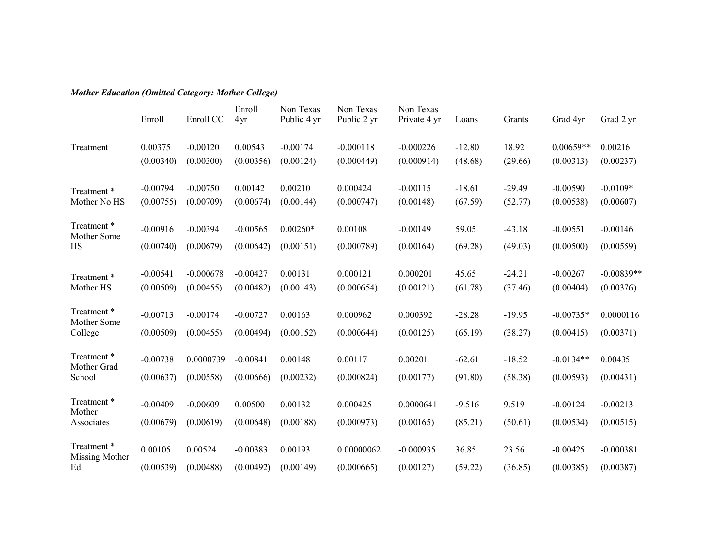# *Mother Education (Omitted Category: Mother College)*

|                           |            |             | Enroll     | Non Texas   | Non Texas   | Non Texas    |          |          |             |              |
|---------------------------|------------|-------------|------------|-------------|-------------|--------------|----------|----------|-------------|--------------|
|                           | Enroll     | Enroll CC   | 4yr        | Public 4 yr | Public 2 yr | Private 4 yr | Loans    | Grants   | Grad 4yr    | Grad 2 yr    |
|                           |            |             |            |             |             |              |          |          |             |              |
| Treatment                 | 0.00375    | $-0.00120$  | 0.00543    | $-0.00174$  | $-0.000118$ | $-0.000226$  | $-12.80$ | 18.92    | $0.00659**$ | 0.00216      |
|                           | (0.00340)  | (0.00300)   | (0.00356)  | (0.00124)   | (0.000449)  | (0.000914)   | (48.68)  | (29.66)  | (0.00313)   | (0.00237)    |
|                           |            |             |            |             |             |              |          |          |             |              |
| Treatment*                | $-0.00794$ | $-0.00750$  | 0.00142    | 0.00210     | 0.000424    | $-0.00115$   | $-18.61$ | $-29.49$ | $-0.00590$  | $-0.0109*$   |
| Mother No HS              | (0.00755)  | (0.00709)   | (0.00674)  | (0.00144)   | (0.000747)  | (0.00148)    | (67.59)  | (52.77)  | (0.00538)   | (0.00607)    |
|                           |            |             |            |             |             |              |          |          |             |              |
| Treatment*<br>Mother Some | $-0.00916$ | $-0.00394$  | $-0.00565$ | $0.00260*$  | 0.00108     | $-0.00149$   | 59.05    | $-43.18$ | $-0.00551$  | $-0.00146$   |
| <b>HS</b>                 | (0.00740)  | (0.00679)   | (0.00642)  | (0.00151)   | (0.000789)  | (0.00164)    | (69.28)  | (49.03)  | (0.00500)   | (0.00559)    |
|                           |            |             |            |             |             |              |          |          |             |              |
| Treatment *               | $-0.00541$ | $-0.000678$ | $-0.00427$ | 0.00131     | 0.000121    | 0.000201     | 45.65    | $-24.21$ | $-0.00267$  | $-0.00839**$ |
| Mother HS                 | (0.00509)  | (0.00455)   | (0.00482)  | (0.00143)   | (0.000654)  | (0.00121)    | (61.78)  | (37.46)  | (0.00404)   | (0.00376)    |
|                           |            |             |            |             |             |              |          |          |             |              |
| Treatment *               | $-0.00713$ | $-0.00174$  | $-0.00727$ | 0.00163     | 0.000962    | 0.000392     | $-28.28$ | $-19.95$ | $-0.00735*$ | 0.0000116    |
| Mother Some               |            |             |            |             |             |              |          |          |             |              |
| College                   | (0.00509)  | (0.00455)   | (0.00494)  | (0.00152)   | (0.000644)  | (0.00125)    | (65.19)  | (38.27)  | (0.00415)   | (0.00371)    |
| Treatment *               |            |             |            |             |             |              |          |          |             |              |
| Mother Grad               | $-0.00738$ | 0.0000739   | $-0.00841$ | 0.00148     | 0.00117     | 0.00201      | $-62.61$ | $-18.52$ | $-0.0134**$ | 0.00435      |
| School                    | (0.00637)  | (0.00558)   | (0.00666)  | (0.00232)   | (0.000824)  | (0.00177)    | (91.80)  | (58.38)  | (0.00593)   | (0.00431)    |
|                           |            |             |            |             |             |              |          |          |             |              |
| Treatment *<br>Mother     | $-0.00409$ | $-0.00609$  | 0.00500    | 0.00132     | 0.000425    | 0.0000641    | $-9.516$ | 9.519    | $-0.00124$  | $-0.00213$   |
| Associates                | (0.00679)  | (0.00619)   | (0.00648)  | (0.00188)   | (0.000973)  | (0.00165)    | (85.21)  | (50.61)  | (0.00534)   | (0.00515)    |
|                           |            |             |            |             |             |              |          |          |             |              |
| Treatment *               | 0.00105    | 0.00524     | $-0.00383$ | 0.00193     | 0.000000621 | $-0.000935$  | 36.85    | 23.56    | $-0.00425$  | $-0.000381$  |
| Missing Mother            |            |             |            |             |             |              |          |          |             |              |
| Ed                        | (0.00539)  | (0.00488)   | (0.00492)  | (0.00149)   | (0.000665)  | (0.00127)    | (59.22)  | (36.85)  | (0.00385)   | (0.00387)    |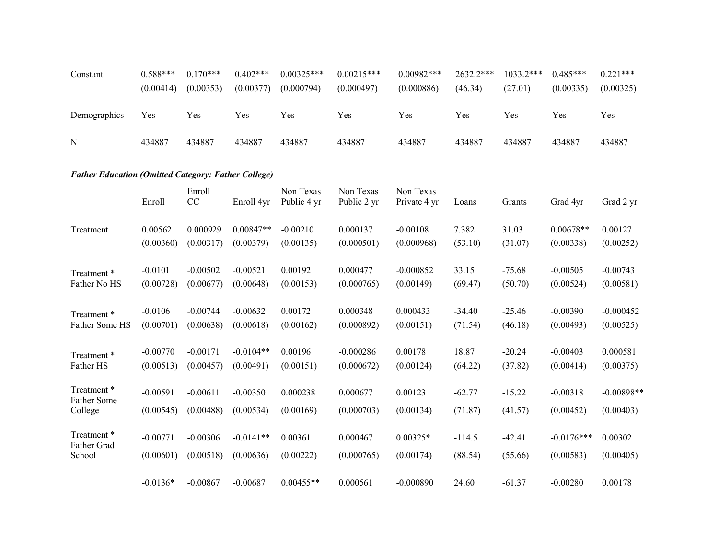| Constant     | $0.588***$ | $0.170***$ | $0.402***$ | $0.00325***$ | $0.00215***$ | $0.00982***$ | $2632.2***$ | $1033.2***$ | $0.485***$ | $0.221***$ |
|--------------|------------|------------|------------|--------------|--------------|--------------|-------------|-------------|------------|------------|
|              | (0.00414)  | (0.00353)  | (0.00377)  | (0.000794)   | (0.000497)   | (0.000886)   | (46.34)     | (27.01)     | (0.00335)  | (0.00325)  |
| Demographics | Yes        | Yes        | Yes        | Yes          | Yes          | Yes          | Yes         | Yes         | Yes        | Yes        |
|              | 434887     | 434887     | 434887     | 434887       | 434887       | 434887       | 434887      | 434887      | 434887     | 434887     |

# *Father Education (Omitted Category: Father College)*

|                                   | Enroll     | Enroll<br>CC | Enroll 4yr  | Non Texas<br>Public 4 yr | Non Texas<br>Public 2 yr | Non Texas<br>Private 4 yr | Loans    | Grants   | Grad 4yr     | Grad 2 yr    |
|-----------------------------------|------------|--------------|-------------|--------------------------|--------------------------|---------------------------|----------|----------|--------------|--------------|
|                                   |            |              |             |                          |                          |                           |          |          |              |              |
| Treatment                         | 0.00562    | 0.000929     | $0.00847**$ | $-0.00210$               | 0.000137                 | $-0.00108$                | 7.382    | 31.03    | $0.00678**$  | 0.00127      |
|                                   | (0.00360)  | (0.00317)    | (0.00379)   | (0.00135)                | (0.000501)               | (0.000968)                | (53.10)  | (31.07)  | (0.00338)    | (0.00252)    |
|                                   |            |              |             |                          |                          |                           |          |          |              |              |
| Treatment*                        | $-0.0101$  | $-0.00502$   | $-0.00521$  | 0.00192                  | 0.000477                 | $-0.000852$               | 33.15    | $-75.68$ | $-0.00505$   | $-0.00743$   |
| Father No HS                      | (0.00728)  | (0.00677)    | (0.00648)   | (0.00153)                | (0.000765)               | (0.00149)                 | (69.47)  | (50.70)  | (0.00524)    | (0.00581)    |
|                                   |            |              |             |                          |                          |                           |          |          |              |              |
| Treatment *                       | $-0.0106$  | $-0.00744$   | $-0.00632$  | 0.00172                  | 0.000348                 | 0.000433                  | $-34.40$ | $-25.46$ | $-0.00390$   | $-0.000452$  |
| Father Some HS                    | (0.00701)  | (0.00638)    | (0.00618)   | (0.00162)                | (0.000892)               | (0.00151)                 | (71.54)  | (46.18)  | (0.00493)    | (0.00525)    |
|                                   |            |              |             |                          |                          |                           |          |          |              |              |
| Treatment *                       | $-0.00770$ | $-0.00171$   | $-0.0104**$ | 0.00196                  | $-0.000286$              | 0.00178                   | 18.87    | $-20.24$ | $-0.00403$   | 0.000581     |
| Father HS                         | (0.00513)  | (0.00457)    | (0.00491)   | (0.00151)                | (0.000672)               | (0.00124)                 | (64.22)  | (37.82)  | (0.00414)    | (0.00375)    |
|                                   |            |              |             |                          |                          |                           |          |          |              |              |
| Treatment *<br><b>Father Some</b> | $-0.00591$ | $-0.00611$   | $-0.00350$  | 0.000238                 | 0.000677                 | 0.00123                   | $-62.77$ | $-15.22$ | $-0.00318$   | $-0.00898**$ |
| College                           | (0.00545)  | (0.00488)    | (0.00534)   | (0.00169)                | (0.000703)               | (0.00134)                 | (71.87)  | (41.57)  | (0.00452)    | (0.00403)    |
|                                   |            |              |             |                          |                          |                           |          |          |              |              |
| Treatment *                       | $-0.00771$ | $-0.00306$   | $-0.0141**$ | 0.00361                  | 0.000467                 | $0.00325*$                | $-114.5$ | $-42.41$ | $-0.0176***$ | 0.00302      |
| Father Grad<br>School             | (0.00601)  | (0.00518)    | (0.00636)   | (0.00222)                | (0.000765)               | (0.00174)                 | (88.54)  | (55.66)  | (0.00583)    | (0.00405)    |
|                                   |            |              |             |                          |                          |                           |          |          |              |              |
|                                   | $-0.0136*$ | $-0.00867$   | $-0.00687$  | $0.00455**$              | 0.000561                 | $-0.000890$               | 24.60    | $-61.37$ | $-0.00280$   | 0.00178      |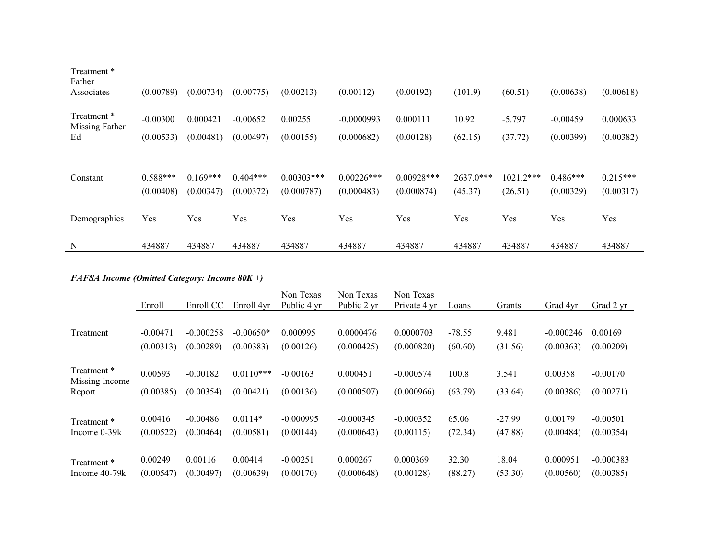| Treatment *                   |            |            |            |               |               |               |           |             |            |            |
|-------------------------------|------------|------------|------------|---------------|---------------|---------------|-----------|-------------|------------|------------|
| Father<br>Associates          | (0.00789)  | (0.00734)  | (0.00775)  | (0.00213)     | (0.00112)     | (0.00192)     | (101.9)   | (60.51)     | (0.00638)  | (0.00618)  |
| Treatment *<br>Missing Father | $-0.00300$ | 0.000421   | $-0.00652$ | 0.00255       | $-0.0000993$  | 0.000111      | 10.92     | $-5.797$    | $-0.00459$ | 0.000633   |
| Ed                            | (0.00533)  | (0.00481)  | (0.00497)  | (0.00155)     | (0.000682)    | (0.00128)     | (62.15)   | (37.72)     | (0.00399)  | (0.00382)  |
|                               |            |            |            |               |               |               |           |             |            |            |
| Constant                      | $0.588***$ | $0.169***$ | $0.404***$ | $0.00303$ *** | $0.00226$ *** | $0.00928$ *** | 2637.0*** | $1021.2***$ | $0.486***$ | $0.215***$ |
|                               | (0.00408)  | (0.00347)  | (0.00372)  | (0.000787)    | (0.000483)    | (0.000874)    | (45.37)   | (26.51)     | (0.00329)  | (0.00317)  |
| Demographics                  | Yes        | Yes        | Yes        | Yes           | Yes           | Yes           | Yes       | Yes         | Yes        | Yes        |
| N                             | 434887     | 434887     | 434887     | 434887        | 434887        | 434887        | 434887    | 434887      | 434887     | 434887     |

# *FAFSA Income (Omitted Category: Income 80K +)*

|                               | Enroll               | Enroll CC               | Enroll 4yr             | Non Texas<br>Public 4 yr | Non Texas<br>Public 2 yr  | Non Texas<br>Private 4 yr | Loans               | Grants              | Grad 4yr              | Grad 2 yr                |
|-------------------------------|----------------------|-------------------------|------------------------|--------------------------|---------------------------|---------------------------|---------------------|---------------------|-----------------------|--------------------------|
|                               | $-0.00471$           | $-0.000258$             | $-0.00650*$            | 0.000995                 | 0.0000476                 | 0.0000703                 |                     |                     | $-0.000246$           | 0.00169                  |
| Treatment                     | (0.00313)            | (0.00289)               | (0.00383)              | (0.00126)                | (0.000425)                | (0.000820)                | $-78.55$<br>(60.60) | 9.481<br>(31.56)    | (0.00363)             | (0.00209)                |
| Treatment *<br>Missing Income | 0.00593              | $-0.00182$              | $0.0110***$            | $-0.00163$               | 0.000451                  | $-0.000574$               | 100.8               | 3.541               | 0.00358               | $-0.00170$               |
| Report                        | (0.00385)            | (0.00354)               | (0.00421)              | (0.00136)                | (0.000507)                | (0.000966)                | (63.79)             | (33.64)             | (0.00386)             | (0.00271)                |
| Treatment*<br>Income $0-39k$  | 0.00416<br>(0.00522) | $-0.00486$<br>(0.00464) | $0.0114*$<br>(0.00581) | $-0.000995$<br>(0.00144) | $-0.000345$<br>(0.000643) | $-0.000352$<br>(0.00115)  | 65.06<br>(72.34)    | $-27.99$<br>(47.88) | 0.00179<br>(0.00484)  | $-0.00501$<br>(0.00354)  |
| Treatment*<br>Income 40-79k   | 0.00249<br>(0.00547) | 0.00116<br>(0.00497)    | 0.00414<br>(0.00639)   | $-0.00251$<br>(0.00170)  | 0.000267<br>(0.000648)    | 0.000369<br>(0.00128)     | 32.30<br>(88.27)    | 18.04<br>(53.30)    | 0.000951<br>(0.00560) | $-0.000383$<br>(0.00385) |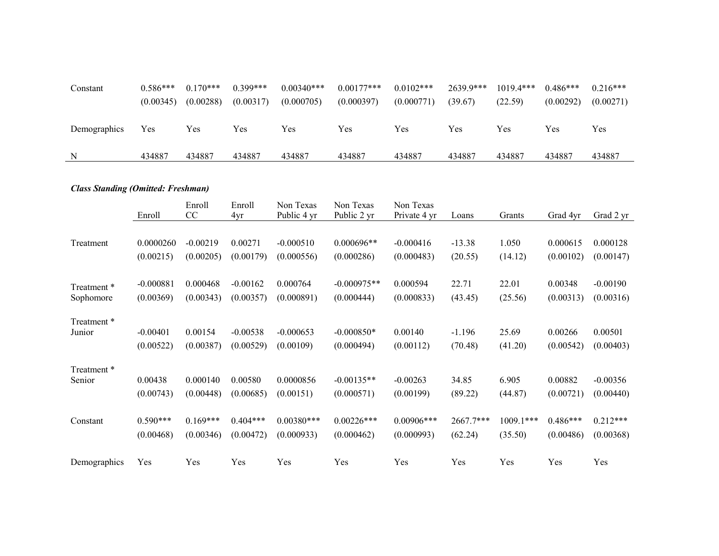| Constant     | $0.586***$ | $0.170***$ | $0.399***$ | $0.00340***$ | $0.00177***$ | $0.0102$ *** | 2639.9*** | $1019.4***$ | $0.486***$ | $0.216***$ |
|--------------|------------|------------|------------|--------------|--------------|--------------|-----------|-------------|------------|------------|
|              | (0.00345)  | (0.00288)  | (0.00317)  | (0.000705)   | (0.000397)   | (0.000771)   | (39.67)   | (22.59)     | (0.00292)  | (0.00271)  |
|              |            |            |            |              |              |              |           |             |            |            |
| Demographics | Yes        | Yes        | Yes        | Yes          | Yes          | Yes          | Yes       | Yes         | Yes        | Yes        |
|              |            |            |            |              |              |              |           |             |            |            |
| N            | 434887     | 434887     | 434887     | 434887       | 434887       | 434887       | 434887    | 434887      | 434887     | 434887     |

# *Class Standing (Omitted: Freshman)*

|              | Enroll      | Enroll<br>CC | Enroll<br>4yr | Non Texas<br>Public 4 yr | Non Texas<br>Public 2 yr | Non Texas<br>Private 4 yr | Loans     | Grants      | Grad 4yr   | Grad 2 yr  |
|--------------|-------------|--------------|---------------|--------------------------|--------------------------|---------------------------|-----------|-------------|------------|------------|
|              |             |              |               |                          |                          |                           |           |             |            |            |
| Treatment    | 0.0000260   | $-0.00219$   | 0.00271       | $-0.000510$              | $0.000696**$             | $-0.000416$               | $-13.38$  | 1.050       | 0.000615   | 0.000128   |
|              | (0.00215)   | (0.00205)    | (0.00179)     | (0.000556)               | (0.000286)               | (0.000483)                | (20.55)   | (14.12)     | (0.00102)  | (0.00147)  |
|              |             |              |               |                          |                          |                           |           |             |            |            |
| Treatment*   | $-0.000881$ | 0.000468     | $-0.00162$    | 0.000764                 | $-0.000975**$            | 0.000594                  | 22.71     | 22.01       | 0.00348    | $-0.00190$ |
| Sophomore    | (0.00369)   | (0.00343)    | (0.00357)     | (0.000891)               | (0.000444)               | (0.000833)                | (43.45)   | (25.56)     | (0.00313)  | (0.00316)  |
| Treatment *  |             |              |               |                          |                          |                           |           |             |            |            |
| Junior       | $-0.00401$  | 0.00154      | $-0.00538$    | $-0.000653$              | $-0.000850*$             | 0.00140                   | $-1.196$  | 25.69       | 0.00266    | 0.00501    |
|              | (0.00522)   | (0.00387)    | (0.00529)     | (0.00109)                | (0.000494)               | (0.00112)                 | (70.48)   | (41.20)     | (0.00542)  | (0.00403)  |
| Treatment *  |             |              |               |                          |                          |                           |           |             |            |            |
| Senior       | 0.00438     | 0.000140     | 0.00580       | 0.0000856                | $-0.00135**$             | $-0.00263$                | 34.85     | 6.905       | 0.00882    | $-0.00356$ |
|              | (0.00743)   | (0.00448)    | (0.00685)     | (0.00151)                | (0.000571)               | (0.00199)                 | (89.22)   | (44.87)     | (0.00721)  | (0.00440)  |
| Constant     | $0.590***$  | $0.169***$   | $0.404***$    | $0.00380***$             | $0.00226***$             | $0.00906$ ***             | 2667.7*** | $1009.1***$ | $0.486***$ | $0.212***$ |
|              |             |              |               |                          |                          |                           |           |             |            |            |
|              | (0.00468)   | (0.00346)    | (0.00472)     | (0.000933)               | (0.000462)               | (0.000993)                | (62.24)   | (35.50)     | (0.00486)  | (0.00368)  |
| Demographics | Yes         | Yes          | Yes           | Yes                      | Yes                      | Yes                       | Yes       | Yes         | Yes        | Yes        |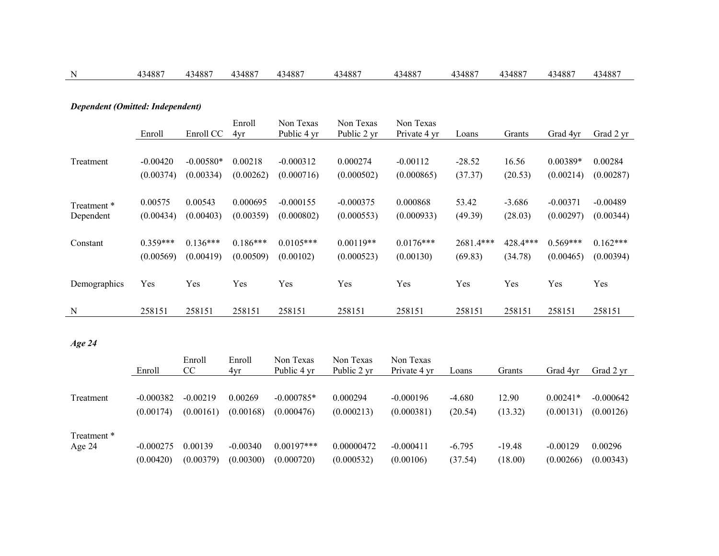| N                                | 434887     | 434887      | 434887     | 434887      | 434887      | 434887       | 434887    | 434887   | 434887     | 434887     |
|----------------------------------|------------|-------------|------------|-------------|-------------|--------------|-----------|----------|------------|------------|
|                                  |            |             |            |             |             |              |           |          |            |            |
| Dependent (Omitted: Independent) |            |             |            |             |             |              |           |          |            |            |
|                                  |            |             | Enroll     | Non Texas   | Non Texas   | Non Texas    |           |          |            |            |
|                                  | Enroll     | Enroll CC   | 4yr        | Public 4 yr | Public 2 yr | Private 4 yr | Loans     | Grants   | Grad 4yr   | Grad 2 yr  |
|                                  |            |             |            |             |             |              |           |          |            |            |
| Treatment                        | $-0.00420$ | $-0.00580*$ | 0.00218    | $-0.000312$ | 0.000274    | $-0.00112$   | $-28.52$  | 16.56    | 0.00389*   | 0.00284    |
|                                  | (0.00374)  | (0.00334)   | (0.00262)  | (0.000716)  | (0.000502)  | (0.000865)   | (37.37)   | (20.53)  | (0.00214)  | (0.00287)  |
|                                  |            |             |            |             |             |              |           |          |            |            |
| Treatment *                      | 0.00575    | 0.00543     | 0.000695   | $-0.000155$ | $-0.000375$ | 0.000868     | 53.42     | $-3.686$ | $-0.00371$ | $-0.00489$ |
| Dependent                        | (0.00434)  | (0.00403)   | (0.00359)  | (0.000802)  | (0.000553)  | (0.000933)   | (49.39)   | (28.03)  | (0.00297)  | (0.00344)  |
|                                  |            |             |            |             |             |              |           |          |            |            |
| Constant                         | $0.359***$ | $0.136***$  | $0.186***$ | $0.0105***$ | $0.00119**$ | $0.0176***$  | 2681.4*** | 428.4*** | $0.569***$ | $0.162***$ |
|                                  | (0.00569)  | (0.00419)   | (0.00509)  | (0.00102)   | (0.000523)  | (0.00130)    | (69.83)   | (34.78)  | (0.00465)  | (0.00394)  |
|                                  |            |             |            |             |             |              |           |          |            |            |
| Demographics                     | Yes        | Yes         | Yes        | Yes         | Yes         | Yes          | Yes       | Yes      | Yes        | Yes        |
|                                  |            |             |            |             |             |              |           |          |            |            |
| N                                | 258151     | 258151      | 258151     | 258151      | 258151      | 258151       | 258151    | 258151   | 258151     | 258151     |

*Age 24*

|             | Enroll      | Enroll<br>CC | Enroll<br>4yr | Non Texas<br>Public 4 yr | Non Texas<br>Public 2 yr | Non Texas<br>Private 4 yr | Loans    | Grants   | Grad 4vr   | Grad 2 yr   |
|-------------|-------------|--------------|---------------|--------------------------|--------------------------|---------------------------|----------|----------|------------|-------------|
|             |             |              |               |                          |                          |                           |          |          |            |             |
| Treatment   | $-0.000382$ | $-0.00219$   | 0.00269       | $-0.000785*$             | 0.000294                 | $-0.000196$               | $-4.680$ | 12.90    | $0.00241*$ | $-0.000642$ |
|             | (0.00174)   | (0.00161)    | (0.00168)     | (0.000476)               | (0.000213)               | (0.000381)                | (20.54)  | (13.32)  | (0.00131)  | (0.00126)   |
| Treatment * |             |              |               |                          |                          |                           |          |          |            |             |
| Age 24      | $-0.000275$ | 0.00139      | $-0.00340$    | $0.00197***$             | 0.00000472               | $-0.000411$               | $-6.795$ | $-19.48$ | $-0.00129$ | 0.00296     |
|             | (0.00420)   | (0.00379)    | (0.00300)     | (0.000720)               | (0.000532)               | (0.00106)                 | (37.54)  | (18.00)  | (0.00266)  | (0.00343)   |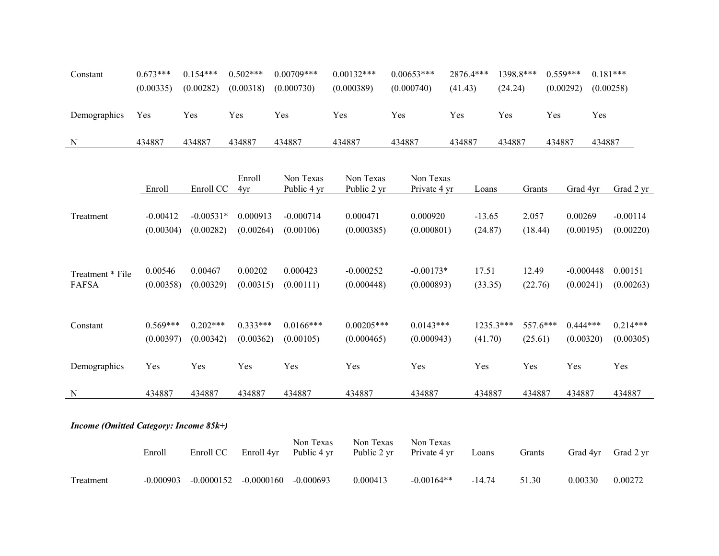| Constant     | $0.673***$ | $0.154***$ | $0.502***$ | $0.00709***$ | $0.00132***$ | $0.00653***$ | 2876.4*** | 1398.8*** | $0.559***$ | $0.181***$ |
|--------------|------------|------------|------------|--------------|--------------|--------------|-----------|-----------|------------|------------|
|              | (0.00335)  | (0.00282)  | (0.00318)  | (0.000730)   | (0.000389)   | (0.000740)   | (41.43)   | (24.24)   | (0.00292)  | (0.00258)  |
|              |            |            |            |              |              |              |           |           |            |            |
| Demographics | Yes        | Yes        | Yes        | Yes          | Yes          | Yes          | Yes       | Yes       | Yes        | Yes        |
|              |            |            |            |              |              |              |           |           |            |            |
| N            | 434887     | 434887     | 434887     | 434887       | 434887       | 434887       | 434887    | 434887    | 434887     | 434887     |

|                  | Enroll     | Enroll CC   | Enroll<br>4yr | Non Texas<br>Public 4 yr | Non Texas<br>Public 2 yr | Non Texas<br>Private 4 yr | Loans     | Grants     | Grad 4yr    | Grad 2 yr  |
|------------------|------------|-------------|---------------|--------------------------|--------------------------|---------------------------|-----------|------------|-------------|------------|
|                  |            |             |               |                          |                          |                           |           |            |             |            |
| Treatment        | $-0.00412$ | $-0.00531*$ | 0.000913      | $-0.000714$              | 0.000471                 | 0.000920                  | $-13.65$  | 2.057      | 0.00269     | $-0.00114$ |
|                  | (0.00304)  | (0.00282)   | (0.00264)     | (0.00106)                | (0.000385)               | (0.000801)                | (24.87)   | (18.44)    | (0.00195)   | (0.00220)  |
|                  |            |             |               |                          |                          |                           |           |            |             |            |
|                  |            |             |               |                          |                          |                           |           |            |             |            |
| Treatment * File | 0.00546    | 0.00467     | 0.00202       | 0.000423                 | $-0.000252$              | $-0.00173*$               | 17.51     | 12.49      | $-0.000448$ | 0.00151    |
| <b>FAFSA</b>     | (0.00358)  | (0.00329)   | (0.00315)     | (0.00111)                | (0.000448)               | (0.000893)                | (33.35)   | (22.76)    | (0.00241)   | (0.00263)  |
|                  |            |             |               |                          |                          |                           |           |            |             |            |
| Constant         | $0.569***$ | $0.202***$  | $0.333***$    | $0.0166$ ***             | $0.00205$ ***            | $0.0143***$               | 1235.3*** | $557.6***$ | $0.444***$  | $0.214***$ |
|                  | (0.00397)  | (0.00342)   | (0.00362)     | (0.00105)                | (0.000465)               | (0.000943)                | (41.70)   | (25.61)    | (0.00320)   | (0.00305)  |
|                  |            |             |               |                          |                          |                           |           |            |             |            |
| Demographics     | Yes        | Yes         | Yes           | Yes                      | Yes                      | Yes                       | Yes       | Yes        | Yes         | Yes        |
|                  |            |             |               |                          |                          |                           |           |            |             |            |
| N                | 434887     | 434887      | 434887        | 434887                   | 434887                   | 434887                    | 434887    | 434887     | 434887      | 434887     |

*Income (Omitted Category: Income 85k+)*

|           | Enroll      | Enroll CC    | Enroll 4yr   | Non Texas<br>Public 4 yr | Non Texas<br>Public 2 vr | Non Texas<br>Private 4 yr | Loans    | Grants | Grad 4vr | Grad 2 vr |
|-----------|-------------|--------------|--------------|--------------------------|--------------------------|---------------------------|----------|--------|----------|-----------|
| Treatment | $-0.000903$ | $-0.0000152$ | $-0.0000160$ | $-0.000693$              | 0.000413                 | $-0.00164**$              | $-14.74$ | 51.30  | 0.00330  | 0.00272   |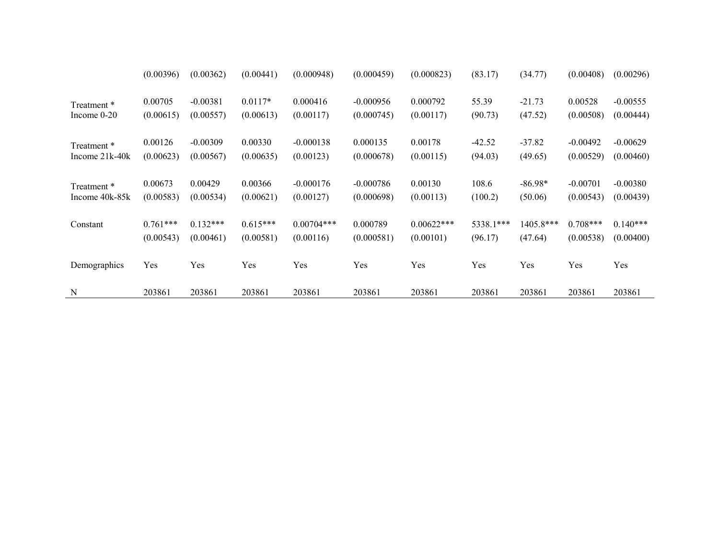|                  | (0.00396)  | (0.00362)  | (0.00441)  | (0.000948)   | (0.000459)  | (0.000823)   | (83.17)   | (34.77)   | (0.00408)  | (0.00296)  |
|------------------|------------|------------|------------|--------------|-------------|--------------|-----------|-----------|------------|------------|
| Treatment *      | 0.00705    | $-0.00381$ | $0.0117*$  | 0.000416     | $-0.000956$ | 0.000792     | 55.39     | $-21.73$  | 0.00528    | $-0.00555$ |
| Income $0-20$    | (0.00615)  | (0.00557)  | (0.00613)  | (0.00117)    | (0.000745)  | (0.00117)    | (90.73)   | (47.52)   | (0.00508)  | (0.00444)  |
| Treatment *      | 0.00126    | $-0.00309$ | 0.00330    | $-0.000138$  | 0.000135    | 0.00178      | $-42.52$  | $-37.82$  | $-0.00492$ | $-0.00629$ |
| Income $21k-40k$ | (0.00623)  | (0.00567)  | (0.00635)  | (0.00123)    | (0.000678)  | (0.00115)    | (94.03)   | (49.65)   | (0.00529)  | (0.00460)  |
| Treatment *      | 0.00673    | 0.00429    | 0.00366    | $-0.000176$  | $-0.000786$ | 0.00130      | 108.6     | $-86.98*$ | $-0.00701$ | $-0.00380$ |
| Income 40k-85k   | (0.00583)  | (0.00534)  | (0.00621)  | (0.00127)    | (0.000698)  | (0.00113)    | (100.2)   | (50.06)   | (0.00543)  | (0.00439)  |
| Constant         | $0.761***$ | $0.132***$ | $0.615***$ | $0.00704***$ | 0.000789    | $0.00622***$ | 5338.1*** | 1405.8*** | $0.708***$ | $0.140***$ |
|                  | (0.00543)  | (0.00461)  | (0.00581)  | (0.00116)    | (0.000581)  | (0.00101)    | (96.17)   | (47.64)   | (0.00538)  | (0.00400)  |
| Demographics     | Yes        | Yes        | Yes        | Yes          | Yes         | Yes          | Yes       | Yes       | Yes        | Yes        |
| N                | 203861     | 203861     | 203861     | 203861       | 203861      | 203861       | 203861    | 203861    | 203861     | 203861     |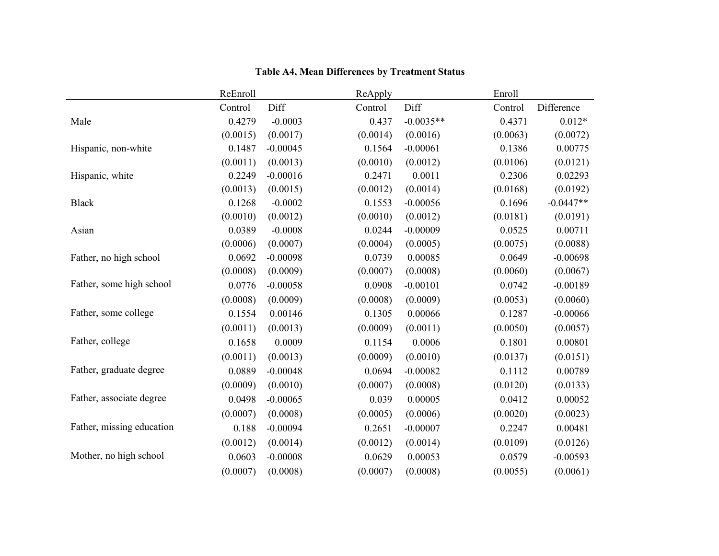|                           | ReEnroll |            | ReApply  |             | Enroll   |             |
|---------------------------|----------|------------|----------|-------------|----------|-------------|
|                           | Control  | Diff       | Control  | Diff        | Control  | Difference  |
| Male                      | 0.4279   | $-0.0003$  | 0.437    | $-0.0035**$ | 0.4371   | $0.012*$    |
|                           | (0.0015) | (0.0017)   | (0.0014) | (0.0016)    | (0.0063) | (0.0072)    |
| Hispanic, non-white       | 0.1487   | $-0.00045$ | 0.1564   | $-0.00061$  | 0.1386   | 0.00775     |
|                           | (0.0011) | (0.0013)   | (0.0010) | (0.0012)    | (0.0106) | (0.0121)    |
| Hispanic, white           | 0.2249   | $-0.00016$ | 0.2471   | 0.0011      | 0.2306   | 0.02293     |
|                           | (0.0013) | (0.0015)   | (0.0012) | (0.0014)    | (0.0168) | (0.0192)    |
| <b>Black</b>              | 0.1268   | $-0.0002$  | 0.1553   | $-0.00056$  | 0.1696   | $-0.0447**$ |
|                           | (0.0010) | (0.0012)   | (0.0010) | (0.0012)    | (0.0181) | (0.0191)    |
| Asian                     | 0.0389   | $-0.0008$  | 0.0244   | $-0.00009$  | 0.0525   | 0.00711     |
|                           | (0.0006) | (0.0007)   | (0.0004) | (0.0005)    | (0.0075) | (0.0088)    |
| Father, no high school    | 0.0692   | $-0.00098$ | 0.0739   | 0.00085     | 0.0649   | $-0.00698$  |
|                           | (0.0008) | (0.0009)   | (0.0007) | (0.0008)    | (0.0060) | (0.0067)    |
| Father, some high school  | 0.0776   | $-0.00058$ | 0.0908   | $-0.00101$  | 0.0742   | $-0.00189$  |
|                           | (0.0008) | (0.0009)   | (0.0008) | (0.0009)    | (0.0053) | (0.0060)    |
| Father, some college      | 0.1554   | 0.00146    | 0.1305   | 0.00066     | 0.1287   | $-0.00066$  |
|                           | (0.0011) | (0.0013)   | (0.0009) | (0.0011)    | (0.0050) | (0.0057)    |
| Father, college           | 0.1658   | 0.0009     | 0.1154   | 0.0006      | 0.1801   | 0.00801     |
|                           | (0.0011) | (0.0013)   | (0.0009) | (0.0010)    | (0.0137) | (0.0151)    |
| Father, graduate degree   | 0.0889   | $-0.00048$ | 0.0694   | $-0.00082$  | 0.1112   | 0.00789     |
|                           | (0.0009) | (0.0010)   | (0.0007) | (0.0008)    | (0.0120) | (0.0133)    |
| Father, associate degree  | 0.0498   | $-0.00065$ | 0.039    | 0.00005     | 0.0412   | 0.00052     |
|                           | (0.0007) | (0.0008)   | (0.0005) | (0.0006)    | (0.0020) | (0.0023)    |
| Father, missing education | 0.188    | $-0.00094$ | 0.2651   | $-0.00007$  | 0.2247   | 0.00481     |
|                           | (0.0012) | (0.0014)   | (0.0012) | (0.0014)    | (0.0109) | (0.0126)    |
| Mother, no high school    | 0.0603   | $-0.00008$ | 0.0629   | 0.00053     | 0.0579   | $-0.00593$  |
|                           | (0.0007) | (0.0008)   | (0.0007) | (0.0008)    | (0.0055) | (0.0061)    |

# **Table A4, Mean Differences by Treatment Status**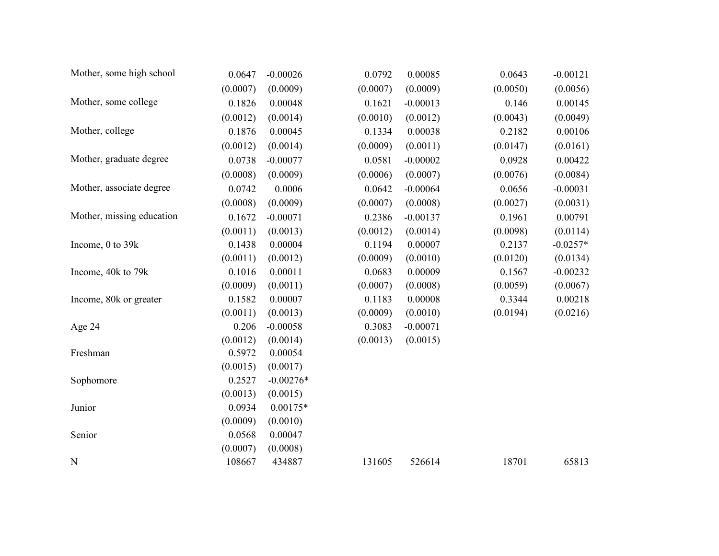| Mother, some high school  | 0.0647   | $-0.00026$  | 0.0792   | 0.00085    | 0.0643   | $-0.00121$ |
|---------------------------|----------|-------------|----------|------------|----------|------------|
|                           | (0.0007) | (0.0009)    | (0.0007) | (0.0009)   | (0.0050) | (0.0056)   |
| Mother, some college      | 0.1826   | 0.00048     | 0.1621   | $-0.00013$ | 0.146    | 0.00145    |
|                           | (0.0012) | (0.0014)    | (0.0010) | (0.0012)   | (0.0043) | (0.0049)   |
| Mother, college           | 0.1876   | 0.00045     | 0.1334   | 0.00038    | 0.2182   | 0.00106    |
|                           | (0.0012) | (0.0014)    | (0.0009) | (0.0011)   | (0.0147) | (0.0161)   |
| Mother, graduate degree   | 0.0738   | $-0.00077$  | 0.0581   | $-0.00002$ | 0.0928   | 0.00422    |
|                           | (0.0008) | (0.0009)    | (0.0006) | (0.0007)   | (0.0076) | (0.0084)   |
| Mother, associate degree  | 0.0742   | 0.0006      | 0.0642   | $-0.00064$ | 0.0656   | $-0.00031$ |
|                           | (0.0008) | (0.0009)    | (0.0007) | (0.0008)   | (0.0027) | (0.0031)   |
| Mother, missing education | 0.1672   | $-0.00071$  | 0.2386   | $-0.00137$ | 0.1961   | 0.00791    |
|                           | (0.0011) | (0.0013)    | (0.0012) | (0.0014)   | (0.0098) | (0.0114)   |
| Income, 0 to 39k          | 0.1438   | 0.00004     | 0.1194   | 0.00007    | 0.2137   | $-0.0257*$ |
|                           | (0.0011) | (0.0012)    | (0.0009) | (0.0010)   | (0.0120) | (0.0134)   |
| Income, 40k to 79k        | 0.1016   | 0.00011     | 0.0683   | 0.00009    | 0.1567   | $-0.00232$ |
|                           | (0.0009) | (0.0011)    | (0.0007) | (0.0008)   | (0.0059) | (0.0067)   |
| Income, 80k or greater    | 0.1582   | 0.00007     | 0.1183   | 0.00008    | 0.3344   | 0.00218    |
|                           | (0.0011) | (0.0013)    | (0.0009) | (0.0010)   | (0.0194) | (0.0216)   |
| Age 24                    | 0.206    | $-0.00058$  | 0.3083   | $-0.00071$ |          |            |
|                           | (0.0012) | (0.0014)    | (0.0013) | (0.0015)   |          |            |
| Freshman                  | 0.5972   | 0.00054     |          |            |          |            |
|                           | (0.0015) | (0.0017)    |          |            |          |            |
| Sophomore                 | 0.2527   | $-0.00276*$ |          |            |          |            |
|                           | (0.0013) | (0.0015)    |          |            |          |            |
| Junior                    | 0.0934   | $0.00175*$  |          |            |          |            |
|                           | (0.0009) | (0.0010)    |          |            |          |            |
| Senior                    | 0.0568   | 0.00047     |          |            |          |            |
|                           | (0.0007) | (0.0008)    |          |            |          |            |
| N                         | 108667   | 434887      | 131605   | 526614     | 18701    | 65813      |